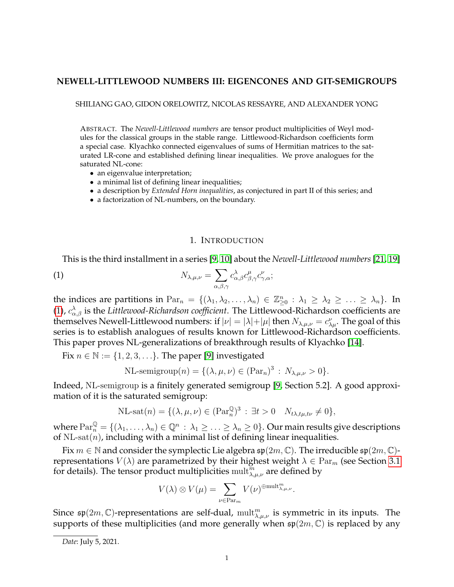# **NEWELL-LITTLEWOOD NUMBERS III: EIGENCONES AND GIT-SEMIGROUPS**

SHILIANG GAO, GIDON ORELOWITZ, NICOLAS RESSAYRE, AND ALEXANDER YONG

ABSTRACT. The *Newell-Littlewood numbers* are tensor product multiplicities of Weyl modules for the classical groups in the stable range. Littlewood-Richardson coefficients form a special case. Klyachko connected eigenvalues of sums of Hermitian matrices to the saturated LR-cone and established defining linear inequalities. We prove analogues for the saturated NL-cone:

- an eigenvalue interpretation;
- a minimal list of defining linear inequalities;
- a description by *Extended Horn inequalities*, as conjectured in part II of this series; and
- a factorization of NL-numbers, on the boundary.

# <span id="page-0-0"></span>1. INTRODUCTION

This is the third installment in a series [\[9,](#page-34-0) [10\]](#page-34-1) about the *Newell-Littlewood numbers*[\[21,](#page-35-0) [19\]](#page-35-1)

(1) 
$$
N_{\lambda,\mu,\nu} = \sum_{\alpha,\beta,\gamma} c_{\alpha,\beta}^{\lambda} c_{\beta,\gamma}^{\mu} c_{\gamma,\alpha}^{\nu};
$$

the indices are partitions in  $Par_n = \{(\lambda_1, \lambda_2, ..., \lambda_n) \in \mathbb{Z}_{\geq 0}^n : \lambda_1 \geq \lambda_2 \geq ... \geq \lambda_n\}$ . In [\(1\)](#page-0-0),  $c_{\alpha,\beta}^{\lambda}$  is the *Littlewood-Richardson coefficient*. The Littlewood-Richardson coefficients are themselves Newell-Littlewood numbers: if  $|\nu|=|\lambda|+|\mu|$  then  $N_{\lambda,\mu,\nu}=c_{\lambda\mu}^{\nu}$ . The goal of this series is to establish analogues of results known for Littlewood-Richardson coefficients. This paper proves NL-generalizations of breakthrough results of Klyachko [\[14\]](#page-35-2).

Fix  $n \in \mathbb{N} := \{1, 2, 3, \ldots\}$ . The paper [\[9\]](#page-34-0) investigated

NL-semigroup
$$
(n) = \{(\lambda, \mu, \nu) \in (\text{Par}_n)^3 : N_{\lambda, \mu, \nu} > 0\}.
$$

Indeed, NL-semigroup is a finitely generated semigroup [\[9,](#page-34-0) Section 5.2]. A good approximation of it is the saturated semigroup:

NL-sat
$$
(n) = \{(\lambda, \mu, \nu) \in (\operatorname{Par}_n^{\mathbb{Q}})^3 : \exists t > 0 \quad N_{t\lambda, t\mu, t\nu} \neq 0\},\
$$

where  $\mathrm{Par}^{\mathbb{Q}}_n=\{(\lambda_1,\ldots,\lambda_n)\in\mathbb{Q}^n\,:\,\lambda_1\geq\ldots\geq\lambda_n\geq 0\}.$  Our main results give descriptions of NL-sat $(n)$ , including with a minimal list of defining linear inequalities.

Fix  $m \in \mathbb{N}$  and consider the symplectic Lie algebra  $\mathfrak{sp}(2m, \mathbb{C})$ . The irreducible  $\mathfrak{sp}(2m, \mathbb{C})$ representations  $V(\lambda)$  are parametrized by their highest weight  $\lambda \in \mathrm{Par}_{m}$  (see Section [3.1](#page-6-0) for details). The tensor product multiplicities  $\operatorname{mult}_{\lambda,\mu,\nu}^m$  are defined by

$$
V(\lambda) \otimes V(\mu) = \sum_{\nu \in \mathrm{Par}_m} V(\nu)^{\oplus \mathrm{mult}_{\lambda,\mu,\nu}^m}.
$$

Since  $\mathfrak{sp}(2m,\mathbb{C})$ -representations are self-dual,  $\operatorname{mult}_{\lambda,\mu,\nu}^m$  is symmetric in its inputs. The supports of these multiplicities (and more generally when  $\mathfrak{sp}(2m,\mathbb{C})$  is replaced by any

*Date*: July 5, 2021.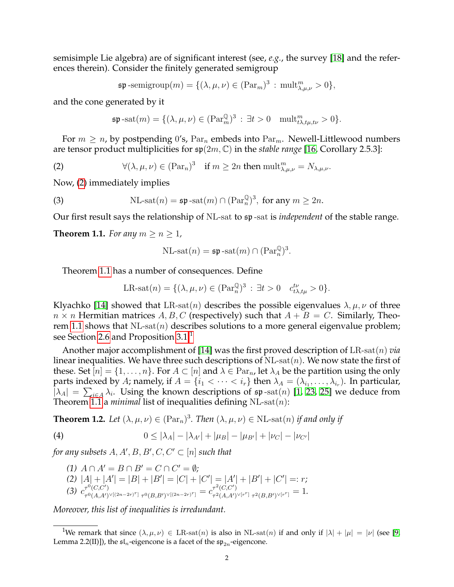semisimple Lie algebra) are of significant interest (see, *e.g.*, the survey [\[18\]](#page-35-3) and the references therein). Consider the finitely generated semigroup

$$
\mathfrak{sp}\text{-semigroup}(m) = \{ (\lambda, \mu, \nu) \in (\text{Par}_m)^3 : \text{mult}_{\lambda, \mu, \nu}^m > 0 \},
$$

and the cone generated by it

<span id="page-1-0"></span>
$$
\mathfrak{sp}\operatorname{-sat}(m)=\{(\lambda,\mu,\nu)\in (\operatorname{Par}^{\mathbb{Q}}_m)^3\,:\,\exists t>0\quad\operatorname{mult}^m_{t\lambda,t\mu,t\nu}>0\}.
$$

For  $m \geq n$ , by postpending 0's,  $\text{Par}_m$  embeds into  $\text{Par}_m$ . Newell-Littlewood numbers are tensor product multiplicities for sp(2m, C) in the *stable range* [\[16,](#page-35-4) Corollary 2.5.3]:

(2) 
$$
\forall (\lambda, \mu, \nu) \in (\text{Par}_n)^3 \quad \text{if } m \ge 2n \text{ then } \text{mult}_{\lambda, \mu, \nu}^m = N_{\lambda, \mu, \nu}.
$$

Now, [\(2\)](#page-1-0) immediately implies

(3) 
$$
NL
$$
-sat $(n) = \mathfrak{sp}$ -sat $(m) \cap (\operatorname{Par}_n^{\mathbb{Q}})^3$ , for any  $m \ge 2n$ .

Our first result says the relationship of NL-sat to sp -sat is *independent* of the stable range.

<span id="page-1-1"></span>**Theorem 1.1.** *For any*  $m \ge n \ge 1$ *,* 

<span id="page-1-6"></span>
$$
\mathrm{NL\text{-}sat}(n)=\mathfrak{s}\mathfrak{p}\,\text{-}\mathrm{sat}(m)\cap(\mathrm{Par}^{\mathbb{Q}}_{n})^{3}.
$$

Theorem [1.1](#page-1-1) has a number of consequences. Define

$$
\text{LR-sat}(n) = \{ (\lambda, \mu, \nu) \in (\text{Par}_n^{\mathbb{Q}})^3 : \exists t > 0 \quad c_{t\lambda, t\mu}^{t\nu} > 0 \}.
$$

Klyachko [\[14\]](#page-35-2) showed that LR-sat(n) describes the possible eigenvalues  $\lambda, \mu, \nu$  of three  $n \times n$  Hermitian matrices A, B, C (respectively) such that  $A + B = C$ . Similarly, Theo-rem [1.1](#page-1-1) shows that  $NL$ -sat $(n)$  describes solutions to a more general eigenvalue problem; see Section [2.6](#page-6-1) and Proposition  $3.1<sup>1</sup>$  $3.1<sup>1</sup>$  $3.1<sup>1</sup>$ 

Another major accomplishment of [\[14\]](#page-35-2) was the first proved description of LR-sat(n) *via* linear inequalities. We have three such descriptions of  $NL$ -sat $(n)$ . We now state the first of these. Set  $[n] = \{1, \ldots, n\}$ . For  $A \subset [n]$  and  $\lambda \in \operatorname{Par}_{n}$ , let  $\lambda_A$  be the partition using the only parts indexed by A; namely, if  $A = \{i_1 < \cdots < i_r\}$  then  $\lambda_A = (\lambda_{i_1}, \ldots, \lambda_{i_r}).$  In particular,  $|\lambda_A| = \sum_{i \in A} \lambda_i$ . Using the known descriptions of  $\mathfrak{sp}$ -sat $(n)$  [\[1,](#page-34-2) [23,](#page-35-5) [25\]](#page-35-6) we deduce from Theorem [1.1](#page-1-1) a *minimal* list of inequalities defining  $NL$ -sat $(n)$ :

<span id="page-1-4"></span>**Theorem 1.2.** Let  $(\lambda, \mu, \nu) \in (\text{Par}_n)^3$ . Then  $(\lambda, \mu, \nu) \in \text{NL-sat}(n)$  if and only if

(4) 
$$
0 \le |\lambda_A| - |\lambda_{A'}| + |\mu_B| - |\mu_{B'}| + |\nu_C| - |\nu_{C'}|
$$

for any subsets  $A, A', B, B', C, C' \subset [n]$  such that

<span id="page-1-7"></span><span id="page-1-5"></span> $(A)$   $A \cap A' = B \cap B' = C \cap C' = \emptyset;$ (2)  $|A| + |A'| = |B| + |B'| = |C| + |C'| = |A'| + |B'| + |C'| = r;$ (3)  $c_{\tau^0(A/A')}^{\tau^0(C,C')}$  $\tau^0(C,C')\ \tau^0(A,A')^{\vee[(2n-2r)^r]}\ \tau^0(B,B')^{\vee[(2n-2r)^r]}=c_{\tau^2(A,A')}^{r^2(C,C')}\$  $\tau^{\mathsf{p}}(\mathcal{C}, \mathcal{C}) \ \tau^{\mathsf{p}}(A, A')^{\vee [r^r]} \ \tau^{\mathsf{p}}(B, B')^{\vee [r^r]} = 1.$ 

<span id="page-1-3"></span>*Moreover, this list of inequalities is irredundant.*

<span id="page-1-2"></span><sup>&</sup>lt;sup>1</sup>We remark that since  $(\lambda, \mu, \nu) \in \text{LR-sat}(n)$  is also in NL-sat $(n)$  if and only if  $|\lambda| + |\mu| = |\nu|$  (see [\[9,](#page-34-0) Lemma 2.2(II)]), the  $\mathfrak{sl}_n$ -eigencone is a facet of the  $\mathfrak{sp}_{2n}$ -eigencone.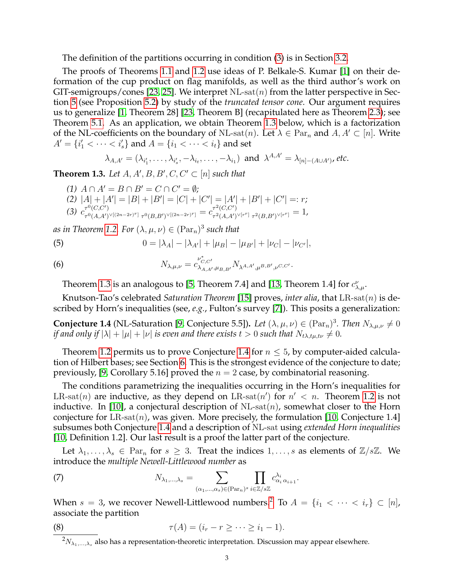The definition of the partitions occurring in condition [\(3\)](#page-1-3) is in Section [3.2.](#page-7-1)

The proofs of Theorems [1.1](#page-1-1) and [1.2](#page-1-4) use ideas of P. Belkale-S. Kumar [\[1\]](#page-34-2) on their deformation of the cup product on flag manifolds, as well as the third author's work on GIT-semigroups/cones [\[23,](#page-35-5) [25\]](#page-35-6). We interpret NL-sat $(n)$  from the latter perspective in Section [5](#page-12-0) (see Proposition [5.2\)](#page-13-0) by study of the *truncated tensor cone*. Our argument requires us to generalize [\[1,](#page-34-2) Theorem 28] [\[23,](#page-35-5) Theorem B] (recapitulated here as Theorem [2.3\)](#page-5-0); see Theorem [5.1.](#page-12-1) As an application, we obtain Theorem [1.3](#page-2-0) below, which is a factorization of the NL-coefficients on the boundary of NL-sat $(n)$ . Let  $\lambda \in \text{Par}_n$  and  $A, A' \subset [n]$ . Write  $A' = \{i'_1 < \cdots < i'_s\}$  and  $A = \{i_1 < \cdots < i_t\}$  and set

$$
\lambda_{A,A'}=(\lambda_{i'_1},\ldots,\lambda_{i'_s},-\lambda_{i_t},\ldots,-\lambda_{i_1}) \text{ and } \lambda^{A,A'}=\lambda_{[n]-(A\cup A')}, \text{etc.}
$$

<span id="page-2-0"></span>**Theorem 1.3.** Let  $A, A', B, B', C, C' \subset [n]$  such that

(1) 
$$
A \cap A' = B \cap B' = C \cap C' = \emptyset
$$
;  
\n(2)  $|A| + |A'| = |B| + |B'| = |C| + |C'| = |A'| + |B'| + |C'| =: r$ ;  
\n(3)  $c_{\tau^0(C, C')}^{\tau^0(C, C')}$  $\tau^0(A, A')^{\vee[(2n-2r)^r]} \tau^0(B, B')^{\vee[(2n-2r)^r]}} = c_{\tau^2(A, A')^{\vee[r^r]}}^{\tau^2(B, B')^{\vee[r^r]}} = 1$ ,

*as in Theorem [1.2.](#page-1-4) For*  $(\lambda, \mu, \nu) \in (\operatorname{Par}_n)^3$  *such that* 

(5) 
$$
0 = |\lambda_A| - |\lambda_{A'}| + |\mu_B| - |\mu_{B'}| + |\nu_C| - |\nu_{C'}|,
$$

(6) 
$$
N_{\lambda,\mu,\nu} = c_{\lambda_{A,A'},\mu_{B,B'}}^{\nu_{C,C'}^*} N_{\lambda^{A,A'},\mu^{B,B'},\nu^{C,C'}}.
$$

Theorem [1.3](#page-2-0) is an analogous to [\[5,](#page-34-3) Theorem 7.4] and [\[13,](#page-35-7) Theorem 1.4] for  $c^{\nu}_{\lambda,\mu}$ .

Knutson-Tao's celebrated *Saturation Theorem* [\[15\]](#page-35-8) proves, *inter alia*, that LR-sat(n) is described by Horn's inequalities (see, *e.g.*, Fulton's survey [\[7\]](#page-34-4)). This posits a generalization:

<span id="page-2-1"></span>**Conjecture 1.4** (NL-Saturation [\[9,](#page-34-0) Conjecture 5.5]). Let  $(\lambda, \mu, \nu) \in (\text{Par}_n)^3$ . Then  $N_{\lambda,\mu,\nu} \neq 0$ *if and only if*  $|\lambda| + |\mu| + |\nu|$  *is even and there exists*  $t > 0$  *such that*  $N_{t\lambda, t\mu, t\nu} \neq 0$ *.* 

Theorem [1.2](#page-1-4) permits us to prove Conjecture [1.4](#page-2-1) for  $n \leq 5$ , by computer-aided calculation of Hilbert bases; see Section [6.](#page-14-0) This is the strongest evidence of the conjecture to date; previously, [\[9,](#page-34-0) Corollary 5.16] proved the  $n = 2$  case, by combinatorial reasoning.

The conditions parametrizing the inequalities occurring in the Horn's inequalities for LR-sat(n) are inductive, as they depend on LR-sat(n') for  $n' < n$ . Theorem [1.2](#page-1-4) is not inductive. In [\[10\]](#page-34-1), a conjectural description of NL-sat $(n)$ , somewhat closer to the Horn conjecture for  $LR$ -sat $(n)$ , was given. More precisely, the formulation [\[10,](#page-34-1) Conjecture 1.4] subsumes both Conjecture [1.4](#page-2-1) and a description of NL-sat using *extended Horn inequalities* [\[10,](#page-34-1) Definition 1.2]. Our last result is a proof the latter part of the conjecture.

Let  $\lambda_1, \ldots, \lambda_s \in \text{Par}_n$  for  $s \geq 3$ . Treat the indices  $1, \ldots, s$  as elements of  $\mathbb{Z}/s\mathbb{Z}$ . We introduce the *multiple Newell-Littlewood number* as

(7) 
$$
N_{\lambda_1,\dots,\lambda_s} = \sum_{(\alpha_1,\dots,\alpha_s) \in (\text{Par}_n)^s} \prod_{i \in \mathbb{Z}/s\mathbb{Z}} c^{\lambda_i}_{\alpha_i \alpha_{i+1}}.
$$

When  $s = 3$ , we recover Newell-Littlewood numbers.<sup>[2](#page-2-2)</sup> To  $A = \{i_1 < \cdots < i_r\} \subset [n]$ , associate the partition

(8) 
$$
\tau(A) = (i_r - r \ge \dots \ge i_1 - 1).
$$

<span id="page-2-2"></span> ${}^{2}N_{\lambda_1,\dots,\lambda_s}$  also has a representation-theoretic interpretation. Discussion may appear elsewhere.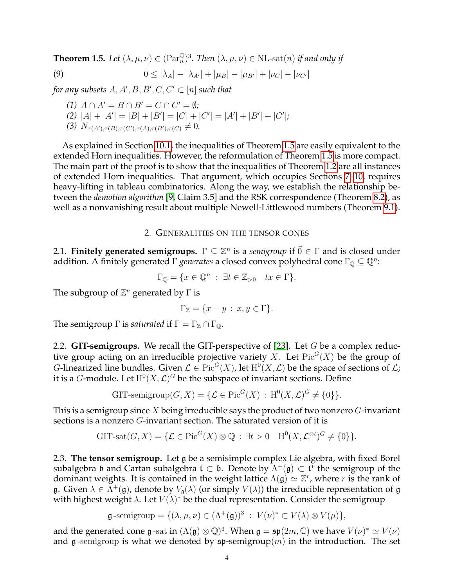<span id="page-3-0"></span>**Theorem 1.5.** Let  $(\lambda, \mu, \nu) \in (\text{Par}_n^{\mathbb{Q}})^3$ . Then  $(\lambda, \mu, \nu) \in \text{NL-sat}(n)$  if and only if

(9) 
$$
0 \le |\lambda_A| - |\lambda_{A'}| + |\mu_B| - |\mu_{B'}| + |\nu_C| - |\nu_{C'}|
$$

for any subsets  $A, A', B, B', C, C' \subset [n]$  such that

<span id="page-3-3"></span>(1) 
$$
A \cap A' = B \cap B' = C \cap C' = \emptyset
$$
;  
\n(2)  $|A| + |A'| = |B| + |B'| = |C| + |C'| = |A'| + |B'| + |C'|$ ;  
\n(3)  $N_{\tau(A'),\tau(B),\tau(C'),\tau(A),\tau(B'),\tau(C)} \neq 0$ .

As explained in Section [10.1,](#page-33-0) the inequalities of Theorem [1.5](#page-3-0) are easily equivalent to the extended Horn inequalities. However, the reformulation of Theorem [1.5](#page-3-0) is more compact. The main part of the proof is to show that the inequalities of Theorem [1.2](#page-1-4) are all instances of extended Horn inequalities. That argument, which occupies Sections [7–](#page-14-1)[10,](#page-33-1) requires heavy-lifting in tableau combinatorics. Along the way, we establish the relationship between the *demotion algorithm* [\[9,](#page-34-0) Claim 3.5] and the RSK correspondence (Theorem [8.2\)](#page-18-0), as well as a nonvanishing result about multiple Newell-Littlewood numbers (Theorem [9.1\)](#page-28-0).

## 2. GENERALITIES ON THE TENSOR CONES

2.1. **Finitely generated semigroups.**  $\Gamma \subseteq \mathbb{Z}^n$  is a *semigroup* if  $\vec{0} \in \Gamma$  and is closed under addition. A finitely generated  $\Gamma$  *generates* a closed convex polyhedral cone  $\Gamma_{\mathbb{Q}} \subseteq \mathbb{Q}^n$ :

$$
\Gamma_{\mathbb{Q}} = \{ x \in \mathbb{Q}^n : \exists t \in \mathbb{Z}_{>0} \quad tx \in \Gamma \}.
$$

The subgroup of  $\mathbb{Z}^n$  generated by  $\Gamma$  is

$$
\Gamma_{\mathbb{Z}} = \{ x - y : x, y \in \Gamma \}.
$$

The semigroup  $\Gamma$  is *saturated* if  $\Gamma = \Gamma_{\mathbb{Z}} \cap \Gamma_{\mathbb{Q}}$ .

<span id="page-3-1"></span>2.2. **GIT-semigroups.** We recall the GIT-perspective of [\[23\]](#page-35-5). Let G be a complex reductive group acting on an irreducible projective variety X. Let  $\operatorname{Pic}^G(X)$  be the group of *G*-linearized line bundles. Given  $\mathcal{L} \in Pic^G(X)$ , let  $H^0(X, \mathcal{L})$  be the space of sections of  $\mathcal{L}$ ; it is a *G*-module. Let  $H^0(X, \mathcal{L})^G$  be the subspace of invariant sections. Define

$$
\text{GIT-semigroup}(G, X) = \{ \mathcal{L} \in \text{Pic}^G(X) : \, \text{H}^0(X, \mathcal{L})^G \neq \{0\} \}.
$$

This is a semigroup since X being irreducible says the product of two nonzero  $G$ -invariant sections is a nonzero G-invariant section. The saturated version of it is

$$
\text{GIT-sat}(G, X) = \{ \mathcal{L} \in \text{Pic}^G(X) \otimes \mathbb{Q} : \exists t > 0 \quad \text{H}^0(X, \mathcal{L}^{\otimes t})^G \neq \{0\} \}.
$$

<span id="page-3-2"></span>2.3. **The tensor semigroup.** Let g be a semisimple complex Lie algebra, with fixed Borel subalgebra b and Cartan subalgebra  $\mathfrak{t} \subset \mathfrak{b}$ . Denote by  $\Lambda^+(\mathfrak{g}) \subset \mathfrak{t}^*$  the semigroup of the dominant weights. It is contained in the weight lattice  $\Lambda(\mathfrak{g}) \simeq \mathbb{Z}^r$ , where r is the rank of g. Given  $\lambda \in \Lambda^+(\mathfrak{g})$ , denote by  $V_\mathfrak{g}(\lambda)$  (or simply  $V(\lambda)$ ) the irreducible representation of g with highest weight  $\lambda$ . Let  $V(\lambda)^*$  be the dual representation. Consider the semigroup

$$
\mathfrak{g}\text{-semigroup}=\{(\lambda,\mu,\nu)\in (\Lambda^+(\mathfrak{g}))^3\;:\; V(\nu)^*\subset V(\lambda)\otimes V(\mu)\},
$$

and the generated cone g-sat in  $(\Lambda(\mathfrak{g}) \otimes \mathbb{Q})^3$ . When  $\mathfrak{g} = \mathfrak{sp}(2m, \mathbb{C})$  we have  $V(\nu)^* \simeq V(\nu)$ and g-semigroup is what we denoted by  $\mathfrak{sp}\text{-semigroup}(m)$  in the introduction. The set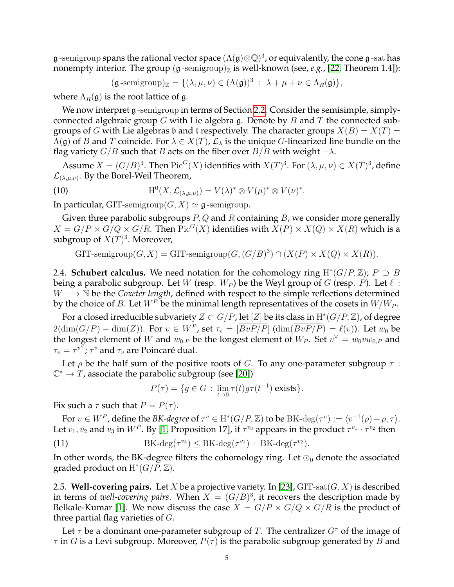$\frak g$  -semigroup spans the rational vector space  $(\Lambda(\frak g)\otimes\mathbb Q)^3$ , or equivalently, the cone  $\frak g$  -sat has nonempty interior. The group  $(g$ -semigroup)<sub>Z</sub> is well-known (see, *e.g.*, [\[22,](#page-35-9) Theorem 1.4]):

$$
(\mathfrak{g}\text{-semigroup})_{\mathbb{Z}} = \{(\lambda,\mu,\nu) \in (\Lambda(\mathfrak{g}))^3 \; : \; \lambda + \mu + \nu \in \Lambda_R(\mathfrak{g})\},
$$

where  $\Lambda_R(\mathfrak{g})$  is the root lattice of g.

We now interpret g-semigroup in terms of Section [2.2.](#page-3-1) Consider the semisimple, simplyconnected algebraic group G with Lie algebra g. Denote by B and T the connected subgroups of G with Lie algebras b and t respectively. The character groups  $X(B) = X(T) =$  $\Lambda(\mathfrak{g})$  of B and T coincide. For  $\lambda \in X(T)$ ,  $\mathcal{L}_{\lambda}$  is the unique G-linearized line bundle on the flag variety  $G/B$  such that B acts on the fiber over  $B/B$  with weight  $-\lambda$ .

Assume  $X = (G/B)^3$ . Then  $Pic^G(X)$  identifies with  $X(T)^3$ . For  $(\lambda, \mu, \nu) \in X(T)^3$ , define  $\mathcal{L}_{(\lambda,\mu,\nu)}$ . By the Borel-Weil Theorem,

(10) 
$$
H^{0}(X, \mathcal{L}_{(\lambda,\mu,\nu)}) = V(\lambda)^{*} \otimes V(\mu)^{*} \otimes V(\nu)^{*}.
$$

In particular, GIT-semigroup( $G, X$ )  $\simeq$  g-semigroup.

Given three parabolic subgroups  $P$ ,  $Q$  and  $R$  containing  $B$ , we consider more generally  $X = G/P \times G/Q \times G/R$ . Then  $\text{Pic}^G(X)$  identifies with  $X(P) \times X(Q) \times X(R)$  which is a subgroup of  $X(T)^3$ . Moreover,

GIT-semigroup $(G, X) = \text{GIT-semigroup}(G, (G/B)^3) \cap (X(P) \times X(Q) \times X(R)).$ 

2.4. **Schubert calculus.** We need notation for the cohomology ring  $H^*(G/P, \mathbb{Z})$ ;  $P \supset B$ being a parabolic subgroup. Let W (resp.  $W_P$ ) be the Weyl group of G (resp. P). Let  $\ell$ :  $W \longrightarrow N$  be the *Coxeter length*, defined with respect to the simple reflections determined by the choice of B. Let  $W^P$  be the minimal length representatives of the cosets in  $W/W_P$ .

For a closed irreducible subvariety  $Z \subset G/P$ , let  $[Z]$  be its class in  $\mathrm{H}^*(G/P, \mathbb{Z})$ , of degree  $2(\dim(G/P) - \dim(Z))$ . For  $v \in W^P$ , set  $\tau_v = [\overline{BvP/P}]$   $(\dim(\overline{BvP/P}) = \ell(v)$ ). Let  $w_0$  be the longest element of W and  $w_{0,P}$  be the longest element of  $W_P$ . Set  $v^{\vee} = w_0vw_{0,P}$  and  $\tau_v = \tau^{v^{\nabla}}$ ;  $\tau^v$  and  $\tau_v$  are Poincaré dual.

Let  $\rho$  be the half sum of the positive roots of G. To any one-parameter subgroup  $\tau$ :  $\mathbb{C}^* \to T$ , associate the parabolic subgroup (see [\[20\]](#page-35-10))

$$
P(\tau) = \{ g \in G : \lim_{t \to 0} \tau(t) g \tau(t^{-1}) \text{ exists} \}.
$$

Fix such a  $\tau$  such that  $P = P(\tau)$ .

For  $v \in W^P$ , define the *BK-degree* of  $\tau^v \in H^*(G/P, \mathbb{Z})$  to be BK-deg $(\tau^v) := \langle v^{-1}(\rho) - \rho, \tau \rangle$ . Let  $v_1, v_2$  and  $v_3$  in  $W^P$ . By [\[1,](#page-34-2) Proposition 17], if  $\tau^{v_3}$  appears in the product  $\tau^{v_1} \cdot \tau^{v_2}$  then

(11) 
$$
BK-\deg(\tau^{v_3}) \le BK-\deg(\tau^{v_1}) + BK-\deg(\tau^{v_2}).
$$

In other words, the BK-degree filters the cohomology ring. Let  $\odot_0$  denote the associated graded product on  $\mathrm{H}^*(G/\breve{P},\mathbb{Z}).$ 

2.5. **Well-covering pairs.** Let X be a projective variety. In [\[23\]](#page-35-5),  $\text{GIT-sat}(G, X)$  is described in terms of *well-covering pairs*. When  $X = (G/B)^3$ , it recovers the description made by Belkale-Kumar [\[1\]](#page-34-2). We now discuss the case  $X = G/P \times G/Q \times G/R$  is the product of three partial flag varieties of  $G$ .

Let  $\tau$  be a dominant one-parameter subgroup of T. The centralizer  $G^{\tau}$  of the image of  $\tau$  in G is a Levi subgroup. Moreover,  $P(\tau)$  is the parabolic subgroup generated by B and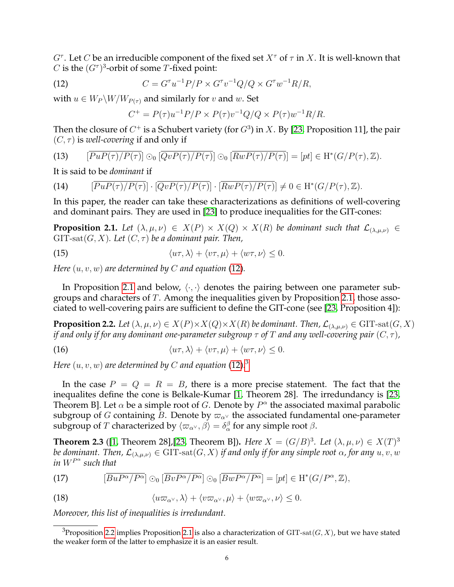$G^{\tau}$ . Let  $C$  be an irreducible component of the fixed set  $X^{\tau}$  of  $\tau$  in  $X$ . It is well-known that C is the  $(G<sup>\tau</sup>)$ <sup>3</sup>-orbit of some T-fixed point:

(12) 
$$
C = G^{\tau} u^{-1} P / P \times G^{\tau} v^{-1} Q / Q \times G^{\tau} w^{-1} R / R,
$$

with  $u \in W_P \backslash W / W_{P(\tau)}$  and similarly for v and w. Set

<span id="page-5-1"></span>
$$
C^{+} = P(\tau)u^{-1}P/P \times P(\tau)v^{-1}Q/Q \times P(\tau)w^{-1}R/R.
$$

Then the closure of  $C^{+}$  is a Schubert variety (for  $G^{3}$ ) in  $X.$  By [\[23,](#page-35-5) Proposition 11], the pair  $(C, \tau)$  is *well-covering* if and only if

<span id="page-5-9"></span>(13) 
$$
\left[\overline{PuP(\tau)/P(\tau)}\right] \odot \left[\overline{QvP(\tau)/P(\tau)}\right] \odot \left[\overline{RwP(\tau)/P(\tau)}\right] = \left[pt\right] \in H^*(G/P(\tau), \mathbb{Z}).
$$

It is said to be *dominant* if

(14) 
$$
\left[\overline{PuP(\tau)/P(\tau)}\right] \cdot \left[\overline{QvP(\tau)/P(\tau)}\right] \cdot \left[\overline{RwP(\tau)/P(\tau)}\right] \neq 0 \in \mathrm{H}^*(G/P(\tau), \mathbb{Z}).
$$

In this paper, the reader can take these characterizations as definitions of well-covering and dominant pairs. They are used in [\[23\]](#page-35-5) to produce inequalities for the GIT-cones:

<span id="page-5-2"></span>**Proposition 2.1.** *Let*  $(\lambda, \mu, \nu) \in X(P) \times X(Q) \times X(R)$  *be dominant such that*  $\mathcal{L}_{(\lambda,\mu,\nu)} \in$  $GIT-sat(G, X)$ *. Let*  $(C, \tau)$  *be a dominant pair. Then,* 

<span id="page-5-7"></span>(15) 
$$
\langle u\tau, \lambda \rangle + \langle v\tau, \mu \rangle + \langle w\tau, \nu \rangle \leq 0.
$$

*Here*  $(u, v, w)$  *are determined by C and equation* [\(12\)](#page-5-1)*.* 

In Proposition [2.1](#page-5-2) and below,  $\langle \cdot, \cdot \rangle$  denotes the pairing between one parameter subgroups and characters of  $T$ . Among the inequalities given by Proposition [2.1,](#page-5-2) those associated to well-covering pairs are sufficient to define the GIT-cone (see [\[23,](#page-35-5) Proposition 4]):

<span id="page-5-4"></span>**Proposition 2.2.** *Let*  $(\lambda, \mu, \nu) \in X(P) \times X(Q) \times X(R)$  *be dominant. Then,*  $\mathcal{L}_{(\lambda,\mu,\nu)} \in \text{GIT-sat}(G,X)$ *if and only if for any dominant one-parameter subgroup*  $\tau$  *of* T *and any well-covering pair*  $(C, \tau)$ *,* 

<span id="page-5-8"></span>(16) 
$$
\langle u\tau, \lambda\rangle + \langle v\tau, \mu\rangle + \langle w\tau, \nu\rangle \leq 0.
$$

Here  $(u, v, w)$  are determined by  $C$  and equation  $\textup{(12)}\textup{.}^3$  $\textup{(12)}\textup{.}^3$  $\textup{(12)}\textup{.}^3$  $\textup{(12)}\textup{.}^3$ 

In the case  $P = Q = R = B$ , there is a more precise statement. The fact that the inequalites define the cone is Belkale-Kumar [\[1,](#page-34-2) Theorem 28]. The irredundancy is [\[23,](#page-35-5) Theorem B]. Let  $\alpha$  be a simple root of G. Denote by  $P^{\alpha}$  the associated maximal parabolic subgroup of G containing B. Denote by  $\varpi_{\alpha}$  the associated fundamental one-parameter subgroup of  $T$  characterized by  $\langle \varpi_{\alpha^{\vee}}, \beta \rangle = \delta_{\alpha}^{\beta}$  for any simple root  $\beta$ .

<span id="page-5-0"></span>**Theorem 2.3** ([\[1,](#page-34-2) Theorem 28], [\[23,](#page-35-5) Theorem B]). *Here*  $X = (G/B)^3$ . Let  $(\lambda, \mu, \nu) \in X(T)^3$ *be dominant. Then,*  $\mathcal{L}_{(\lambda,\mu,\nu)} \in \text{GIT-sat}(G,X)$  *if and only if for any simple root*  $\alpha$ *, for any*  $u, v, w$ *in* W<sup>P</sup> α *such that*

<span id="page-5-6"></span>(17) 
$$
\left[\overline{BuP^{\alpha}/P^{\alpha}}\right] \odot_0 \left[\overline{BvP^{\alpha}/P^{\alpha}}\right] \odot_0 \left[\overline{BwP^{\alpha}/P^{\alpha}}\right] = \left[pt\right] \in \mathrm{H}^*(G/P^{\alpha}, \mathbb{Z}),
$$

<span id="page-5-5"></span>(18) 
$$
\langle u\varpi_{\alpha^{\vee}}, \lambda \rangle + \langle v\varpi_{\alpha^{\vee}}, \mu \rangle + \langle w\varpi_{\alpha^{\vee}}, \nu \rangle \leq 0.
$$

*Moreover, this list of inequalities is irredundant.*

<span id="page-5-3"></span><sup>&</sup>lt;sup>3</sup>Proposition [2.2](#page-5-4) implies Proposition [2.1](#page-5-2) is also a characterization of GIT-sat $(G, X)$ , but we have stated the weaker form of the latter to emphasize it is an easier result.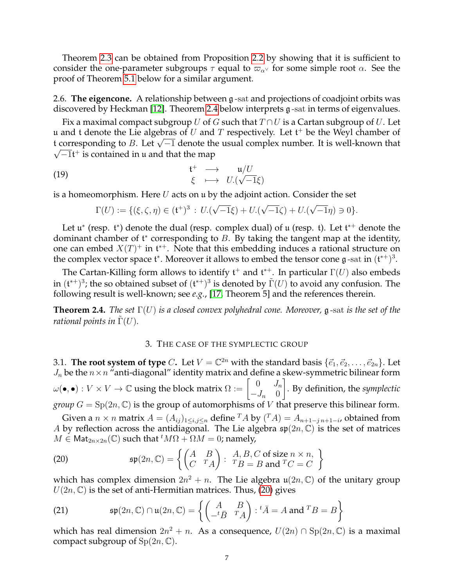Theorem [2.3](#page-5-0) can be obtained from Proposition [2.2](#page-5-4) by showing that it is sufficient to consider the one-parameter subgroups  $\tau$  equal to  $\varpi_{\alpha} \vee$  for some simple root  $\alpha$ . See the proof of Theorem [5.1](#page-12-1) below for a similar argument.

<span id="page-6-1"></span>2.6. **The eigencone.** A relationship between g -sat and projections of coadjoint orbits was discovered by Heckman [\[12\]](#page-35-11). Theorem [2.4](#page-6-2) below interprets g -sat in terms of eigenvalues.

Fix a maximal compact subgroup U of G such that  $T \cap U$  is a Cartan subgroup of U. Let u and t denote the Lie algebras of  $U$  and  $T$  respectively. Let t<sup>+</sup> be the Weyl chamber of t and t denote the Lie algebras of  $\theta$  and T respectively. Let the life weyl channel of t corresponding to B. Let  $\sqrt{-1}$  denote the usual complex number. It is well-known that  $\overline{-1}$ t<sup>+</sup> is contained in u and that the map

(19) 
$$
\begin{array}{rcl}\n t^+ & \longrightarrow & u/U \\
 \xi & \longmapsto & U.(\sqrt{-1}\xi)\n \end{array}
$$

is a homeomorphism. Here  $U$  acts on  $\mu$  by the adjoint action. Consider the set

<span id="page-6-4"></span>
$$
\Gamma(U) := \{ (\xi, \zeta, \eta) \in (\mathfrak{t}^+)^3 \, : \, U.(\sqrt{-1}\xi) + U.(\sqrt{-1}\zeta) + U.(\sqrt{-1}\eta) \ni 0 \}.
$$

Let  $\mathfrak{u}^*$  (resp.  $\mathfrak{t}^*$ ) denote the dual (resp. complex dual) of  $\mathfrak{u}$  (resp.  $\mathfrak{t}$ ). Let  $\mathfrak{t}^{*+}$  denote the dominant chamber of  $\mathfrak t^*$  corresponding to B. By taking the tangent map at the identity, one can embed  $X(T)^+$  in  $\mathfrak{t}^*$ . Note that this embedding induces a rational structure on the complex vector space  $\mathfrak{t}^*$ . Moreover it allows to embed the tensor cone  $\mathfrak{g}$ -sat in  $(\mathfrak{t}^{*+})^3$ .

The Cartan-Killing form allows to identify  $\mathfrak{t}^+$  and  $\mathfrak{t}^{*+}$ . In particular  $\Gamma(U)$  also embeds in  $({\frak t}^{*+})^3$ ; the so obtained subset of  $({\frak t}^{*+})^3$  is denoted by  $\tilde{\Gamma}(U)$  to avoid any confusion. The following result is well-known; see *e.g.*, [\[17,](#page-35-12) Theorem 5] and the references therein.

<span id="page-6-2"></span>**Theorem 2.4.** *The set* Γ(U) *is a closed convex polyhedral cone. Moreover,* g -sat *is the set of the rational points in*  $\Gamma(U)$ *.* 

# 3. THE CASE OF THE SYMPLECTIC GROUP

<span id="page-6-0"></span>3.1. **The root system of type** C. Let  $V = \mathbb{C}^{2n}$  with the standard basis  $\{\vec{e}_1, \vec{e}_2, \dots, \vec{e}_{2n}\}$ . Let  $J_n$  be the  $n \times n$  "anti-diagonal" identity matrix and define a skew-symmetric bilinear form  $\omega(\bullet,\bullet): V \times V \to \mathbb{C}$  using the block matrix  $\Omega := \left[\begin{array}{cc} 0 & J_n \ J_n & 0 \end{array}\right]$  $-J_n \quad 0$ 1 . By definition, the *symplectic group*  $G = Sp(2n, \mathbb{C})$  is the group of automorphisms of V that preserve this bilinear form.

Given a  $n \times n$  matrix  $A = (A_{ij})_{1 \le i,j \le n}$  define  $T A$  by  $(T A) = A_{n+1-j}$ , obtained from A by reflection across the antidiagonal. The Lie algebra  $\mathfrak{sp}(2n,\mathbb{C})$  is the set of matrices  $M \in \text{Mat}_{2n \times 2n}(\mathbb{C})$  such that  ${}^t M\Omega + \Omega M = 0$ ; namely,

<span id="page-6-3"></span>(20) 
$$
\mathfrak{sp}(2n,\mathbb{C}) = \left\{ \begin{pmatrix} A & B \\ C & {}^{T}A \end{pmatrix} : \begin{array}{c} A,B,C \text{ of size } n \times n, \\ {}^{T}B = B \text{ and } {}^{T}C = C \end{array} \right\}
$$

which has complex dimension  $2n^2 + n$ . The Lie algebra  $\mathfrak{u}(2n,\mathbb{C})$  of the unitary group  $U(2n, \mathbb{C})$  is the set of anti-Hermitian matrices. Thus, [\(20\)](#page-6-3) gives

<span id="page-6-5"></span>(21) 
$$
\mathfrak{sp}(2n,\mathbb{C}) \cap \mathfrak{u}(2n,\mathbb{C}) = \left\{ \begin{pmatrix} A & B \\ -{}^t\bar{B} & {}^T A \end{pmatrix} : {}^t\bar{A} = A \text{ and } {}^T B = B \right\}
$$

which has real dimension  $2n^2 + n$ . As a consequence,  $U(2n) \cap \text{Sp}(2n, \mathbb{C})$  is a maximal compact subgroup of  $Sp(2n, \mathbb{C})$ .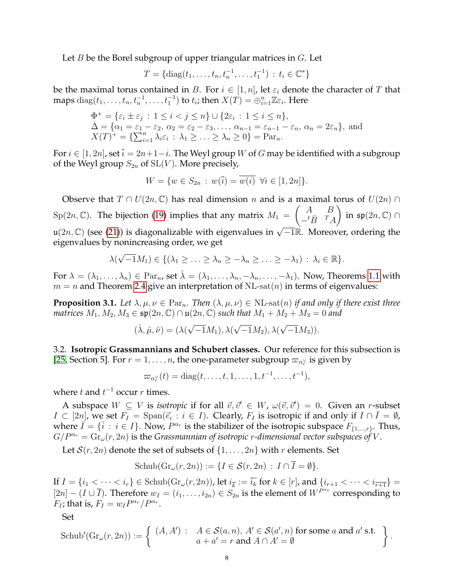Let  $B$  be the Borel subgroup of upper triangular matrices in  $G$ . Let

$$
T = \{ \mathrm{diag}(t_1, \ldots, t_n, t_n^{-1}, \ldots, t_1^{-1}) : t_i \in \mathbb{C}^* \}
$$

be the maximal torus contained in B. For  $i \in [1, n]$ , let  $\varepsilon_i$  denote the character of T that maps  $\text{diag}(t_1,\ldots,t_n,t_n^{-1},\ldots,t_1^{-1})$  to  $t_i$ ; then  $X(T)=\bigoplus_{i=1}^n \mathbb{Z}\varepsilon_i$ . Here

$$
\Phi^+ = \{\varepsilon_i \pm \varepsilon_j : 1 \le i < j \le n\} \cup \{2\varepsilon_i : 1 \le i \le n\},
$$
  
\n
$$
\Delta = \{\alpha_1 = \varepsilon_1 - \varepsilon_2, \alpha_2 = \varepsilon_2 - \varepsilon_3, \dots, \alpha_{n-1} = \varepsilon_{n-1} - \varepsilon_n, \alpha_n = 2\varepsilon_n\},\
$$
and  
\n
$$
X(T)^+ = \{\sum_{i=1}^n \lambda_i \varepsilon_i : \lambda_1 \ge \dots \ge \lambda_n \ge 0\} = \text{Par}_n.
$$

For  $i \in [1, 2n]$ , set  $\overline{i} = 2n+1-i$ . The Weyl group W of G may be identified with a subgroup of the Weyl group  $S_{2n}$  of  $SL(V)$ . More precisely,

$$
W = \{ w \in S_{2n} : w(\overline{i}) = \overline{w(i)} \ \forall i \in [1, 2n] \}.
$$

Observe that  $T \cap U(2n, \mathbb{C})$  has real dimension n and is a maximal torus of  $U(2n) \cap$  $\text{Sp}(2n,\mathbb{C})$ . The bijection [\(19\)](#page-6-4) implies that any matrix  $M_1 = \left( \begin{array}{cc} A & B \\ t & \bar{B} & T \end{array} \right)$  $-t\bar{B}$ <sup>T</sup>A ) in  $\mathfrak{sp}(2n,\mathbb{C})$  ∩ u(2n, ℂ) (see [\(21\)](#page-6-5)) is diagonalizable with eigenvalues in  $\sqrt{-1}\mathbb{R}$ . Moreover, ordering the eigenvalues by nonincreasing order, we get

$$
\lambda(\sqrt{-1}M_1) \in \{(\lambda_1 \geq \ldots \geq \lambda_n \geq -\lambda_n \geq \ldots \geq -\lambda_1) : \lambda_i \in \mathbb{R}\}.
$$

For  $\lambda = (\lambda_1, \ldots, \lambda_n) \in \text{Par}_n$ , set  $\hat{\lambda} = (\lambda_1, \ldots, \lambda_n, -\lambda_n, \ldots, -\lambda_1)$ . Now, Theorems [1.1](#page-1-1) with  $m = n$  and Theorem [2.4](#page-6-2) give an interpretation of NL-sat $(n)$  in terms of eigenvalues:

<span id="page-7-0"></span>**Proposition 3.1.** *Let*  $\lambda, \mu, \nu \in \mathrm{Par}_n$ *. Then*  $(\lambda, \mu, \nu) \in \mathrm{NL-sat}(n)$  *if and only if there exist three matrices*  $M_1, M_2, M_3 \in \mathfrak{sp}(2n, \mathbb{C}) \cap \mathfrak{u}(2n, \mathbb{C})$  *such that*  $M_1 + M_2 + M_3 = 0$  *and* 

$$
(\hat{\lambda}, \hat{\mu}, \hat{\nu}) = (\lambda(\sqrt{-1}M_1), \lambda(\sqrt{-1}M_2), \lambda(\sqrt{-1}M_3)).
$$

<span id="page-7-1"></span>3.2. **Isotropic Grassmannians and Schubert classes.** Our reference for this subsection is [\[25,](#page-35-6) Section 5]. For  $r = 1, \ldots, n$ , the one-parameter subgroup  $\varpi_{\alpha_r^{\vee}}$  is given by

$$
\varpi_{\alpha_r^{\vee}}(t) = \mathrm{diag}(t,\ldots,t,1,\ldots,1,t^{-1},\ldots,t^{-1}),
$$

where  $t$  and  $t^{-1}$  occur  $r$  times.

A subspace  $W \subseteq V$  is *isotropic* if for all  $\vec{v}, \vec{v}' \in W$ ,  $\omega(\vec{v}, \vec{v}') = 0$ . Given an *r*-subset  $I \subset [2n]$ , we set  $F_I = \text{Span}(\vec{e_i} : i \in I)$ . Clearly,  $F_I$  is isotropic if and only if  $I \cap \overline{I} = \emptyset$ , where  $\vec{I} = \{\vec{i} : i \in I\}$ . Now,  $P^{\alpha_r}$  is the stabilizer of the isotropic subspace  $F_{\{1,...,r\}}$ . Thus,  $G/P^{\alpha_r} = \text{Gr}_{\omega}(r, 2n)$  is the *Grassmannian of isotropic r-dimensional vector subspaces of V*.

Let  $S(r, 2n)$  denote the set of subsets of  $\{1, \ldots, 2n\}$  with r elements. Set

Schub
$$
(Gr_{\omega}(r, 2n)) := \{I \in \mathcal{S}(r, 2n) : I \cap \overline{I} = \emptyset\}.
$$

If  $I = \{i_1 < \cdots < i_r\} \in \text{Schub}(\text{Gr}_{\omega}(r, 2n))$ , let  $i_{\overline{k}} := \overline{i_k}$  for  $k \in [r]$ , and  $\{i_{r+1} < \cdots < i_{\overline{r+1}}\} =$  $[2n] - (I \cup \overline{I})$ . Therefore  $w_I = (i_1, \ldots, i_{2n}) \in S_{2n}$  is the element of  $W^{P^{\alpha_r}}$  corresponding to  $F_I$ ; that is,  $F_I = w_I P^{\alpha_r}/P^{\alpha_r}$ .

Set

Schub'(
$$
\text{Gr}_{\omega}(r, 2n)
$$
) :=  $\left\{ \begin{array}{l} (A, A') : A \in \mathcal{S}(a, n), A' \in \mathcal{S}(a', n) \text{ for some } a \text{ and } a' \text{ s.t.} \\ a + a' = r \text{ and } A \cap A' = \emptyset \end{array} \right\}.$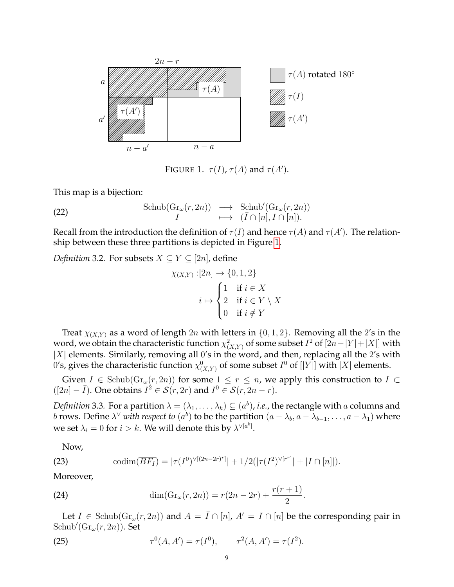<span id="page-8-0"></span>

<span id="page-8-1"></span>FIGURE 1.  $\tau(I)$ ,  $\tau(A)$  and  $\tau(A')$ .

This map is a bijection:

(22) 
$$
\operatorname{Schub}(Gr_{\omega}(r, 2n)) \longrightarrow \operatorname{Schub}'(Gr_{\omega}(r, 2n))
$$

$$
I \longmapsto (\bar{I} \cap [n], I \cap [n]).
$$

Recall from the introduction the definition of  $\tau(I)$  and hence  $\tau(A)$  and  $\tau(A')$ . The relationship between these three partitions is depicted in Figure [1.](#page-8-0)

*Definition* 3.2. For subsets  $X \subseteq Y \subseteq [2n]$ , define

$$
\chi_{(X,Y)}:[2n] \to \{0,1,2\}
$$

$$
i \mapsto \begin{cases} 1 & \text{if } i \in X \\ 2 & \text{if } i \in Y \setminus X \\ 0 & \text{if } i \notin Y \end{cases}
$$

Treat  $\chi_{(X,Y)}$  as a word of length 2n with letters in  $\{0,1,2\}$ . Removing all the 2's in the word, we obtain the characteristic function  $\chi^2_{(X,Y)}$  of some subset  $I^2$  of  $[2n-|Y|+|X|]$  with  $|X|$  elements. Similarly, removing all 0's in the word, and then, replacing all the 2's with 0's, gives the characteristic function  $\chi_{(X,Y)}^0$  of some subset  $I^0$  of  $[|Y|]$  with  $|X|$  elements.

Given  $I \in Schub(\mathrm{Gr}_{\omega}(r, 2n))$  for some  $1 \leq r \leq n$ , we apply this construction to  $I \subset$  $([2n] - \bar{I})$ . One obtains  $I^2 \in S(r, 2r)$  and  $I^0 \in S(r, 2n - r)$ .

*Definition* 3.3. For a partition  $\lambda = (\lambda_1, \dots, \lambda_k) \subseteq (a^b)$ , *i.e.*, the rectangle with  $a$  columns and *b* rows. Define  $\lambda^\vee$  *with respect to*  $(a^b)$  to be the partition  $(a - \lambda_b, a - \lambda_{b-1}, \ldots, a - \lambda_1)$  where we set  $\lambda_i = 0$  for  $i > k$ . We will denote this by  $\lambda^{\vee [a^b]}$ .

<span id="page-8-2"></span>Now,

(23) 
$$
\text{codim}(\overline{BF_I}) = |\tau(I^0)^{\vee[(2n-2r)^r]}| + 1/2(|\tau(I^2)^{\vee[r^r]}| + |I \cap [n]|).
$$

Moreover,

<span id="page-8-3"></span>(24) 
$$
\dim(\mathrm{Gr}_{\omega}(r,2n)) = r(2n-2r) + \frac{r(r+1)}{2}.
$$

Let  $I \in Schub(Gr_{\omega}(r, 2n))$  and  $A = \overline{I} \cap [n], A' = I \cap [n]$  be the corresponding pair in  $\mathrm{Schub}'(\mathrm{Gr}_{\omega}(r,2n)).$  Set

(25) 
$$
\tau^{0}(A, A') = \tau(I^{0}), \qquad \tau^{2}(A, A') = \tau(I^{2}).
$$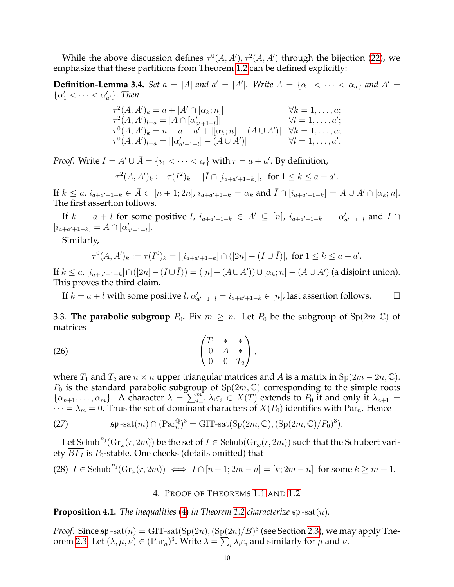While the above discussion defines  $\tau^0(A, A'), \tau^2(A, A')$  through the bijection [\(22\)](#page-8-1), we emphasize that these partitions from Theorem [1.2](#page-1-4) can be defined explicitly:

**Definition-Lemma 3.4.** *Set*  $a = |A|$  *and*  $a' = |A'|$ *. Write*  $A = \{\alpha_1 < \cdots < \alpha_a\}$  *and*  $A' = \{\alpha_2 < \cdots < \alpha_n\}$  $\{\alpha'_1 < \cdots < \alpha'_{a'}\}.$  Then

$$
\tau^{2}(A, A')_{k} = a + |A' \cap [\alpha_{k}; n]| \qquad \forall k = 1, ..., a;
$$
  
\n
$$
\tau^{2}(A, A')_{l+a} = |A \cap [\alpha'_{a'+1-l}]| \qquad \forall l = 1, ..., a;
$$
  
\n
$$
\tau^{0}(A, A')_{k} = n - a - a' + |[\alpha_{k}; n] - (A \cup A')| \qquad \forall k = 1, ..., a;
$$
  
\n
$$
\tau^{0}(A, A')_{l+a} = |[\alpha'_{a'+1-l}] - (A \cup A')| \qquad \forall l = 1, ..., a'.
$$

*Proof.* Write  $I = A' \cup \overline{A} = \{i_1 < \cdots < i_r\}$  with  $r = a + a'$ . By definition,

$$
\tau^2(A, A')_k := \tau(I^2)_k = |\bar{I} \cap [i_{a+a'+1-k}]|, \text{ for } 1 \le k \le a+a'.
$$

If  $k \le a$ ,  $i_{a+a'+1-k} \in \overline{A} \subset [n+1;2n]$ ,  $i_{a+a'+1-k} = \overline{\alpha_k}$  and  $\overline{I} \cap [i_{a+a'+1-k}] = A \cup \overline{A' \cap [\alpha_k; n]}$ . The first assertion follows.

If  $k = a + l$  for some positive  $l, i_{a+a'+1-k} \in A' \subseteq [n]$ ,  $i_{a+a'+1-k} = \alpha'_{a'+1-l}$  and  $\overline{I} \cap I$  $[i_{a+a'+1-k}] = A \cap [\alpha'_{a'+1-l}].$ 

Similarly,

$$
\tau^0(A, A')_k := \tau(I^0)_k = |[i_{a+a'+1-k}] \cap ([2n] - (I \cup \overline{I})|, \text{ for } 1 \le k \le a+a'.
$$

If  $k \le a$ ,  $[i_{a+a'+1-k}] \cap ([2n] - (I \cup \overline{I})) = ([n] - (A \cup A')) \cup \overline{[\alpha_k; n] - (A \cup A')}$  (a disjoint union). This proves the third claim.

If  $k = a + l$  with some positive  $l$ ,  $\alpha'_{a'+1-l} = i_{a+a'+1-k} \in [n]$ ; last assertion follows.  $\Box$ 

3.3. **The parabolic subgroup**  $P_0$ . Fix  $m \geq n$ . Let  $P_0$  be the subgroup of  $Sp(2m, \mathbb{C})$  of matrices

(26) 
$$
\begin{pmatrix} T_1 & * & * \\ 0 & A & * \\ 0 & 0 & T_2 \end{pmatrix},
$$

where  $T_1$  and  $T_2$  are  $n \times n$  upper triangular matrices and A is a matrix in  $\text{Sp}(2m-2n, \mathbb{C})$ .  $P_0$  is the standard parabolic subgroup of  $Sp(2m, \mathbb{C})$  corresponding to the simple roots  $\{\alpha_{n+1},\ldots,\alpha_m\}$ . A character  $\lambda = \sum_{i=1}^m \lambda_i \varepsilon_i \in X(T)$  extends to  $P_0$  if and only if  $\lambda_{n+1} =$  $\cdots = \lambda_m = 0$ . Thus the set of dominant characters of  $X(P_0)$  identifies with Par<sub>n</sub>. Hence

<span id="page-9-1"></span>(27) 
$$
\mathfrak{sp}\text{-}\mathrm{sat}(m)\cap(\mathrm{Par}_{n}^{\mathbb{Q}})^{3}=\mathrm{GIT}\text{-}\mathrm{sat}(\mathrm{Sp}(2m,\mathbb{C}),(\mathrm{Sp}(2m,\mathbb{C})/P_{0})^{3}).
$$

Let  $\mathrm{Schub}^{P_0}(\mathrm{Gr}_{\omega}(r,2m))$  be the set of  $I\in\mathrm{Schub}(\mathrm{Gr}_{\omega}(r,2m))$  such that the Schubert variety  $\overline{BF_I}$  is  $P_0$ -stable. One checks (details omitted) that

<span id="page-9-2"></span>(28) 
$$
I \in \text{Schub}^{P_0}(\text{Gr}_{\omega}(r, 2m)) \iff I \cap [n+1; 2m-n] = [k; 2m-n]
$$
 for some  $k \ge m+1$ .

# 4. PROOF OF THEOREMS [1.1](#page-1-1) AND [1.2](#page-1-4)

<span id="page-9-0"></span>**Proposition 4.1.** *The inequalities* [\(4\)](#page-1-5) *in Theorem [1.2](#page-1-4) characterize*  $\mathfrak{sp}\text{-sat}(n)$ *.* 

*Proof.* Since  $\mathfrak{sp}\text{-}\mathrm{sat}(n) = \mathrm{GIT}\text{-}\mathrm{sat}(\mathrm{Sp}(2n),(\mathrm{Sp}(2n)/B)^3$  (see Section [2.3\)](#page-3-2), we may apply The-orem [2.3.](#page-5-0) Let  $(\lambda, \mu, \nu) \in (\operatorname{Par}_n)^3$ . Write  $\lambda = \sum_i \lambda_i \varepsilon_i$  and similarly for  $\mu$  and  $\nu$ .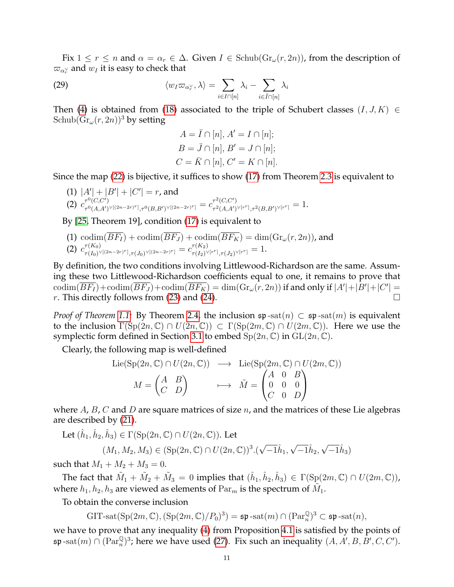Fix  $1 \le r \le n$  and  $\alpha = \alpha_r \in \Delta$ . Given  $I \in$  Schub( $\text{Gr}_{\omega}(r, 2n)$ ), from the description of  $\varpi_{\alpha_r^\vee}$  and  $w_I$  it is easy to check that

(29) 
$$
\langle w_I \varpi_{\alpha_r^{\vee}}, \lambda \rangle = \sum_{i \in I \cap [n]} \lambda_i - \sum_{i \in \bar{I} \cap [n]} \lambda_i
$$

Then [\(4\)](#page-1-5) is obtained from [\(18\)](#page-5-5) associated to the triple of Schubert classes  $(I, J, K) \in$ Schub $(\text{Gr}_{\omega}(r, 2n))^3$  by setting

<span id="page-10-0"></span>
$$
A = \overline{I} \cap [n], A' = I \cap [n];
$$
  
\n
$$
B = \overline{J} \cap [n], B' = J \cap [n];
$$
  
\n
$$
C = \overline{K} \cap [n], C' = K \cap [n].
$$

Since the map [\(22\)](#page-8-1) is bijective, it suffices to show [\(17\)](#page-5-6) from Theorem [2.3](#page-5-0) is equivalent to

(1)  $|A'| + |B'| + |C'| = r$ , and (2)  $c_{\tau^0(A,A')}^{\tau^0(C,C')}$  $\tau^0(C,C') \ \tau^0(A,A')^{\vee [(2n-2r)^r]}, \tau^0(B,B')^{\vee [(2n-2r)^r]} = c_{\tau^2(A,A')}^{r^2(C,C')}$  $\tau^2_{\;\;(A,A')^{\vee [r^r]}, \tau^2(B,B')^{\vee [r^r]}} = 1.$ 

By [\[25,](#page-35-6) Theorem 19], condition [\(17\)](#page-5-6) is equivalent to

(1) 
$$
\operatorname{codim}(\overline{BF_1}) + \operatorname{codim}(\overline{BF_J}) + \operatorname{codim}(\overline{BF_K}) = \dim(\text{Gr}_{\omega}(r, 2n))
$$
, and  
(2)  $c^{\tau(K_0)}_{\tau(I_0)^{\vee[(2n-2r)^r]}, \tau(J_0)^{\vee[(2n-2r)^r]}} = c^{\tau(K_2)}_{\tau(I_2)^{\vee[r^r]}, \tau(J_2)^{\vee[r^r]}} = 1$ .

By definition, the two conditions involving Littlewood-Richardson are the same. Assuming these two Littlewood-Richardson coefficients equal to one, it remains to prove that  $\mathrm{codim}(\overline{BF_I})+\mathrm{codim}(\overline{BF_J})+\mathrm{codim}(\overline{BF_K})=\dim(\mathrm{Gr}_{\omega}(r,2n))$  if and only if  $|A'|+|B'|+|C'|=$ r. This directly follows from [\(23\)](#page-8-2) and [\(24\)](#page-8-3).  $\Box$ 

*Proof of Theorem* [1.1:](#page-1-1) By Theorem [2.4,](#page-6-2) the inclusion  $\mathfrak{sp}$ -sat $(n) \subset \mathfrak{sp}$ -sat $(m)$  is equivalent to the inclusion  $\Gamma(\text{Sp}(2n,\mathbb{C}) \cap U(2n,\mathbb{C})) \subset \Gamma(\text{Sp}(2m,\mathbb{C}) \cap U(2m,\mathbb{C}))$ . Here we use the symplectic form defined in Section [3.1](#page-6-0) to embed  $Sp(2n,\mathbb{C})$  in  $GL(2n,\mathbb{C})$ .

Clearly, the following map is well-defined

$$
\text{Lie}(\text{Sp}(2n, \mathbb{C}) \cap U(2n, \mathbb{C})) \longrightarrow \text{Lie}(\text{Sp}(2m, \mathbb{C}) \cap U(2m, \mathbb{C}))
$$

$$
M = \begin{pmatrix} A & B \\ C & D \end{pmatrix} \longrightarrow \tilde{M} = \begin{pmatrix} A & 0 & B \\ 0 & 0 & 0 \\ C & 0 & D \end{pmatrix}
$$

where  $A$ ,  $B$ ,  $C$  and  $D$  are square matrices of size  $n$ , and the matrices of these Lie algebras are described by [\(21\)](#page-6-5).

Let  $(\hat{h}_1, \hat{h}_2, \hat{h}_3) \in \Gamma(\mathrm{Sp}(2n, \mathbb{C}) \cap U(2n, \mathbb{C}))$ . Let

$$
(M_1, M_2, M_3) \in (\text{Sp}(2n, \mathbb{C}) \cap U(2n, \mathbb{C}))^3.(\sqrt{-1}\hat{h}_1, \sqrt{-1}\hat{h}_2, \sqrt{-1}\hat{h}_3)
$$

such that  $M_1 + M_2 + M_3 = 0$ .

The fact that  $\tilde{M}_1+\tilde{M}_2+\tilde{M}_3=0$  implies that  $(\hat{h}_1,\hat{h}_2,\hat{h}_3)\,\in\,\Gamma(\mathrm{Sp}(2m,\mathbb{C})\cap U(2m,\mathbb{C})),$ where  $h_1, h_2, h_3$  are viewed as elements of  $\operatorname{Par}_m$  is the spectrum of  $\tilde{M}_1$ .

To obtain the converse inclusion

 $\text{GIT-sat}(\text{Sp}(2m,\mathbb{C}),(\text{Sp}(2m,\mathbb{C})/P_0)^3)=\mathfrak{sp}\operatorname{-sat}(m)\cap (\operatorname{Par}_n^{\mathbb{Q}})^3\subset \mathfrak{sp}\operatorname{-sat}(n),$ 

we have to prove that any inequality [\(4\)](#page-1-5) from Proposition [4.1](#page-9-0) is satisfied by the points of  $\mathfrak{sp}\operatorname{-sat}(m)\cap(\operatorname{Par}_n^{\mathbb Q})^3$ ; here we have used [\(27\)](#page-9-1). Fix such an inequality  $(A, A', B, B', C, C')$ .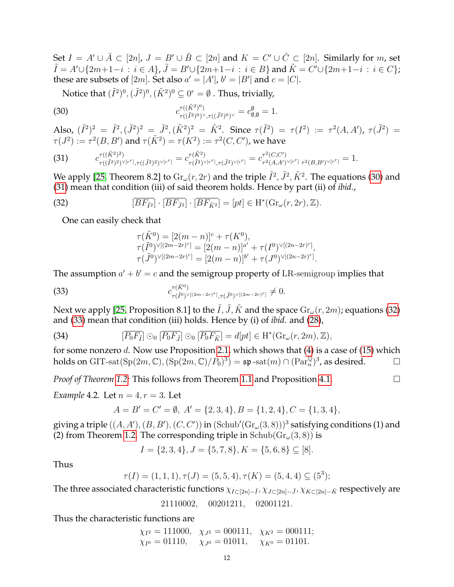Set  $I = A' \cup \overline{A} \subset [2n]$ ,  $J = B' \cup \overline{B} \subset [2n]$  and  $K = C' \cup \overline{C} \subset [2n]$ . Similarly for m, set  $\tilde{I}=A'\cup\{2m+1-i\,:\,i\in A\}$ ,  $\tilde{J}=B'\cup\{2m+1-i\,:\,i\in B\}$  and  $\tilde{K}=C'\cup\{2m+1-i\,:\,i\in C\};$ these are subsets of  $[2m]$ . Set also  $a' = |A'|$ ,  $b' = |B'|$  and  $c = |C|$ .

<span id="page-11-0"></span>Notice that  $(\tilde{I}^2)^0,(\tilde{J}^2)^0,(\tilde{K}^2)^0\subseteq 0^r=\emptyset$  . Thus, trivially,

(30) 
$$
c_{\tau((\tilde{I}^2)^0) \vee, \tau((\tilde{J}^2)^0) \vee \tau((\tilde{J}^2)^0) \vee}^{\tau((\tilde{K}^2)^0)} = c_{\emptyset, \emptyset}^{\emptyset} = 1.
$$

Also,  $(\tilde{I}^2)^2 = \tilde{I}^2$ ,  $(\tilde{J}^2)^2 = \tilde{J}^2$ ,  $(\tilde{K}^2)^2 = \tilde{K}^2$ . Since  $\tau(\tilde{I}^2) = \tau(I^2) := \tau^2(A, A')$ ,  $\tau(\tilde{J}^2) =$  $\tau(J^2):=\tau^2(B,B')$  and  $\tau(\tilde{K}^2)=\tau(K^2):=\tau^2(C,C'),$  we have

<span id="page-11-1"></span>(31) 
$$
c_{\tau((\tilde{I}^2)^2) \vee [r^r], \tau((\tilde{J}^2)^2) \vee [r^r]} = c_{\tau(\tilde{I}^2) \vee [r^r], \tau(\tilde{J}^2) \vee [r^r]}^{(\tilde{K}^2)} = c_{\tau^2(A, A') \vee [r^r]}^{\tau^2(C, C')} = 1.
$$

We apply [\[25,](#page-35-6) Theorem 8.2] to  ${\rm Gr}_{\omega}(r,2r)$  and the triple  $\tilde{I}^2, \tilde{J}^2, \tilde{K}^2$ . The equations [\(30\)](#page-11-0) and [\(31\)](#page-11-1) mean that condition (iii) of said theorem holds. Hence by part (ii) of *ibid.*,

(32) 
$$
[\overline{BF_{\tilde{I}^2}}] \cdot [\overline{BF_{\tilde{J}^2}}] \cdot [\overline{BF_{\tilde{K}^2}}] = [pt] \in \mathrm{H}^*(\mathrm{Gr}_{\omega}(r,2r),\mathbb{Z}).
$$

One can easily check that

<span id="page-11-3"></span><span id="page-11-2"></span>
$$
\tau(\tilde{K}^0) = [2(m-n)]^c + \tau(K^0),
$$
  
\n
$$
\tau(\tilde{I}^0)^{\vee[(2m-2r)^r]} = [2(m-n)]^{a'} + \tau(I^0)^{\vee[(2n-2r)^r]},
$$
  
\n
$$
\tau(\tilde{J}^0)^{\vee[(2m-2r)^r]} = [2(m-n)]^{b'} + \tau(J^0)^{\vee[(2n-2r)^r]}.
$$

The assumption  $a' + b' = c$  and the semigroup property of LR-semigroup implies that

(33) 
$$
c_{\tau(\tilde{I}^0)^{\vee[(2m-2r)^r]},\tau(\tilde{J}^0)^{\vee[(2m-2r)^r]}} \neq 0.
$$

Next we apply [\[25,](#page-35-6) Proposition 8.1] to the  $\tilde{I}$ ,  $\tilde{J}$ ,  $\tilde{K}$  and the space  $\text{Gr}_{\omega}(r, 2m)$ ; equations [\(32\)](#page-11-2) and [\(33\)](#page-11-3) mean that condition (iii) holds. Hence by (i) of *ibid.* and [\(28\)](#page-9-2),

(34) 
$$
[\overline{P_0F_{\tilde{I}}}] \odot_0 [\overline{P_0F_{\tilde{J}}}] \odot_0 [\overline{P_0F_{\tilde{K}}}] = d[pt] \in \mathrm{H}^*(\mathrm{Gr}_{\omega}(r,2m),\mathbb{Z}),
$$

for some nonzero d. Now use Proposition [2.1,](#page-5-2) which shows that  $(4)$  is a case of  $(15)$  which holds on GIT-sat $({\rm Sp}(2m,{\mathbb C}),({\rm Sp}(2m,{\mathbb C})/P_0)^3) = {\mathfrak s}{\mathfrak p}$ -sat $(m)\cap ({\rm Par}_n^{\mathbb Q})^3$ , as desired.  $\hskip10mm \square$ 

*Proof of Theorem* [1.2:](#page-1-4) This follows from Theorem [1.1](#page-1-1) and Proposition [4.1.](#page-9-0)

*Example* 4.2*.* Let  $n = 4, r = 3$ *.* Let

$$
A = B' = C' = \emptyset, A' = \{2, 3, 4\}, B = \{1, 2, 4\}, C = \{1, 3, 4\},\
$$

giving a triple  $((A, A'), (B, B'), (C, C'))$  in  $(Schub'(Gr_\omega(3, 8)))^3$  satisfying conditions (1) and (2) from Theorem [1.2.](#page-1-4) The corresponding triple in  $Schub(Gr_{\omega}(3,8))$  is

$$
I = \{2, 3, 4\}, J = \{5, 7, 8\}, K = \{5, 6, 8\} \subseteq [8].
$$

Thus

$$
\tau(I) = (1, 1, 1), \tau(J) = (5, 5, 4), \tau(K) = (5, 4, 4) \subseteq (5^3);
$$

The three associated characteristic functions  $\chi_{I\subset [2n]-\bar{I}}, \chi_{J\subset [2n]-\bar{J}}, \chi_{K\subset [2n]-\bar{K}}$  respectively are

21110002, 00201211, 02001121.

Thus the characteristic functions are

 $\chi_{I^2} = 111000, \quad \chi_{J^2} = 000111, \quad \chi_{K^2} = 000111;$  $\chi_{I^0} = 01110, \quad \chi_{J^0} = 01011, \quad \chi_{K^0} = 01101.$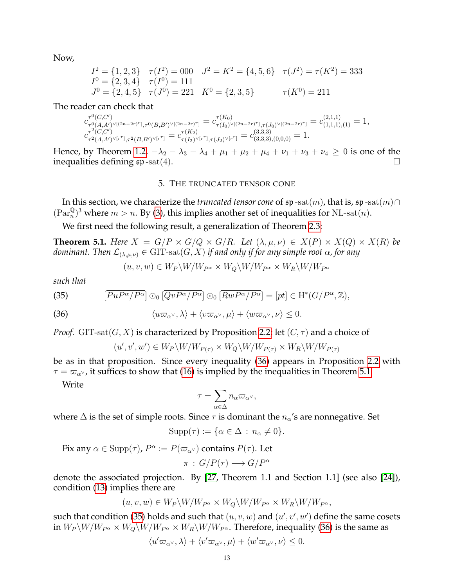Now,

$$
I2 = \{1, 2, 3\} \quad \tau(I2) = 000 \quad J2 = K2 = \{4, 5, 6\} \quad \tau(J2) = \tau(K2) = 333
$$
  
\n
$$
I0 = \{2, 3, 4\} \quad \tau(I0) = 111
$$
  
\n
$$
J0 = \{2, 4, 5\} \quad \tau(J0) = 221 \quad K0 = \{2, 3, 5\} \quad \tau(K0) = 211
$$

The reader can check that

$$
c_{\tau^0(A,A')^\vee[(2n-2r)^r],\tau^0(B,B')^\vee[(2n-2r)^r]}^{\tau^0(C,C')} = c_{\tau(I_0)^\vee[(2n-2r)^r],\tau(J_0)^\vee[(2n-2r)^r]}^{\tau(K_0)} = c_{(1,1,1),(1)}^{(2,1,1)} = 1,
$$
  

$$
c_{\tau^2(C,C')}^{(2,2,1')} = c_{\tau^2(A,A')^\vee[r^r],\tau^2(B,B')^\vee[r^r]}^{\tau(K_2)} = c_{(3,3,3),(0,0,0)}^{(3,3,3)} = 1.
$$

Hence, by Theorem [1.2,](#page-1-4)  $-\lambda_2 - \lambda_3 - \lambda_4 + \mu_1 + \mu_2 + \mu_4 + \nu_1 + \nu_3 + \nu_4 \ge 0$  is one of the inequalities defining  $\mathfrak{sp}\text{-sat}(4)$ .

### 5. THE TRUNCATED TENSOR CONE

<span id="page-12-0"></span>In this section, we characterize the *truncated tensor cone* of  $\mathfrak{sp}$  -sat $(m)$ , that is,  $\mathfrak{sp}$  -sat $(m) \cap$  $(\text{Par}_n^{\mathbb{Q}})^3$  where  $m > n$ . By [\(3\)](#page-1-6), this implies another set of inequalities for NL-sat $(n)$ .

We first need the following result, a generalization of Theorem [2.3:](#page-5-0)

<span id="page-12-1"></span>**Theorem 5.1.** *Here*  $X = G/P \times G/Q \times G/R$ *. Let*  $(\lambda, \mu, \nu) \in X(P) \times X(Q) \times X(R)$  *be dominant. Then*  $\mathcal{L}_{(\lambda,\mu,\nu)} \in \text{GIT-sat}(G,X)$  *if and only if for any simple root*  $\alpha$ *, for any* 

<span id="page-12-3"></span>
$$
(u, v, w) \in W_P \backslash W / W_{P^{\alpha}} \times W_Q \backslash W / W_{P^{\alpha}} \times W_R \backslash W / W_{P^{\alpha}}
$$

*such that*

(35) 
$$
\left[\overline{PuP^{\alpha}/P^{\alpha}}\right] \odot_0 \left[\overline{QvP^{\alpha}/P^{\alpha}}\right] \odot_0 \left[\overline{RwP^{\alpha}/P^{\alpha}}\right] = \left[pt\right] \in \mathrm{H}^*(G/P^{\alpha}, \mathbb{Z}),
$$

(36) 
$$
\langle u\varpi_{\alpha^{\vee}}, \lambda \rangle + \langle v\varpi_{\alpha^{\vee}}, \mu \rangle + \langle w\varpi_{\alpha^{\vee}}, \nu \rangle \leq 0.
$$

*Proof.* GIT-sat $(G, X)$  is characterized by Proposition [2.2;](#page-5-4) let  $(C, \tau)$  and a choice of

<span id="page-12-2"></span>
$$
u', v', w') \in W_P \backslash W / W_{P(\tau)} \times W_Q \backslash W / W_{P(\tau)} \times W_R \backslash W / W_{P(\tau)}
$$

be as in that proposition. Since every inequality [\(36\)](#page-12-2) appears in Proposition [2.2](#page-5-4) with  $\tau = \varpi_{\alpha}$ , it suffices to show that [\(16\)](#page-5-8) is implied by the inequalities in Theorem [5.1.](#page-12-1)

Write

 $\left(\cdot\right)$ 

$$
\tau = \sum_{\alpha \in \Delta} n_\alpha \varpi_{\alpha^\vee},
$$

where  $\Delta$  is the set of simple roots. Since  $\tau$  is dominant the  $n_{\alpha}$ 's are nonnegative. Set

$$
Supp(\tau) := \{ \alpha \in \Delta : n_{\alpha} \neq 0 \}.
$$

Fix any  $\alpha \in \text{Supp}(\tau)$ ,  $P^{\alpha} := P(\varpi_{\alpha^{\vee}})$  contains  $P(\tau)$ . Let

$$
\pi : G/P(\tau) \longrightarrow G/P^{\alpha}
$$

denote the associated projection. By [\[27,](#page-35-13) Theorem 1.1 and Section 1.1] (see also [\[24\]](#page-35-14)), condition [\(13\)](#page-5-9) implies there are

$$
(u, v, w) \in W_P \backslash W / W_{P^{\alpha}} \times W_Q \backslash W / W_{P^{\alpha}} \times W_R \backslash W / W_{P^{\alpha}},
$$

such that condition [\(35\)](#page-12-3) holds and such that  $(u, v, w)$  and  $(u', v', w')$  define the same cosets in  $W_P \backslash W/W_{P^{\alpha}} \times W_Q \backslash W/W_{P^{\alpha}} \times W_R \backslash W/W_{P^{\alpha}}$ . Therefore, inequality [\(36\)](#page-12-2) is the same as

$$
\langle u'\varpi_{\alpha^{\vee}}, \lambda \rangle + \langle v'\varpi_{\alpha^{\vee}}, \mu \rangle + \langle w'\varpi_{\alpha^{\vee}}, \nu \rangle \leq 0.
$$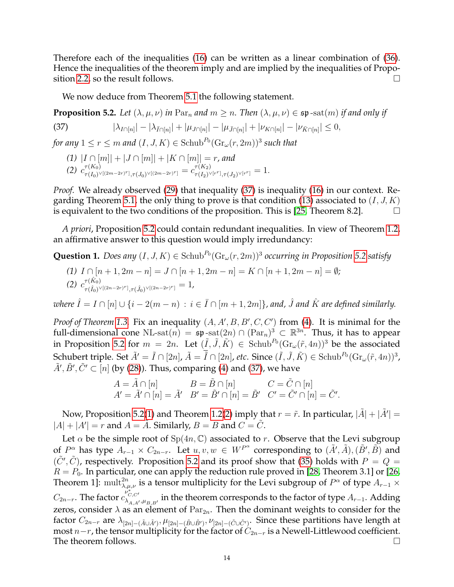Therefore each of the inequalities [\(16\)](#page-5-8) can be written as a linear combination of [\(36\)](#page-12-2). Hence the inequalities of the theorem imply and are implied by the inequalities of Propo-sition [2.2,](#page-5-4) so the result follows.

<span id="page-13-1"></span>We now deduce from Theorem [5.1](#page-12-1) the following statement.

<span id="page-13-0"></span>**Proposition 5.2.** *Let*  $(\lambda, \mu, \nu)$  *in*  $\text{Par}_n$  *and*  $m \geq n$ *. Then*  $(\lambda, \mu, \nu) \in \text{sp-sat}(m)$  *if and only if* 

$$
(37) \qquad |\lambda_{I \cap [n]}| - |\lambda_{\bar{I} \cap [n]}| + |\mu_{J \cap [n]}| - |\mu_{\bar{J} \cap [n]}| + |\nu_{K \cap [n]}| - |\nu_{\bar{K} \cap [n]}| \leq 0,
$$

for any  $1 \leq r \leq m$  and  $(I,J,K) \in \mathrm{Schub}^{P_0}(\mathrm{Gr}_{\omega}(r,2m))^3$  such that

- <span id="page-13-2"></span>*(1)*  $|I ∩ [m]| + |J ∩ [m]| + |K ∩ [m]| = r$ , and
- (2)  $c_{\tau(L_0)}^{\tau(K_0)}$  $\frac{\tau(K_0)}{\tau(I_0)^{\vee[(2m-2r)^r]},\tau(J_0)^{\vee[(2m-2r)^r]}=c^{\tau(K_2)}_{\tau(I_2)^{\vee}}$  $\tau$ (K2) $\tau(I_2)^{\vee [r^r]}, \tau(J_2)^{\vee [r^r]} = 1.$

*Proof.* We already observed [\(29\)](#page-10-0) that inequality [\(37\)](#page-13-1) is inequality [\(16\)](#page-5-8) in our context. Re-garding Theorem [5.1,](#page-12-1) the only thing to prove is that condition [\(13\)](#page-5-9) associated to  $(I, J, K)$ is equivalent to the two conditions of the proposition. This is [\[25,](#page-35-6) Theorem 8.2].

*A priori*, Proposition [5.2](#page-13-0) could contain redundant inequalities. In view of Theorem [1.2,](#page-1-4) an affirmative answer to this question would imply irredundancy:

**Question 1.** *Does any*  $(I, J, K) \in$  Schub<sup>Po</sup>( $\text{Gr}_{\omega}(r, 2m)$ )<sup>3</sup> *occurring in Proposition* [5.2](#page-13-0) *satisfy* 

*(1)*  $I \cap [n+1, 2m-n] = J \cap [n+1, 2m-n] = K \cap [n+1, 2m-n] = ∅;$ (2)  $c_{\tau(\hat{I}_{c})}^{\tau(\hat{K}_{0})}$  $_{(\tau(\hat{I}_0)^{\vee[(2n-2r)^r]},\tau(\hat{J}_0)^{\vee[(2n-2r)^r]}}=1,$ 

*where*  $\hat{I} = I \cap [n] \cup \{i - 2(m - n) : i \in \bar{I} \cap [m + 1, 2m]\}$ , and,  $\hat{J}$  and  $\hat{K}$  are defined similarly.

*Proof of Theorem* [1.3.](#page-2-0) Fix an inequality  $(A, A', B, B', C, C')$  from [\(4\)](#page-1-5). It is minimal for the full-dimensional cone NL-sat $(n) = \mathfrak{sp}\text{-sat}(2n) \cap (\operatorname{Par}_n)^3 \subset \mathbb{R}^{3n}$ . Thus, it has to appear in Proposition [5.2](#page-13-0) for  $m = 2n$ . Let  $(\tilde{I}, \tilde{J}, \tilde{K}) \in$  Schub $P_0(\text{Gr}_{\omega}(\tilde{r}, 4n))^3$  be the associated Schubert triple. Set  $\tilde{A}' = \tilde{I} \cap [2n]$ ,  $\tilde{A} = \tilde{I} \cap [2n]$ , etc. Since  $(\tilde{I}, \tilde{J}, \tilde{K}) \in \text{Schub}^{P_0}(\text{Gr}_{\omega}(\tilde{r}, 4n))^3$ ,  $\tilde{A}',\tilde{B}',\tilde{C}'\subset [n]$  (by [\(28\)](#page-9-2)). Thus, comparing [\(4\)](#page-1-5) and [\(37\)](#page-13-1), we have

$$
A = \tilde{A} \cap [n] \qquad B = \tilde{B} \cap [n] \qquad C = \tilde{C} \cap [n]
$$
  

$$
A' = \tilde{A}' \cap [n] = \tilde{A}' \quad B' = \tilde{B}' \cap [n] = \tilde{B}' \quad C' = \tilde{C}' \cap [n] = \tilde{C}'.
$$

Now, Proposition [5.2\(](#page-13-0)[1\)](#page-13-2) and Theorem [1.2\(](#page-1-4)[2\)](#page-1-7) imply that  $r = \tilde{r}$ . In particular,  $|\tilde{A}| + |\tilde{A}'| = 0$  $|A| + |A'| = r$  and  $A = \tilde{A}$ . Similarly,  $B = \tilde{B}$  and  $C = \tilde{C}$ .

Let  $\alpha$  be the simple root of Sp(4n, C) associated to r. Observe that the Levi subgroup of  $P^{\alpha}$  has type  $A_{r-1} \times C_{2n-r}$ . Let  $u, v, w \in W^{P^{\alpha}}$  corresponding to  $(\tilde{A}', \tilde{A}), (\tilde{B}', \tilde{B})$  and  $(\tilde{C}', \tilde{C})$ , respectively. Proposition [5.2](#page-13-0) and its proof show that [\(35\)](#page-12-3) holds with  $P = Q =$  $R = P_0$ . In particular, one can apply the reduction rule proved in [\[28,](#page-35-15) Theorem 3.1] or [\[26,](#page-35-16) Theorem 1]:  $\text{mult}_{\lambda,\mu,\nu}^2$  is a tensor multiplicity for the Levi subgroup of  $P^\alpha$  of type  $A_{r-1}\times$  $C_{2n-r}$ . The factor  $c_{\lambda_A}^{\nu^*_{{\cal C}, {\cal C}'}}$  $\hat{A}_{A,A',\mu_{B,B'}}^{[C,C']}$  in the theorem corresponds to the factor of type  $A_{r-1}$ . Adding zeros, consider  $\lambda$  as an element of Par<sub>2n</sub>. Then the dominant weights to consider for the factor  $C_{2n-r}$  are  $\lambda_{[2n]-(\tilde{A}\cup \tilde{A}')},\mu_{[2n]-(\tilde{B}\cup \tilde{B}')},\nu_{[2n]-(\tilde{C}\cup \tilde{C}')}$ . Since these partitions have length at most  $n-r$ , the tensor multiplicity for the factor of  $C_{2n-r}$  is a Newell-Littlewood coefficient. The theorem follows.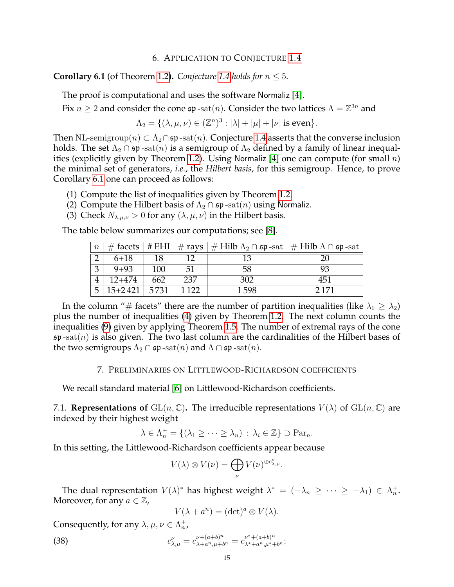# 6. APPLICATION TO CONJECTURE [1.4](#page-2-1)

<span id="page-14-2"></span><span id="page-14-0"></span>**Corollary 6.1** (of Theorem [1.2\)](#page-1-4). *Conjecture* [1.4](#page-2-1) *holds for*  $n \leq 5$ *.* 

The proof is computational and uses the software Normaliz [\[4\]](#page-34-5).

Fix  $n \geq 2$  and consider the cone  $\mathfrak{sp}$  -sat $(n)$ . Consider the two lattices  $\Lambda = \mathbb{Z}^{3n}$  and

$$
\Lambda_2 = \{ (\lambda, \mu, \nu) \in (\mathbb{Z}^n)^3 : |\lambda| + |\mu| + |\nu| \text{ is even} \}.
$$

Then NL-semigroup $(n) \subset \Lambda_2 \cap \mathfrak{sp}$ -sat $(n)$ . Conjecture [1.4](#page-2-1) asserts that the converse inclusion holds. The set  $\Lambda_2 \cap \mathfrak{sp}\text{-sat}(n)$  is a semigroup of  $\Lambda_2$  defined by a family of linear inequal-ities (explicitly given by Theorem [1.2\)](#page-1-4). Using Normaliz [\[4\]](#page-34-5) one can compute (for small  $n$ ) the minimal set of generators, *i.e.*, the *Hilbert basis*, for this semigroup. Hence, to prove Corollary [6.1](#page-14-2) one can proceed as follows:

- (1) Compute the list of inequalities given by Theorem [1.2.](#page-1-4)
- (2) Compute the Hilbert basis of  $\Lambda_2 \cap \mathfrak{sp}$ -sat $(n)$  using Normaliz.
- (3) Check  $N_{\lambda,\mu,\nu} > 0$  for any  $(\lambda,\mu,\nu)$  in the Hilbert basis.

The table below summarizes our computations; see [\[8\]](#page-34-6).

| $\boldsymbol{n}$ |             |      |         | # facets   # EHI   # rays   # Hilb $\Lambda_2 \cap \mathfrak{sp}$ -sat   # Hilb $\Lambda \cap \mathfrak{sp}$ -sat |         |
|------------------|-------------|------|---------|-------------------------------------------------------------------------------------------------------------------|---------|
|                  | $6 + 18$    | 18   |         | 13                                                                                                                | 20      |
| 3                | $9 + 93$    | 100  | 51      | 58                                                                                                                | 93      |
|                  | $12+474$    | 662  | 237     | 302                                                                                                               | 451     |
| 5                | $15 + 2421$ | 5731 | 1 1 2 2 | 1598                                                                                                              | 2 1 7 1 |

In the column "# facets" there are the number of partition inequalities (like  $\lambda_1 \geq \lambda_2$ ) plus the number of inequalities [\(4\)](#page-1-5) given by Theorem [1.2.](#page-1-4) The next column counts the inequalities [\(9\)](#page-3-3) given by applying Theorem [1.5.](#page-3-0) The number of extremal rays of the cone  $\mathfrak{sp}\text{-sat}(n)$  is also given. The two last column are the cardinalities of the Hilbert bases of the two semigroups  $\Lambda_2 \cap \mathfrak{sp}$  -sat $(n)$  and  $\Lambda \cap \mathfrak{sp}$  -sat $(n)$ .

# 7. PRELIMINARIES ON LITTLEWOOD-RICHARDSON COEFFICIENTS

<span id="page-14-1"></span>We recall standard material [\[6\]](#page-34-7) on Littlewood-Richardson coefficients.

7.1. **Representations of**  $GL(n, \mathbb{C})$ . The irreducible representations  $V(\lambda)$  of  $GL(n, \mathbb{C})$  are indexed by their highest weight

$$
\lambda \in \Lambda_n^+ = \{ (\lambda_1 \ge \cdots \ge \lambda_n) \, : \, \lambda_i \in \mathbb{Z} \} \supset \operatorname{Par}_n.
$$

In this setting, the Littlewood-Richardson coefficients appear because

$$
V(\lambda) \otimes V(\nu) = \bigoplus_{\nu} V(\nu)^{\oplus c_{\lambda,\mu}^{\nu}}.
$$

The dual representation  $V(\lambda)^*$  has highest weight  $\lambda^* = (-\lambda_n \geq \cdots \geq -\lambda_1) \in \Lambda_n^+$ . Moreover, for any  $a \in \mathbb{Z}$ ,

<span id="page-14-3"></span>
$$
V(\lambda + a^n) = (\det)^a \otimes V(\lambda).
$$

Consequently, for any  $\lambda, \mu, \nu \in \Lambda_n^+$ ,

(38) 
$$
c_{\lambda,\mu}^{\nu} = c_{\lambda+a^{n},\mu+b^{n}}^{\nu+(a+b)^{n}} = c_{\lambda+a^{n},\mu+b^{n}}^{\nu^*+(a+b)^{n}};
$$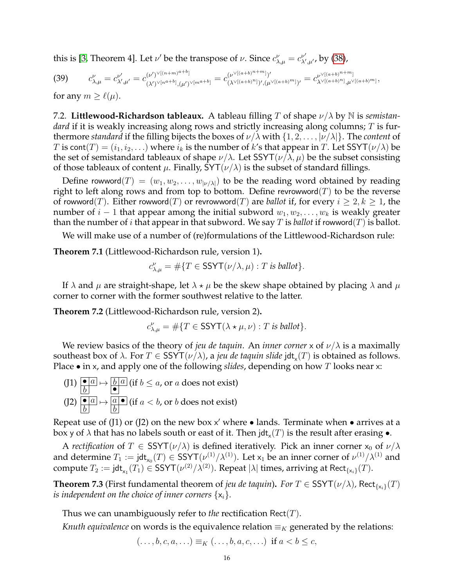this is [\[3,](#page-34-8) Theorem 4]. Let  $\nu'$  be the transpose of  $\nu$ . Since  $c^{\nu}_{\lambda,\mu} = c^{\nu'}_{\lambda'}$  $_{\lambda',\mu'}^{\nu'}$ , by [\(38\)](#page-14-3),

<span id="page-15-0"></span>
$$
(39) \t c_{\lambda,\mu}^{\nu} = c_{\lambda',\mu'}^{\nu'} = c_{(\lambda')^{\vee[n^{a+b}]}(\mu')^{\vee[m^{a+b}]}(\mu')^{\vee[m^{a+b}]}(a+b)^{n+m})'} = c_{(\lambda^{\vee[(a+b)^{n}]})'(\mu^{\vee[(a+b)^{m}]}')'}^{\nu} = c_{\lambda^{\vee[(a+b)^{n}]}(\mu^{\vee[(a+b)^{m}]}),}
$$

for any  $m \geq \ell(\mu)$ .

7.2. **Littlewood-Richardson tableaux.** A tableau filling T of shape ν/λ by N is *semistandard* if it is weakly increasing along rows and strictly increasing along columns; T is furthermore *standard* if the filling bijects the boxes of  $\nu/\lambda$  with  $\{1, 2, \ldots, |\nu/\lambda|\}$ . The *content* of T is cont $(T) = (i_1, i_2, \ldots)$  where  $i_k$  is the number of k's that appear in T. Let SSYT $(\nu/\lambda)$  be the set of semistandard tableaux of shape  $\nu/\lambda$ . Let SSYT( $\nu/\lambda$ ,  $\mu$ ) be the subset consisting of those tableaux of content  $\mu$ . Finally, SYT( $\nu/\lambda$ ) is the subset of standard fillings.

Define rowword(T) =  $(w_1, w_2, \ldots, w_{|\nu/\lambda|})$  to be the reading word obtained by reading right to left along rows and from top to bottom. Define revrowword $(T)$  to be the reverse of rowword(T). Either rowword(T) or revrowword(T) are *ballot* if, for every  $i \geq 2, k \geq 1$ , the number of  $i - 1$  that appear among the initial subword  $w_1, w_2, \ldots, w_k$  is weakly greater than the number of *i* that appear in that subword. We say T is *ballot* if rowword(T) is ballot.

We will make use of a number of (re)formulations of the Littlewood-Richardson rule:

<span id="page-15-1"></span>**Theorem 7.1** (Littlewood-Richardson rule, version 1)**.**

$$
c^{\nu}_{\lambda,\mu} = \#\{T \in \mathsf{SSYT}(\nu/\lambda,\mu) : T \text{ is } \mathit{ballot}\}.
$$

If  $\lambda$  and  $\mu$  are straight-shape, let  $\lambda \star \mu$  be the skew shape obtained by placing  $\lambda$  and  $\mu$ corner to corner with the former southwest relative to the latter.

<span id="page-15-2"></span>**Theorem 7.2** (Littlewood-Richardson rule, version 2)**.**

$$
c_{\lambda,\mu}^{\nu} = \#\{T \in \mathsf{SSYT}(\lambda \star \mu, \nu) : T \text{ is } \mathit{ballot}\}.
$$

We review basics of the theory of *jeu de taquin*. An *inner corner* x of  $\nu/\lambda$  is a maximally southeast box of  $\lambda$ . For  $T \in \mathsf{SSYT}(\nu/\lambda)$ , a *jeu de taquin slide* jdt<sub>x</sub> $(T)$  is obtained as follows. Place • in x, and apply one of the following *slides*, depending on how T looks near x:

 $\overline{(J1)}$   $\overline{•a}$  $\overline{b}$  $\mapsto$   $\boxed{b\,a}$  $\frac{b|a|}{\bullet}$  (if  $b \le a$ , or a does not exist)  $(J2)$   $\boxed{\bullet a}$  $\overline{b}$  $\mapsto$   $\boxed{a} \bullet$  $\overline{b}$ (if  $a < b$ , or  $b$  does not exist)

Repeat use of (J1) or (J2) on the new box  $x'$  where  $\bullet$  lands. Terminate when  $\bullet$  arrives at a box y of  $\lambda$  that has no labels south or east of it. Then jdt $_\mathrm{\mathsf{x}}(T)$  is the result after erasing  $\bullet.$ 

A *rectification* of  $T \in \text{SSYT}(\nu/\lambda)$  is defined iteratively. Pick an inner corner  $x_0$  of  $\nu/\lambda$ and determine  $T_1 := \mathsf{jdt}_{\mathsf{x}_0}(T) \in \mathsf{SSYT}(\nu^{(1)}/\lambda^{(1)})$ . Let  $\mathsf{x}_1$  be an inner corner of  $\nu^{(1)}/\lambda^{(1)}$  and compute  $T_2 := \mathsf{jdt}_{\mathsf{x}_1}(T_1) \in \mathsf{SSYT}(\nu^{(2)}/\lambda^{(2)})$ . Repeat  $|\lambda|$  times, arriving at  $\mathsf{Rect}_{\{\mathsf{x}_i\}}(T)$ .

**Theorem 7.3** (First fundamental theorem of *jeu de taquin*). *For*  $T \in \text{SSYT}(\nu/\lambda)$ , Rect<sub>{x<sub>i</sub>}</sub>(T) *is independent on the choice of inner corners*  $\{x_i\}$ *.* 

Thus we can unambiguously refer to *the* rectification Rect(T).

*Knuth equivalence* on words is the equivalence relation  $\equiv_K$  generated by the relations:

$$
(\ldots, b, c, a, \ldots) \equiv_K (\ldots, b, a, c, \ldots) \text{ if } a < b \le c,
$$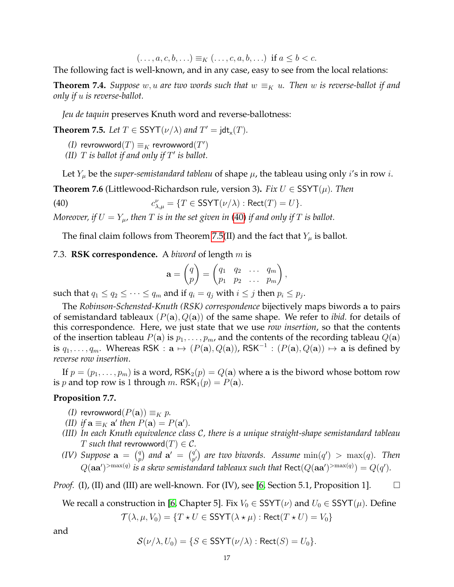$(..., a, c, b, ...) \equiv_K (..., c, a, b, ...)$  if  $a \leq b < c$ .

The following fact is well-known, and in any case, easy to see from the local relations:

<span id="page-16-3"></span>**Theorem 7.4.** *Suppose* w, u are two words such that  $w \equiv_K u$ . Then w is reverse-ballot if and *only if* u *is reverse-ballot.*

*Jeu de taquin* preserves Knuth word and reverse-ballotness:

<span id="page-16-1"></span>**Theorem 7.5.** *Let*  $T \in \text{SSYT}(\nu/\lambda)$  *and*  $T' = \text{jdt}_x(T)$ *.* 

 $(I)$  revrowword $(T) \equiv_K$  revrowword $(T')$ 

(II)  $T$  *is ballot if and only if*  $T'$  *is ballot.* 

Let  $Y_\mu$  be the *super-semistandard tableau* of shape  $\mu$ , the tableau using only *i*'s in row *i*.

<span id="page-16-2"></span>**Theorem 7.6** (Littlewood-Richardson rule, version 3). *Fix*  $U \in \text{SSYT}(\mu)$ *. Then* 

 $(40)$  $\psi_{\lambda,\mu}^{\nu} = \{T \in \mathsf{SSYT}(\nu/\lambda) : \mathsf{Rect}(T) = U\}.$ 

*Moreover, if*  $U = Y_\mu$ , then T is in the set given in [\(40\)](#page-16-0) if and only if T is ballot.

The final claim follows from Theorem [7.5\(](#page-16-1)II) and the fact that  $Y_\mu$  is ballot.

# <span id="page-16-4"></span>7.3. **RSK correspondence.** A *biword* of length m is

<span id="page-16-0"></span>
$$
\mathbf{a} = \begin{pmatrix} q \\ p \end{pmatrix} = \begin{pmatrix} q_1 & q_2 & \dots & q_m \\ p_1 & p_2 & \dots & p_m \end{pmatrix},
$$

such that  $q_1 \leq q_2 \leq \cdots \leq q_m$  and if  $q_i = q_j$  with  $i \leq j$  then  $p_i \leq p_j$ .

The *Robinson-Schensted-Knuth (RSK) correspondence* bijectively maps biwords a to pairs of semistandard tableaux  $(P(a), Q(a))$  of the same shape. We refer to *ibid*. for details of this correspondence. Here, we just state that we use *row insertion*, so that the contents of the insertion tableau  $P(\mathbf{a})$  is  $p_1, \ldots, p_m$ , and the contents of the recording tableau  $Q(\mathbf{a})$ is  $q_1, \ldots, q_m$ . Whereas RSK :  $\mathbf{a} \mapsto (P(\mathbf{a}), Q(\mathbf{a}))$ , RSK<sup>-1</sup> :  $(P(\mathbf{a}), Q(\mathbf{a})) \mapsto \mathbf{a}$  is defined by *reverse row insertion*.

If  $p = (p_1, \ldots, p_m)$  is a word,  $\text{RSK}_2(p) = Q(\textbf{a})$  where a is the biword whose bottom row is p and top row is 1 through m.  $RSK_1(p) = P(a)$ .

#### <span id="page-16-5"></span>**Proposition 7.7.**

- *(I)* revrowword $(P(\mathbf{a})) \equiv_K p$ .
- *(II) if*  $\mathbf{a} \equiv_K \mathbf{a}'$  *then*  $P(\mathbf{a}) = P(\mathbf{a}')$ *.*
- *(III) In each Knuth equivalence class* C*, there is a unique straight-shape semistandard tableau* T such that revrowword $(T) \in \mathcal{C}$ .
- *(IV) Suppose*  $\mathbf{a} = \begin{pmatrix} q \\ n \end{pmatrix}$  $\binom{q}{p}$  and  $\mathbf{a}' = \binom{q'}{p'}$  $\binom{q'}{p'}$  are two biwords. Assume  $\min(q')$   $>$   $\max(q)$ . Then  $Q(\bf{aa'})^{>max(q)}$  is a skew semistandard tableaux such that  $\mathsf{Rect}(Q(\bf{aa'})^{>max(q)}) = Q(q').$

*Proof.* (I), (II) and (III) are well-known. For (IV), see [\[6,](#page-34-7) Section 5.1, Proposition 1].  $\Box$ 

We recall a construction in [\[6,](#page-34-7) Chapter 5]. Fix  $V_0 \in \text{SSYT}(\nu)$  and  $U_0 \in \text{SSYT}(\mu)$ . Define

$$
\mathcal{T}(\lambda, \mu, V_0) = \{ T \star U \in \text{SSYT}(\lambda * \mu) : \text{Rect}(T * U) = V_0 \}
$$

and

$$
\mathcal{S}(\nu/\lambda, U_0) = \{ S \in \text{SSYT}(\nu/\lambda) : \text{Rect}(S) = U_0 \}.
$$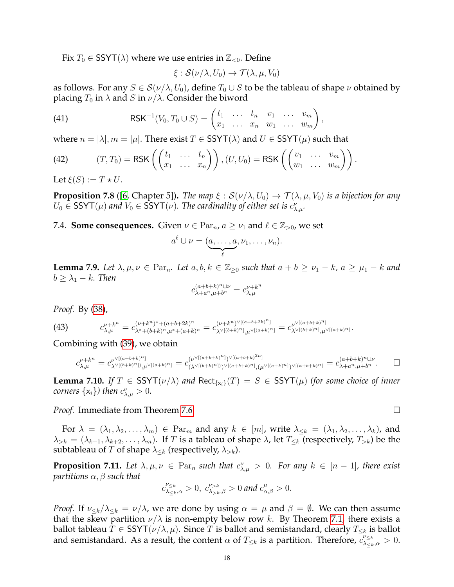Fix  $T_0 \in \text{SSYT}(\lambda)$  where we use entries in  $\mathbb{Z}_{\leq 0}$ . Define

<span id="page-17-1"></span>
$$
\xi: \mathcal{S}(\nu/\lambda, U_0) \to \mathcal{T}(\lambda, \mu, V_0)
$$

as follows. For any  $S \in \mathcal{S}(\nu/\lambda, U_0)$ , define  $T_0 \cup S$  to be the tableau of shape  $\nu$  obtained by placing  $T_0$  in  $\lambda$  and S in  $\nu/\lambda$ . Consider the biword

(41) 
$$
\mathsf{RSK}^{-1}(V_0,T_0\cup S)=\begin{pmatrix}t_1 & \dots & t_n & v_1 & \dots & v_m\\x_1 & \dots & x_n & w_1 & \dots & w_m\end{pmatrix},
$$

where  $n = |\lambda|, m = |\mu|$ . There exist  $T \in \text{SSYT}(\lambda)$  and  $U \in \text{SSYT}(\mu)$  such that

<span id="page-17-3"></span>(42) 
$$
(T,T_0) = \text{RSK}\left(\begin{pmatrix} t_1 & \dots & t_n \\ x_1 & \dots & x_n \end{pmatrix}\right), (U,U_0) = \text{RSK}\left(\begin{pmatrix} v_1 & \dots & v_m \\ w_1 & \dots & w_m \end{pmatrix}\right).
$$

Let  $\xi(S) := T \star U$ .

<span id="page-17-2"></span>**Proposition 7.8** ([\[6,](#page-34-7) Chapter 5]). *The map*  $\xi$  :  $S(\nu/\lambda, U_0) \to T(\lambda, \mu, V_0)$  *is a bijection for any*  $U_0 \in \text{SSYT}(\mu)$  and  $V_0 \in \text{SSYT}(\nu)$ . The cardinality of either set is  $c^{\nu}_{\lambda,\mu}$ .

7.4. **Some consequences.** Given  $\nu \in \mathrm{Par}_n$ ,  $a \geq \nu_1$  and  $\ell \in \mathbb{Z}_{>0}$ , we set

$$
a^{\ell} \cup \nu = (\underbrace{a, \ldots, a}_{\ell}, \nu_1, \ldots, \nu_n).
$$

<span id="page-17-5"></span>**Lemma 7.9.** Let  $\lambda, \mu, \nu \in \text{Par}_n$ . Let  $a, b, k \in \mathbb{Z}_{\geq 0}$  such that  $a + b \geq \nu_1 - k$ ,  $a \geq \mu_1 - k$  and  $b \geq \lambda_1 - k$ . Then

$$
c^{(a+b+k)^n \cup \nu}_{\lambda+a^n,\mu+b^n}=c^{\nu+k^n}_{\lambda,\mu}
$$

*Proof.* By [\(38\)](#page-14-3),

(43) 
$$
c_{\lambda,\mu}^{\nu+k^{n}} = c_{\lambda^{*}+(b+k)^{n},\mu^{*}+(a+b+2k)^{n}}^{(\nu+k^{n})^{*}+(a+b+2k)^{n}} = c_{\lambda^{\vee}[(b+k)^{n}],\mu^{\vee}[(a+b+2k)^{n}]}^{(\nu+k^{n})^{*}[(a+b+k)^{n}]} = c_{\lambda^{\vee}[(b+k)^{n}],\mu^{\vee}[(a+k)^{n}]}^{(\nu+k^{n})^{*}[(a+k)^{n}]}}.
$$

Combining with [\(39\)](#page-15-0), we obtain

$$
c_{\lambda,\mu}^{\nu+k^{n}} = c_{\lambda^{\vee}[(b+k)^{n}]_{,\mu^{\vee}[(a+k)^{n}]}}^{\nu^{\vee}[(a+b+k)^{n}]} = c_{(\lambda^{\vee}[(b+k)^{n}])^{\vee}[(a+b+k)^{n}]}^{\nu^{\vee}[(a+b+k)^{n}]_{})^{\vee}[(a+b+k)^{n}]} \cdot (\mu^{\vee}[(a+b+k)^{n}]^{\vee} = c_{\lambda+a^{n},\mu+b^{n}}^{(a+b+k)^{n} \cup \nu}.
$$

<span id="page-17-0"></span>**Lemma 7.10.** *If*  $T \in \text{SSYT}(\nu/\lambda)$  *and*  $\text{Rect}_{\{x_i\}}(T) = S \in \text{SSYT}(\mu)$  *(for some choice of inner corners*  $\{x_i\}$ *)* then  $c^{\nu}_{\lambda,\mu} > 0$ .

*Proof.* Immediate from Theorem [7.6.](#page-16-2) □

For  $\lambda = (\lambda_1, \lambda_2, \ldots, \lambda_m) \in \mathrm{Par}_m$  and any  $k \in [m]$ , write  $\lambda_{\leq k} = (\lambda_1, \lambda_2, \ldots, \lambda_k)$ , and  $\lambda_{>k} = (\lambda_{k+1}, \lambda_{k+2}, \ldots, \lambda_m)$ . If T is a tableau of shape  $\lambda$ , let  $T_{\leq k}$  (respectively,  $T_{> k}$ ) be the subtableau of T of shape  $\lambda_{\leq k}$  (respectively,  $\lambda_{> k}$ ).

<span id="page-17-4"></span>**Proposition 7.11.** Let  $\lambda, \mu, \nu \in \text{Par}_n$  such that  $c_{\lambda,\mu}^{\nu} > 0$ . For any  $k \in [n-1]$ , there exist *partitions* α, β *such that*

$$
c_{\lambda_{\leq k},\alpha}^{\nu_{\leq k}} > 0, \ c_{\lambda_{>k},\beta}^{\nu_{>k}} > 0 \text{ and } c_{\alpha,\beta}^{\mu} > 0.
$$

*Proof.* If  $\nu_{\leq k}/\lambda_{\leq k} = \nu/\lambda$ , we are done by using  $\alpha = \mu$  and  $\beta = \emptyset$ . We can then assume that the skew partition  $\nu/\lambda$  is non-empty below row k. By Theorem [7.1,](#page-15-1) there exists a ballot tableau  $T \in \text{SSYT}(\nu/\lambda, \mu)$ . Since T is ballot and semistandard, clearly  $T_{\leq k}$  is ballot and semistandard. As a result, the content  $\alpha$  of  $T_{\leq k}$  is a partition. Therefore,  $\overline{c_{\lambda\leq k,\alpha}^{\nu\leq k}}>0$ .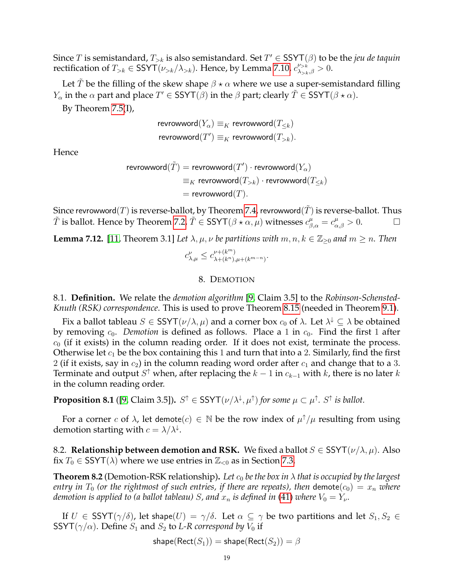Since T is semistandard,  $T_{>k}$  is also semistandard. Set  $T' \in \text{SSYT}(\beta)$  to be the *jeu de taquin* rectification of  $T_{>k} \in \text{SSYT}(\nu_{>k} / \lambda_{>k})$ . Hence, by Lemma [7.10,](#page-17-0)  $c^{\nu_{>k}}_{\lambda_{>k},\beta} > 0$ .

Let T be the filling of the skew shape  $\beta \star \alpha$  where we use a super-semistandard filling  $Y_\alpha$  in the  $\alpha$  part and place  $T'\in\mathsf{SSYT}(\beta)$  in the  $\beta$  part; clearly  $\tilde{T}\in\mathsf{SSYT}(\beta\star\alpha).$ 

By Theorem [7.5\(](#page-16-1)I),

$$
\begin{aligned} \text{revrowword}(Y_{\alpha}) &\equiv_K \text{revrowword}(T_{\leq k})\\ \text{revrowword}(T') &\equiv_K \text{revrowword}(T_{>k}). \end{aligned}
$$

Hence

$$
\begin{aligned} \text{revrowword}(\tilde{T}) &= \text{revrowword}(T') \cdot \text{revrowword}(Y_\alpha) \\ &\equiv_K \text{revrowword}(T_{>k}) \cdot \text{revrowword}(T_{\leq k}) \\ &= \text{revrowword}(T). \end{aligned}
$$

Since revrowword(T) is reverse-ballot, by Theorem [7.4,](#page-16-3) revrowword( $\tilde{T}$ ) is reverse-ballot. Thus  $\tilde{T}$  is ballot. Hence by Theorem [7.2,](#page-15-2)  $\tilde{T} \in \text{SSYT}(\beta \star \alpha, \mu)$  witnesses  $c^{\mu}_{\beta,\alpha} = c^{\mu}_{\alpha,\beta} > 0$ .

<span id="page-18-1"></span>**Lemma 7.12.** [\[11,](#page-35-17) Theorem 3.1] *Let*  $\lambda, \mu, \nu$  *be partitions with*  $m, n, k \in \mathbb{Z}_{\geq 0}$  *and*  $m \geq n$ *. Then* 

$$
c_{\lambda,\mu}^{\nu}\leq c_{\lambda+(k^{n}),\mu+(k^{m-n})}^{\nu+(k^{m})}.
$$

# 8. DEMOTION

8.1. **Definition.** We relate the *demotion algorithm* [\[9,](#page-34-0) Claim 3.5] to the *Robinson-Schensted-Knuth (RSK) correspondence*. This is used to prove Theorem [8.15](#page-25-0) (needed in Theorem [9.1\)](#page-28-0).

Fix a ballot tableau  $S \in \text{SSYT}(\nu/\lambda, \mu)$  and a corner box  $c_0$  of  $\lambda$ . Let  $\lambda^{\downarrow} \subseteq \lambda$  be obtained by removing  $c_0$ . *Demotion* is defined as follows. Place a 1 in  $c_0$ . Find the first 1 after  $c_0$  (if it exists) in the column reading order. If it does not exist, terminate the process. Otherwise let  $c_1$  be the box containing this 1 and turn that into a 2. Similarly, find the first 2 (if it exists, say in  $c_2$ ) in the column reading word order after  $c_1$  and change that to a 3. Terminate and output  $S^{\uparrow}$  when, after replacing the  $k-1$  in  $c_{k-1}$  with  $k$ , there is no later  $k$ in the column reading order.

**Proposition 8.1** ([\[9,](#page-34-0) Claim 3.5]).  $S^{\uparrow} \in \text{SSYT}(\nu/\lambda^{\downarrow}, \mu^{\uparrow})$  for some  $\mu \subset \mu^{\uparrow}$ .  $S^{\uparrow}$  is ballot.

For a corner c of  $\lambda$ , let demote $(c) \in \mathbb{N}$  be the row index of  $\mu^{\uparrow}/\mu$  resulting from using demotion starting with  $c = \lambda/\lambda^{\downarrow}$ .

8.2. **Relationship between demotion and RSK.** We fixed a ballot  $S \in \text{SSYT}(\nu/\lambda, \mu)$ . Also fix  $T_0 \in \text{SSYT}(\lambda)$  where we use entries in  $\mathbb{Z}_{\leq 0}$  as in Section [7.3.](#page-16-4)

<span id="page-18-0"></span>**Theorem 8.2** (Demotion-RSK relationship). Let  $c_0$  be the box in  $\lambda$  that is occupied by the largest *entry in*  $T_0$  *(or the rightmost of such entries, if there are repeats), then* demote $(c_0) = x_n$  *where demotion is applied to (a ballot tableau) S, and*  $x_n$  *is defined in* [\(41\)](#page-17-1) *where*  $V_0 = Y_\nu$ .

If  $U \in \text{SSYT}(\gamma/\delta)$ , let shape $(U) = \gamma/\delta$ . Let  $\alpha \subseteq \gamma$  be two partitions and let  $S_1, S_2 \in$ SSYT( $\gamma/\alpha$ ). Define  $S_1$  and  $S_2$  to *L-R correspond by*  $V_0$  if

$$
\textsf{shape}(\textsf{Rect}(S_1)) = \textsf{shape}(\textsf{Rect}(S_2)) = \beta
$$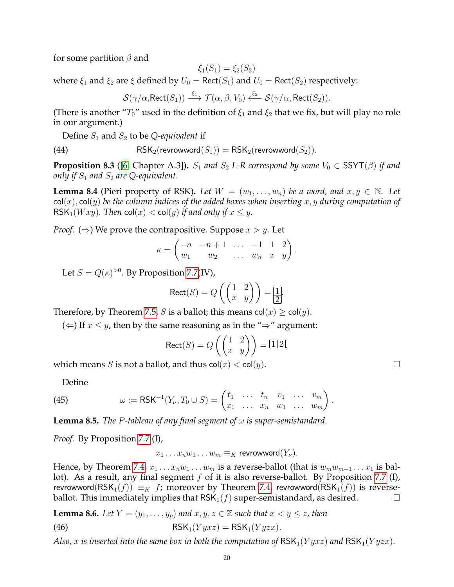for some partition  $\beta$  and

$$
\xi_1(S_1) = \xi_2(S_2)
$$

where  $\xi_1$  and  $\xi_2$  are  $\xi$  defined by  $U_0 = \text{Rect}(S_1)$  and  $U_0 = \text{Rect}(S_2)$  respectively:

<span id="page-19-3"></span>
$$
\mathcal{S}(\gamma/\alpha, \text{Rect}(S_1)) \stackrel{\xi_1}{\longrightarrow} \mathcal{T}(\alpha, \beta, V_0) \stackrel{\xi_2}{\longleftarrow} \mathcal{S}(\gamma/\alpha, \text{Rect}(S_2)).
$$

(There is another " $T_0$ " used in the definition of  $\xi_1$  and  $\xi_2$  that we fix, but will play no role in our argument.)

Define  $S_1$  and  $S_2$  to be *Q-equivalent* if

(44) 
$$
RSK_2(revrowword(S_1)) = RSK_2(revrowword(S_2)).
$$

<span id="page-19-2"></span>**Proposition 8.3** ([\[6,](#page-34-7) Chapter A.3]).  $S_1$  and  $S_2$  *L-R correspond by some*  $V_0 \in \text{SSYT}(\beta)$  *if and only if*  $S_1$  *and*  $S_2$  *are* Q-equivalent.

<span id="page-19-1"></span>**Lemma 8.4** (Pieri property of RSK). Let  $W = (w_1, \ldots, w_n)$  be a word, and  $x, y \in \mathbb{N}$ . Let  $col(x)$ , col(y) *be the column indices of the added boxes when inserting*  $x, y$  *during computation of* RSK<sub>1</sub>(*Wxy*)*.* Then col(*x*) < col(*y*) *if and only if*  $x \leq y$ *.* 

*Proof.* ( $\Rightarrow$ ) We prove the contrapositive. Suppose  $x > y$ . Let

$$
\kappa = \begin{pmatrix} -n & -n+1 & \dots & -1 & 1 & 2 \\ w_1 & w_2 & \dots & w_n & x & y \end{pmatrix}.
$$

Let  $S = Q(\kappa)^{>0}$ . By Proposition [7.7\(](#page-16-5)IV),

$$
Rect(S) = Q\left(\begin{pmatrix} 1 & 2\\ x & y \end{pmatrix}\right) = \boxed{\frac{1}{2}}.
$$

Therefore, by Theorem [7.5,](#page-16-1) *S* is a ballot; this means  $col(x) \geq col(y)$ .

(  $\Leftarrow$  ) If  $x \leq y$ , then by the same reasoning as in the "  $\Rightarrow$ " argument:

$$
Rect(S) = Q\left(\begin{pmatrix} 1 & 2 \\ x & y \end{pmatrix}\right) = \boxed{1\,2},
$$

which means S is not a ballot, and thus  $\text{col}(x) < \text{col}(y)$ .

<span id="page-19-4"></span>Define

(45) 
$$
\omega := \text{RSK}^{-1}(Y_{\nu}, T_0 \cup S) = \begin{pmatrix} t_1 & \dots & t_n & v_1 & \dots & v_m \\ x_1 & \dots & x_n & w_1 & \dots & w_m \end{pmatrix}.
$$

<span id="page-19-5"></span>**Lemma 8.5.** *The* P*-tableau of any final segment of* ω *is super-semistandard.*

*Proof.* By Proposition [7.7](#page-16-5) (I),

<span id="page-19-0"></span> $x_1 \ldots x_n w_1 \ldots w_m \equiv_K \text{revrowword}(Y_\nu).$ 

Hence, by Theorem [7.4,](#page-16-3)  $x_1 \ldots x_n w_1 \ldots w_m$  is a reverse-ballot (that is  $w_m w_{m-1} \ldots x_1$  is bal-lot). As a result, any final segment f of it is also reverse-ballot. By Proposition [7.7](#page-16-5) (I), revrowword( $\mathsf{RSK}_1(f)$ )  $\equiv_K f$ ; moreover by Theorem [7.4,](#page-16-3) revrowword( $\mathsf{RSK}_1(f)$ ) is reverseballot. This immediately implies that  $\text{RSK}_1(f)$  super-semistandard, as desired.

<span id="page-19-6"></span>**Lemma 8.6.** *Let*  $Y = (y_1, \ldots, y_p)$  *and*  $x, y, z \in \mathbb{Z}$  *such that*  $x < y \leq z$ *, then* 

(46) RSK<sub>1</sub> $(Y y x z) = RSK_1(Y y z x)$ .

*Also,* x *is inserted into the same box in both the computation of*  $RSK_1(Y y x z)$  *and*  $RSK_1(Y y zx)$ *.*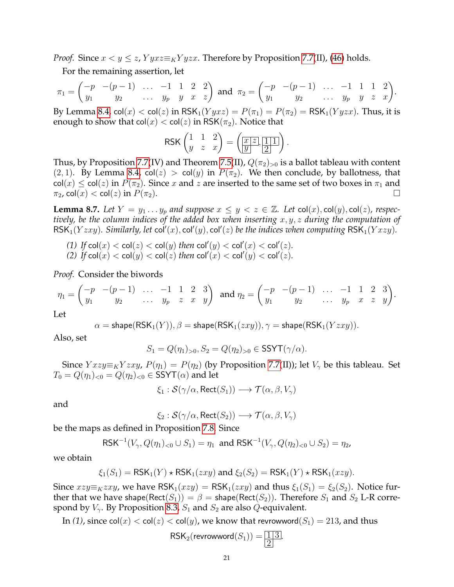*Proof.* Since  $x < y < z$ ,  $Y y x z \equiv_K Y y z x$ . Therefore by Proposition [7.7\(](#page-16-5)II), [\(46\)](#page-19-0) holds.

For the remaining assertion, let

$$
\pi_1 = \begin{pmatrix} -p & -(p-1) & \dots & -1 & 1 & 2 & 2 \\ y_1 & y_2 & \dots & y_p & y & x & z \end{pmatrix} \text{ and } \pi_2 = \begin{pmatrix} -p & -(p-1) & \dots & -1 & 1 & 1 & 2 \\ y_1 & y_2 & \dots & y_p & y & z & x \end{pmatrix}.
$$

By Lemma [8.4,](#page-19-1)  $col(x) < col(z)$  in  $RSK_1(Y y x z) = P(\pi_1) = P(\pi_2) = RSK_1(Y y z x)$ . Thus, it is enough to show that  $col(x) < col(z)$  in RSK $(\pi_2)$ . Notice that

$$
\text{RSK}\begin{pmatrix} 1 & 1 & 2 \\ y & z & x \end{pmatrix} = \left(\underbrace{\boxed{x|z}}_{y}, \underbrace{\boxed{1|1}}_{2}\right).
$$

Thus, by Proposition [7.7\(](#page-16-5)IV) and Theorem [7.5\(](#page-16-1)II),  $Q(\pi_2)_{>0}$  is a ballot tableau with content (2, 1). By Lemma [8.4,](#page-19-1)  $col(z) > col(y)$  in  $P(\pi_2)$ . We then conclude, by ballotness, that  $col(x) \leq col(z)$  in  $P(\pi_2)$ . Since x and z are inserted to the same set of two boxes in  $\pi_1$  and  $\pi_2$ , col(x) < col(z) in  $P(\pi_2)$ .

<span id="page-20-0"></span>**Lemma 8.7.** Let  $Y = y_1 \ldots y_p$  and suppose  $x \leq y < z \in \mathbb{Z}$ . Let  $col(x)$ ,  $col(y)$ ,  $col(z)$ , respec*tively, be the column indices of the added box when inserting* x, y, z *during the computation of*  $\mathsf{RSK}_1(Yzxy)$ . Similarly, let  $\mathsf{col}'(x)$ ,  $\mathsf{col}'(y)$ ,  $\mathsf{col}'(z)$  be the indices when computing  $\mathsf{RSK}_1(Yxzy)$ .

- *(1) If*  $\text{col}(x) < \text{col}(z) < \text{col}(y)$  *then*  $\text{col}'(y) < \text{col}'(x) < \text{col}'(z)$ *.*
- *(2)*  $\text{If } \text{col}(x) < \text{col}(y) < \text{col}(z)$  *then*  $\text{col}'(x) < \text{col}'(y) < \text{col}'(z)$ *.*

*Proof.* Consider the biwords

$$
\eta_1 = \begin{pmatrix} -p & -(p-1) & \dots & -1 & 1 & 2 & 3 \\ y_1 & y_2 & \dots & y_p & z & x & y \end{pmatrix} \text{ and } \eta_2 = \begin{pmatrix} -p & -(p-1) & \dots & -1 & 1 & 2 & 3 \\ y_1 & y_2 & \dots & y_p & x & z & y \end{pmatrix}.
$$

Let

 $\alpha = \textsf{shape}(\textsf{RSK}_1(Y)), \beta = \textsf{shape}(\textsf{RSK}_1(zxy)), \gamma = \textsf{shape}(\textsf{RSK}_1(Yzxy)).$ 

Also, set

$$
S_1 = Q(\eta_1)_{>0}, S_2 = Q(\eta_2)_{>0} \in \text{SSYT}(\gamma/\alpha).
$$

Since  $Yxzy\equiv_K Yzxy$ ,  $P(\eta_1) = P(\eta_2)$  (by Proposition [7.7\(](#page-16-5)II)); let  $V_\gamma$  be this tableau. Set  $T_0 = Q(\eta_1)_{\leq 0} = Q(\eta_2)_{\leq 0} \in \text{SSYT}(\alpha)$  and let

$$
\xi_1 : \mathcal{S}(\gamma/\alpha, \text{Rect}(S_1)) \longrightarrow \mathcal{T}(\alpha, \beta, V_\gamma)
$$

and

$$
\xi_2 : \mathcal{S}(\gamma/\alpha, \text{Rect}(S_2)) \longrightarrow \mathcal{T}(\alpha, \beta, V_{\gamma})
$$

be the maps as defined in Proposition [7.8.](#page-17-2) Since

$$
\mathsf{RSK}^{-1}(V_{\gamma}, Q(\eta_1)_{<0} \cup S_1) = \eta_1 \text{ and } \mathsf{RSK}^{-1}(V_{\gamma}, Q(\eta_2)_{<0} \cup S_2) = \eta_2,
$$

we obtain

$$
\xi_1(S_1) = \text{RSK}_1(Y) \star \text{RSK}_1(zxy) \text{ and } \xi_2(S_2) = \text{RSK}_1(Y) \star \text{RSK}_1(xzy).
$$

Since  $xzy\equiv_K zxy$ , we have  $RSK_1(xzy) = RSK_1(zxy)$  and thus  $\xi_1(S_1) = \xi_2(S_2)$ . Notice further that we have shape(Rect( $S_1$ )) =  $\beta$  = shape(Rect( $S_2$ )). Therefore  $S_1$  and  $S_2$  L-R correspond by  $V_{\gamma}$ . By Proposition [8.3,](#page-19-2)  $S_1$  and  $S_2$  are also Q-equivalent.

In (1), since  $col(x) < col(z) < col(y)$ , we know that revrowword( $S_1$ ) = 213, and thus

$$
RSK_2(\text{revrowword}(S_1)) = \boxed{\frac{1}{2}}.
$$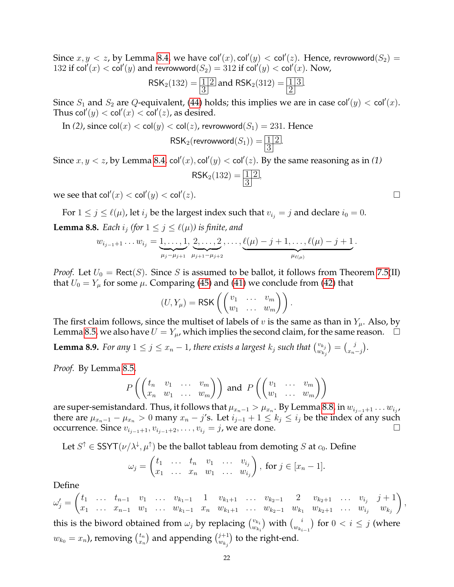Since  $x, y < z$ , by Lemma [8.4,](#page-19-1) we have col' $(x)$ , col' $(y) <$  col' $(z)$ . Hence, revrowword $(S_2) =$ 132 if col<sup>'</sup> $(x) <$  col' $(y)$  and revrowword $(S_2) = 312$  if col' $(y) <$  col' $(x)$ . Now,

$$
\mathsf{RSK}_2(132) = \boxed{\frac{1}{3}} \text{ and } \mathsf{RSK}_2(312) = \boxed{\frac{1}{2}}
$$

.

.

Since  $S_1$  and  $S_2$  are Q-equivalent, [\(44\)](#page-19-3) holds; this implies we are in case col' $(y) <$  col' $(x)$ . Thus  $\mathsf{col}'(y) < \mathsf{col}'(x) < \mathsf{col}'(z)$ , as desired.

In (2), since  $col(x) < col(y) < col(z)$ , revrowword $(S_1) = 231$ . Hence

 $\mathsf{RSK}_2(\mathsf{revrowword}(S_1)) = \boxed{\frac{1}{2}}$ 3

3

Since  $x, y < z$ , by Lemma [8.4,](#page-19-1) col'(x), col'(y)  $<$  col'(z). By the same reasoning as in (1)  $RSK_2(132) = 12$ ,

we see that  $\mathsf{col}'(x) < \mathsf{col}'(y) < \mathsf{col}'$  $(z).$ 

<span id="page-21-0"></span>For  $1 \le j \le \ell(\mu)$ , let  $i_j$  be the largest index such that  $v_{i_j} = j$  and declare  $i_0 = 0$ . **Lemma 8.8.** *Each*  $i_j$  *(for*  $1 \leq j \leq \ell(\mu)$ *) is finite, and* 

$$
w_{i_{j-1}+1}\ldots w_{i_j}=\underbrace{1,\ldots,1}_{\mu_j-\mu_{j+1}},\underbrace{2,\ldots,2}_{\mu_{j+1}-\mu_{j+2}},\ldots,\underbrace{\ell(\mu)-j+1,\ldots,\ell(\mu)-j+1}_{\mu_{\ell(\mu)}}.
$$

*Proof.* Let  $U_0$  = Rect(S). Since S is assumed to be ballot, it follows from Theorem [7.5\(](#page-16-1)II) that  $U_0 = Y_\mu$  for some  $\mu$ . Comparing [\(45\)](#page-19-4) and [\(41\)](#page-17-1) we conclude from [\(42\)](#page-17-3) that

$$
(U,Y_{\mu}) = \text{RSK}\left(\begin{pmatrix}v_1 & \dots & v_m\\w_1 & \dots & w_m\end{pmatrix}\right).
$$

The first claim follows, since the multiset of labels of v is the same as than in  $Y_\mu$ . Also, by Lemma [8.5,](#page-19-5) we also have  $U = Y_\mu$ , which implies the second claim, for the same reason.  $\Box$ 

**Lemma 8.9.** For any  $1 \leq j \leq x_n - 1$ , there exists a largest  $k_j$  such that  $\binom{v_{k_j}}{w_k}$  $\binom{v_{k_j}}{w_{k_j}} = \binom{j}{x_n}$  $_{x_n-j}^j$ ).

*Proof.* By Lemma [8.5,](#page-19-5)

$$
P\left(\begin{pmatrix}t_n & v_1 & \dots & v_m\\x_n & w_1 & \dots & w_m\end{pmatrix}\right) \text{ and } P\left(\begin{pmatrix}v_1 & \dots & v_m\\w_1 & \dots & w_m\end{pmatrix}\right)
$$

are super-semistandard. Thus, it follows that  $\mu_{x_n-1} > \mu_{x_n}$ . By Lemma [8.8,](#page-21-0) in  $w_{i_{j-1}+1} \dots w_{i_j}$ , there are  $\mu_{x_n-1} - \mu_{x_n} > 0$  many  $x_n - j$ 's. Let  $i_{j-1} + 1 \le k_j \le i_j$  be the index of any such occurrence. Since  $v_{i_{j-1}+1}, v_{i_{j-1}+2}, \ldots, v_{i_j} = j$ , we are done.

Let  $S^{\uparrow} \in \mathsf{SSYT}(\nu/\lambda^{\downarrow}, \mu^{\uparrow})$  be the ballot tableau from demoting  $S$  at  $c_0$ . Define

$$
\omega_j=\begin{pmatrix}t_1&\ldots&t_n&v_1&\ldots&v_{i_j}\\x_1&\ldots&x_n&w_1&\ldots&w_{i_j}\end{pmatrix},\text{ for }j\in[x_n-1].
$$

Define

 $\omega'_j =$  $\begin{pmatrix} t_1 & \ldots & t_{n-1} & v_1 & \ldots & v_{k_1-1} & 1 & v_{k_1+1} & \ldots & v_{k_2-1} & 2 & v_{k_2+1} & \ldots & v_{i_j} & j+1 \end{pmatrix}$  $x_1 \ldots x_{n-1}$   $w_1 \ldots w_{k_1-1}$   $x_n$   $w_{k_1+1}$  ...  $w_{k_2-1}$   $w_{k_1}$   $w_{k_2+1}$  ...  $w_{i_j}$   $w_{k_j}$  $\setminus$ this is the biword obtained from  $\omega_j$  by replacing  $\binom{v_{k_i}}{w_k}$  $\binom{v_{k_i}}{w_{k_i}}$  with  $\binom{i}{w_{k_i}}$  $\binom{i}{w_{k_{i-1}}}$  for  $0 < i \leq j$  (where  $w_{k_0} = x_n$ ), removing  $\binom{t_n}{x_n}$  $\binom{t_n}{x_n}$  and appending  $\binom{j+1}{w_{k_j}}$  $\binom{j+1}{w_{k_j}}$  to the right-end.

,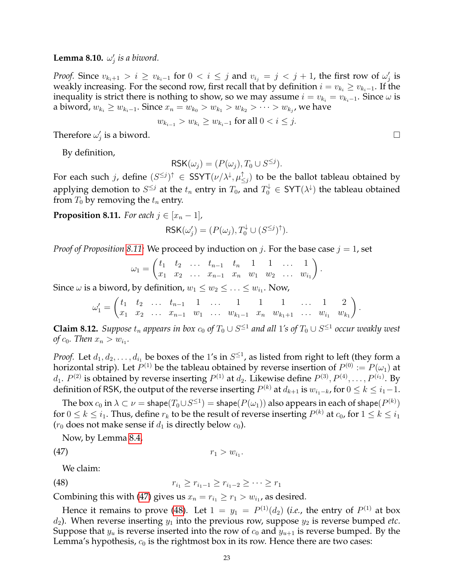# **Lemma 8.10.**  $\omega'_j$  is a biword.

*Proof.* Since  $v_{k_i+1} > i \ge v_{k_i-1}$  for  $0 < i \le j$  and  $v_{i_j} = j < j+1$ , the first row of  $\omega'_j$  is weakly increasing. For the second row, first recall that by definition  $i = v_{k_i} \geq v_{k_i-1}$ . If the inequality is strict there is nothing to show, so we may assume  $i = v_{k_i} = v_{k_i-1}$ . Since  $\omega$  is a biword,  $w_{k_i} \geq w_{k_i-1}.$  Since  $x_n = w_{k_0} > w_{k_1} > w_{k_2} > \cdots > w_{k_j}$ , we have

$$
w_{k_{i-1}} > w_{k_i} \ge w_{k_i-1}
$$
 for all  $0 < i \le j$ .

Therefore  $\omega'_j$  is a biword.

By definition,

$$
RSK(\omega_j) = (P(\omega_j), T_0 \cup S^{\leq j}).
$$

For each such j, define  $(S^{\leq j})^{\uparrow} \in \text{SSYT}(\nu/\lambda^{\downarrow}, \mu_{<}^{\uparrow})$  $\mathbb{F}_{\le j}$ ) to be the ballot tableau obtained by applying demotion to  $S^{\leq j}$  at the  $t_n$  entry in  $T_0$ , and  $T_0^{\downarrow} \in \text{SYT}(\lambda^{\downarrow})$  the tableau obtained from  $T_0$  by removing the  $t_n$  entry.

<span id="page-22-0"></span>**Proposition 8.11.** *For each*  $j \in [x_n - 1]$ *,* 

$$
\mathsf{RSK}(\omega_j') = (P(\omega_j), T_0^{\downarrow} \cup (S^{\leq j})^{\uparrow}).
$$

*Proof of Proposition* [8.11:](#page-22-0) We proceed by induction on j. For the base case  $j = 1$ , set

$$
\omega_1 = \begin{pmatrix} t_1 & t_2 & \dots & t_{n-1} & t_n & 1 & 1 & \dots & 1 \\ x_1 & x_2 & \dots & x_{n-1} & x_n & w_1 & w_2 & \dots & w_{i_1} \end{pmatrix}.
$$

Since  $\omega$  is a biword, by definition,  $w_1 \leq w_2 \leq \ldots \leq w_{i_1}.$  Now,

$$
\omega_1' = \begin{pmatrix} t_1 & t_2 & \dots & t_{n-1} & 1 & \dots & 1 & 1 & 1 & \dots & 1 & 2 \\ x_1 & x_2 & \dots & x_{n-1} & w_1 & \dots & w_{k_1-1} & x_n & w_{k_1+1} & \dots & w_{i_1} & w_{k_1} \end{pmatrix}.
$$

<span id="page-22-3"></span>**Claim 8.12.** *Suppose*  $t_n$  appears in box  $c_0$  of  $T_0 \cup S^{\leq 1}$  and all 1's of  $T_0 \cup S^{\leq 1}$  occur weakly west *of*  $c_0$ *. Then*  $x_n > w_{i_1}$ *.* 

*Proof.* Let  $d_1, d_2, \ldots, d_{i_1}$  be boxes of the 1's in  $S^{\leq 1}$ , as listed from right to left (they form a horizontal strip). Let  $P^{(1)}$  be the tableau obtained by reverse insertion of  $P^{(0)} := P(\omega_1)$  at  $d_1$ .  $P^{(2)}$  is obtained by reverse inserting  $P^{(1)}$  at  $d_2$ . Likewise define  $P^{(3)}, P^{(4)}, \ldots, P^{(i_1)}.$  By definition of RSK, the output of the reverse inserting  $P^{(k)}$  at  $d_{k+1}$  is  $w_{i_1-k}$ , for  $0\leq k\leq i_1-1.$ 

The box  $c_0$  in  $\lambda\subset\nu=$  shape $(T_0\cup S^{\leq 1})=$  shape $(P(\omega_1))$  also appears in each of shape $(P^{(k)})$ for  $0\leq k\leq i_1.$  Thus, define  $r_k$  to be the result of reverse inserting  $P^{(k)}$  at  $c_0$ , for  $1\leq k\leq i_1$  $(r_0$  does not make sense if  $d_1$  is directly below  $c_0$ ).

<span id="page-22-2"></span><span id="page-22-1"></span>.

Now, by Lemma [8.4,](#page-19-1)

$$
r_1 > w_{i_1}
$$

We claim:

(48) 
$$
r_{i_1} \geq r_{i_1-1} \geq r_{i_1-2} \geq \cdots \geq r_1
$$

Combining this with [\(47\)](#page-22-1) gives us  $x_n = r_{i_1} \ge r_1 > w_{i_1}$ , as desired.

Hence it remains to prove [\(48\)](#page-22-2). Let  $1 = y_1 = P^{(1)}(d_2)$  (*i.e.*, the entry of  $P^{(1)}$  at box  $d_2$ ). When reverse inserting  $y_1$  into the previous row, suppose  $y_2$  is reverse bumped *etc*. Suppose that  $y_u$  is reverse inserted into the row of  $c_0$  and  $y_{u+1}$  is reverse bumped. By the Lemma's hypothesis,  $c_0$  is the rightmost box in its row. Hence there are two cases: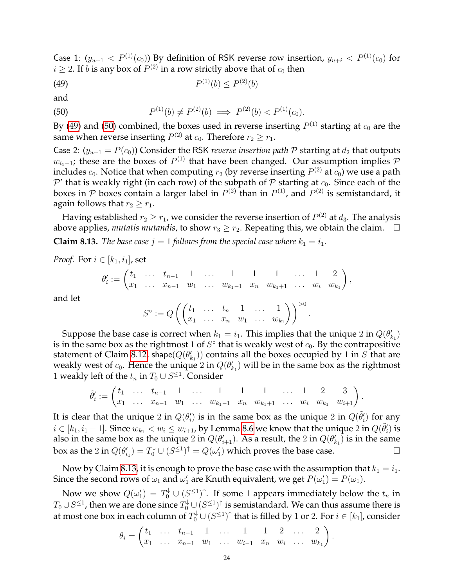Case 1:  $(y_{u+1} < P^{(1)}(c_0))$  By definition of RSK reverse row insertion,  $y_{u+i} < P^{(1)}(c_0)$  for  $i \geq 2$ . If  $b$  is any box of  $P^{(2)}$  in a row strictly above that of  $c_0$  then

<span id="page-23-0"></span> $(49)$   $P$  $(1)(b) \leq P^{(2)}(b)$ 

and

<span id="page-23-1"></span>(50) 
$$
P^{(1)}(b) \neq P^{(2)}(b) \implies P^{(2)}(b) < P^{(1)}(c_0).
$$

By [\(49\)](#page-23-0) and [\(50\)](#page-23-1) combined, the boxes used in reverse inserting  $P^{(1)}$  starting at  $c_0$  are the same when reverse inserting  $P^{(2)}$  at  $c_0$ . Therefore  $r_2 \ge r_1$ .

Case 2:  $(y_{u+1} = P(c_0))$  Consider the RSK *reverse insertion path* P starting at  $d_2$  that outputs  $w_{i_1-1}$ ; these are the boxes of  $P^{(1)}$  that have been changed. Our assumption implies  $\mathcal P$ includes  $c_0.$  Notice that when computing  $r_2$  (by reverse inserting  $P^{(2)}$  at  $c_0$ ) we use a path  $\mathcal{P}'$  that is weakly right (in each row) of the subpath of  $\mathcal P$  starting at  $c_0$ . Since each of the boxes in  ${\cal P}$  boxes contain a larger label in  $P^{(2)}$  than in  $P^{(1)}$ , and  $P^{(2)}$  is semistandard, it again follows that  $r_2 \geq r_1$ .

<span id="page-23-2"></span>Having established  $r_2 \geq r_1$ , we consider the reverse insertion of  $P^{(2)}$  at  $d_3$ . The analysis above applies, *mutatis mutandis*, to show  $r_3 \geq r_2$ . Repeating this, we obtain the claim.  $\Box$ **Claim 8.13.** *The base case*  $j = 1$  *follows from the special case where*  $k_1 = i_1$ *.* 

*Proof.* For  $i \in [k_1, i_1]$ , set

$$
\theta'_{i} := \begin{pmatrix} t_1 & \dots & t_{n-1} & 1 & \dots & 1 & 1 & 1 & \dots & 1 & 2 \\ x_1 & \dots & x_{n-1} & w_1 & \dots & w_{k_1-1} & x_n & w_{k_1+1} & \dots & w_i & w_{k_1} \end{pmatrix},
$$

and let

$$
S^{\circ} := Q\left(\begin{pmatrix}t_1 & \ldots & t_n & 1 & \ldots & 1 \\ x_1 & \ldots & x_n & w_1 & \ldots & w_{k_1}\end{pmatrix}\right)^{>0}.
$$

Suppose the base case is correct when  $k_1 = i_1$ . This implies that the unique 2 in  $Q(\theta'_{k_1})$ is in the same box as the rightmost 1 of  $S^{\circ}$  that is weakly west of  $c_0$ . By the contrapositive statement of Claim [8.12,](#page-22-3) shape $(Q(\theta'_{k_1}))$  contains all the boxes occupied by 1 in S that are weakly west of  $c_0$ . Hence the unique 2 in  $Q(\theta'_{k_1})$  will be in the same box as the rightmost 1 weakly left of the  $t_n$  in  $T_0 \cup S^{\leq 1}$ . Consider

$$
\tilde{\theta}'_i := \begin{pmatrix} t_1 & \dots & t_{n-1} & 1 & \dots & 1 & 1 & 1 & \dots & 1 & 2 & 3 \\ x_1 & \dots & x_{n-1} & w_1 & \dots & w_{k_1-1} & x_n & w_{k_1+1} & \dots & w_i & w_{k_1} & w_{i+1} \end{pmatrix}.
$$

It is clear that the unique 2 in  $Q(\theta'_i)$  is in the same box as the unique 2 in  $Q(\tilde{\theta}'_i)$  for any  $i \in [k_1, i_1-1]$ . Since  $w_{k_1} < w_i \leq w_{i+1}$ , by Lemma [8.6](#page-19-6) we know that the unique 2 in  $Q(\tilde{\theta}'_i)$  is also in the same box as the unique 2 in  $Q(\theta_{i+1}')$ . As a result, the 2 in  $Q(\theta_{k_1}')$  is in the same box as the 2 in  $Q(\theta'_{i_1}) = T_0^{\downarrow} \cup (S^{\leq 1})^{\uparrow} = Q(\omega'_1)$  which proves the base case.

Now by Claim [8.13,](#page-23-2) it is enough to prove the base case with the assumption that  $k_1 = i_1$ . Since the second rows of  $\omega_1$  and  $\omega'_1$  are Knuth equivalent, we get  $P(\omega'_1) = P(\omega_1)$ .

Now we show  $Q(\omega_1') = T_0^{\downarrow} \cup (S^{\leq 1})^{\uparrow}$ . If some 1 appears immediately below the  $t_n$  in  $T_0\cup S^{\leq 1}$ , then we are done since  $T_0^{\downarrow}\cup(S^{\leq 1})^{\uparrow}$  is semistandard. We can thus assume there is at most one box in each column of  $T_0^{\downarrow}\cup (S^{\leq 1})^{\uparrow}$  that is filled by 1 or 2. For  $i\in [k_1]$ , consider

$$
\theta_i = \begin{pmatrix} t_1 & \dots & t_{n-1} & 1 & \dots & 1 & 1 & 2 & \dots & 2 \\ x_1 & \dots & x_{n-1} & w_1 & \dots & w_{i-1} & x_n & w_i & \dots & w_{k_1} \end{pmatrix}.
$$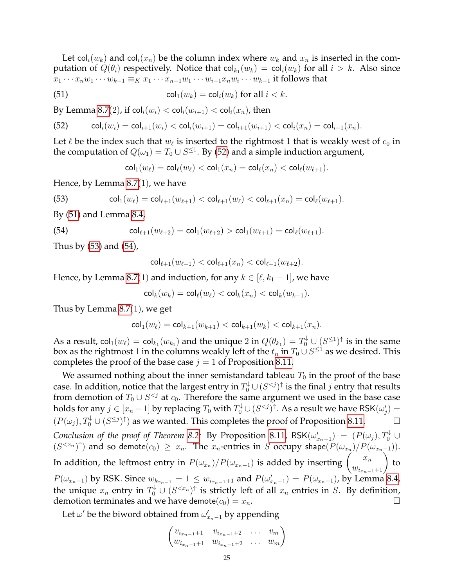Let col<sub>i</sub> $(w_k)$  and col<sub>i</sub> $(x_n)$  be the column index where  $w_k$  and  $x_n$  is inserted in the computation of  $Q(\theta_i)$  respectively. Notice that  $\mathsf{col}_{k_1}(w_k) = \mathsf{col}_i(w_k)$  for all  $i > k$ . Also since  $x_1 \cdots x_n w_1 \cdots w_{k-1} \equiv_K x_1 \cdots x_{n-1} w_1 \cdots w_{i-1} x_n w_i \cdots w_{k-1}$  it follows that

(51) 
$$
\operatorname{col}_1(w_k) = \operatorname{col}_i(w_k) \text{ for all } i < k.
$$

By Lemma [8.7](#page-20-0)(2), if  $col_i(w_i) < col_i(w_{i+1}) < col_i(x_n)$ , then

<span id="page-24-0"></span>(52) 
$$
\operatorname{col}_i(w_i) = \operatorname{col}_{i+1}(w_i) < \operatorname{col}_i(w_{i+1}) = \operatorname{col}_{i+1}(w_{i+1}) < \operatorname{col}_i(x_n) = \operatorname{col}_{i+1}(x_n).
$$

Let  $\ell$  be the index such that  $w_\ell$  is inserted to the rightmost 1 that is weakly west of  $c_0$  in the computation of  $Q(\omega_1)=T_0\cup S^{\leq 1}.$  By [\(52\)](#page-24-0) and a simple induction argument,

<span id="page-24-2"></span><span id="page-24-1"></span> $\text{col}_1(w_\ell) = \text{col}_\ell(w_\ell) < \text{col}_1(x_n) = \text{col}_\ell(x_n) < \text{col}_\ell(w_{\ell+1}).$ 

Hence, by Lemma [8.7](#page-20-0)(1), we have

(53) 
$$
\operatorname{col}_1(w_\ell) = \operatorname{col}_{\ell+1}(w_{\ell+1}) < \operatorname{col}_{\ell+1}(w_\ell) < \operatorname{col}_{\ell+1}(x_n) = \operatorname{col}_\ell(w_{\ell+1}).
$$

By [\(51\)](#page-24-1) and Lemma [8.4,](#page-19-1)

(54) 
$$
\operatorname{col}_{\ell+1}(w_{\ell+2}) = \operatorname{col}_1(w_{\ell+2}) > \operatorname{col}_1(w_{\ell+1}) = \operatorname{col}_{\ell}(w_{\ell+1}).
$$

Thus by [\(53\)](#page-24-2) and [\(54\)](#page-24-3),

<span id="page-24-3"></span>
$$
\mathsf{col}_{\ell+1}(w_{\ell+1}) < \mathsf{col}_{\ell+1}(x_n) < \mathsf{col}_{\ell+1}(w_{\ell+2}).
$$

Hence, by Lemma [8.7](#page-20-0)(1) and induction, for any  $k \in [\ell, k_1 - 1]$ , we have

$$
\mathsf{col}_k(w_k)=\mathsf{col}_\ell(w_\ell)<\mathsf{col}_k(x_n)<\mathsf{col}_k(w_{k+1}).
$$

Thus by Lemma [8.7](#page-20-0)(1), we get

$$
\mathsf{col}_1(w_\ell) = \mathsf{col}_{k+1}(w_{k+1}) < \mathsf{col}_{k+1}(w_k) < \mathsf{col}_{k+1}(x_n).
$$

As a result,  $\mathsf{col}_1(w_\ell)=\mathsf{col}_{k_1}(w_{k_1})$  and the unique  $2$  in  $Q(\theta_{k_1})=T_0^\downarrow\cup(S^{\leq 1})^\uparrow$  is in the same box as the rightmost  $1$  in the columns weakly left of the  $t_n$  in  $T_0\cup S^{\leq 1}$  as we desired. This completes the proof of the base case  $j = 1$  of Proposition [8.11.](#page-22-0)

We assumed nothing about the inner semistandard tableau  $T_0$  in the proof of the base case. In addition, notice that the largest entry in  $T^\downarrow_0\cup (S^{< j})^\uparrow$  is the final  $j$  entry that results from demotion of  $T_0 \cup S^{ at  $c_0$ . Therefore the same argument we used in the base case$ holds for any  $j\in[x_n-1]$  by replacing  $T_0$  with  $T_0^{\downarrow}\cup(S^{< j})^{\uparrow}.$  As a result we have RSK $(\omega'_j)=$  $(P(\omega_j), T_0^{\downarrow} \cup (S^{\leq j})^{\uparrow})$  as we wanted. This completes the proof of Proposition [8.11.](#page-22-0) *Conclusion of the proof of Theorem [8.2:](#page-18-0)* By Proposition [8.11,](#page-22-0)  $\mathsf{RSK}(\omega'_{x_n-1}) = (P(\omega_j), T_0^{\downarrow} \cup T_0^{\downarrow})$  $(S^{< x_n})^{\uparrow})$  and so demote $(c_0) \geq x_n$ . The  $x_n$ -entries in S occupy shape $(P(\omega_{x_n})/P(\omega_{x_{n-1}}))$ . In addition, the leftmost entry in  $P(\omega_{x_n})/P(\omega_{x_{n-1}})$  is added by inserting  $\begin{pmatrix} x_n \ w_{i_{x_n-1}+1} \end{pmatrix}$ to  $P(\omega_{x_n-1})$  by RSK. Since  $w_{k_{x_n-1}} = 1 \le w_{i_{x_n-1}+1}$  and  $P(\omega'_{x_n-1}) = P(\omega_{x_n-1})$ , by Lemma [8.4,](#page-19-1) the unique  $x_n$  entry in  $T_0^{\downarrow} \cup (S^{< x_n})^{\uparrow}$  is strictly left of all  $x_n$  entries in S. By definition, demotion terminates and we have demote $(c_0) = x_n$ .

Let  $\omega'$  be the biword obtained from  $\omega'_{x_n-1}$  by appending

$$
\begin{pmatrix} v_{i_{x_n-1}+1} & v_{i_{x_n-1}+2} & \dots & v_m \\ w_{i_{x_n-1}+1} & w_{i_{x_n-1}+2} & \dots & w_m \end{pmatrix}
$$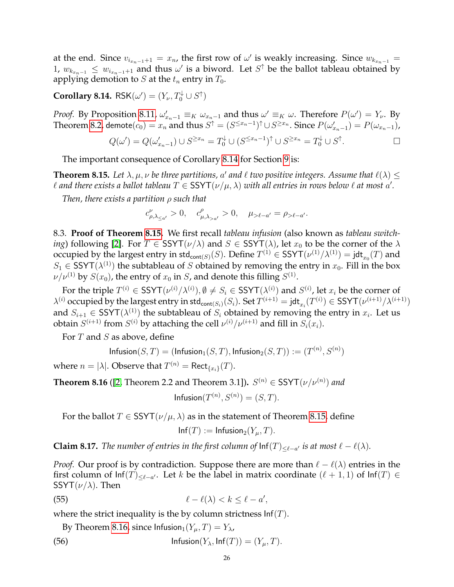at the end. Since  $v_{i_{x_n-1}+1} = x_n$ , the first row of  $\omega'$  is weakly increasing. Since  $w_{k_{x_n-1}} =$ 1,  $w_{k_{x_{n-1}}}$  ≤  $w_{i_{x_{n-1}+1}}$  and thus  $\omega'$  is a biword. Let  $S^{\uparrow}$  be the ballot tableau obtained by applying demotion to *S* at the  $t_n$  entry in  $T_0$ .

<span id="page-25-1"></span>**Corollary 8.14.**  $\mathsf{RSK}(\omega') = (Y_{\nu}, T_0^{\downarrow} \cup S^{\uparrow})$ 

*Proof.* By Proposition [8.11,](#page-22-0)  $\omega'_{x_n-1} \equiv_K \omega_{x_n-1}$  and thus  $\omega' \equiv_K \omega$ . Therefore  $P(\omega') = Y_{\nu}$ . By Theorem [8.2,](#page-18-0) demote $(c_0)=x_n$  and thus  $S^\uparrow=(S^{\leq x_n-1})^\uparrow\cup S^{\geq x_n}.$  Since  $P(\omega'_{x_n-1})=P(\omega_{x_n-1})$ ,

$$
Q(\omega') = Q(\omega'_{x_n-1}) \cup S^{\geq x_n} = T_0^{\downarrow} \cup (S^{\leq x_n-1})^{\uparrow} \cup S^{\geq x_n} = T_0^{\downarrow} \cup S^{\uparrow}.
$$

The important consequence of Corollary [8.14](#page-25-1) for Section [9](#page-27-0) is:

<span id="page-25-0"></span>**Theorem 8.15.** Let  $\lambda, \mu, \nu$  be three partitions, a' and  $\ell$  two positive integers. Assume that  $\ell(\lambda) \leq$  $\ell$  and there exists a ballot tableau  $T \in \text{SSYT}(\nu/\mu, \lambda)$  with all entries in rows below  $\ell$  at most  $a'.$ 

*Then, there exists a partition* ρ *such that*

$$
c^{\nu}_{\rho,\lambda_{\leq a'}} > 0, \quad c^{\rho}_{\mu,\lambda_{>a'}} > 0, \quad \mu_{>\ell-a'} = \rho_{>\ell-a'}.
$$

8.3. **Proof of Theorem [8.15.](#page-25-0)** We first recall *tableau infusion* (also known as *tableau switching*) following [\[2\]](#page-34-9). For  $T \in \text{SSYT}(\nu/\lambda)$  and  $S \in \text{SSYT}(\lambda)$ , let  $x_0$  to be the corner of the  $\lambda$ occupied by the largest entry in  $\mathrm{std}_{\mathrm{cont}(S)}(S)$ . Define  $T^{(1)} \in \mathsf{SSYT}(\nu^{(1)}/\lambda^{(1)}) = \mathsf{jdt}_{x_0}(T)$  and  $S_1 \in \text{SSYT}(\lambda^{(1)})$  the subtableau of S obtained by removing the entry in  $x_0$ . Fill in the box  $\nu/\nu^{(1)}$  by  $S(x_0)$ , the entry of  $x_0$  in  $S$ , and denote this filling  $S^{(1)}.$ 

For the triple  $T^{(i)} \in \mathsf{SSYT}(\nu^{(i)}/\lambda^{(i)}), \emptyset \neq S_i \in \mathsf{SSYT}(\lambda^{(i)})$  and  $S^{(i)}$ , let  $x_i$  be the corner of  $\lambda^{(i)}$  occupied by the largest entry in std $_{\mathsf{cont}(S_i)}(S_i)$ . Set  $T^{(i+1)} = \mathsf{jdt}_{x_i}(T^{(i)}) \in \mathsf{SSYT}(\nu^{(i+1)}/\lambda^{(i+1)})$ and  $S_{i+1} \in \text{SSYT}(\lambda^{(1)})$  the subtableau of  $S_i$  obtained by removing the entry in  $x_i$ . Let us obtain  $S^{(i+1)}$  from  $S^{(i)}$  by attaching the cell  $\nu^{(i)}/\nu^{(i+1)}$  and fill in  $S_i(x_i)$ .

For  $T$  and  $S$  as above, define

$$
\mathsf{Infusion}(S,T)=(\mathsf{Infusion}_1(S,T),\mathsf{Infusion}_2(S,T)):=(T^{(n)},S^{(n)})
$$

where  $n=|\lambda|.$  Observe that  $T^{(n)}=\mathsf{Rect}_{\{x_i\}}(T).$ 

<span id="page-25-2"></span>**Theorem 8.16** ([\[2,](#page-34-9) Theorem 2.2 and Theorem 3.1]).  $S^{(n)} \in \text{SSYT}(\nu/\nu^{(n)})$  and

$$
\mathsf{Infusion}(T^{(n)}, S^{(n)}) = (S, T).
$$

For the ballot  $T \in \text{SSYT}(\nu/\mu, \lambda)$  as in the statement of Theorem [8.15,](#page-25-0) define

<span id="page-25-4"></span><span id="page-25-3"></span>
$$
\mathsf{Inf}(T) := \mathsf{Infusion}_2(Y_\mu, T).
$$

<span id="page-25-5"></span>**Claim 8.17.** *The number of entries in the first column of*  $\text{Inf}(T)_{\leq \ell - a'}$  *is at most*  $\ell - \ell(\lambda)$ *.* 

*Proof.* Our proof is by contradiction. Suppose there are more than  $\ell - \ell(\lambda)$  entries in the first column of  $\textsf{Inf}(T)_{\leq \ell-a'}$ . Let k be the label in matrix coordinate  $(\ell + 1, 1)$  of  $\textsf{Inf}(T) \in$ SSYT $(\nu/\lambda)$ . Then

$$
\ell - \ell(\lambda) < k \le \ell - a',
$$

where the strict inequality is the by column strictness  $\text{Inf}(T)$ .

By Theorem [8.16,](#page-25-2) since  $Infusion_1(Y_\mu, T) = Y_\lambda$ ,

(56) 
$$
\mathsf{Infusion}(Y_{\lambda}, \mathsf{Inf}(T)) = (Y_{\mu}, T).
$$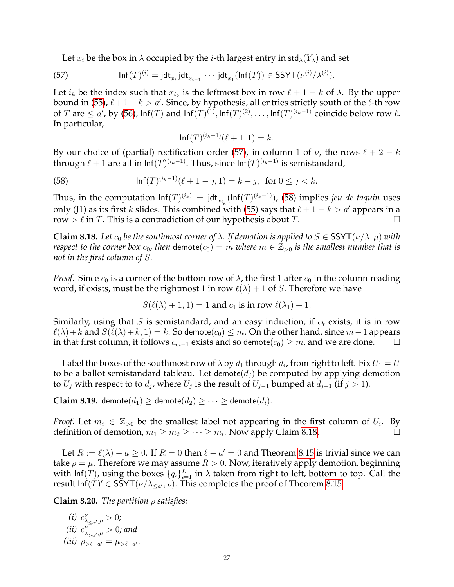<span id="page-26-0"></span>Let  $x_i$  be the box in  $\lambda$  occupied by the *i*-th largest entry in std<sub> $\lambda$ </sub>(Y<sub> $\lambda$ </sub>) and set

(57) 
$$
\mathsf{Inf}(T)^{(i)} = \mathsf{jdt}_{x_i} \mathsf{jdt}_{x_{i-1}} \cdots \mathsf{jdt}_{x_1}(\mathsf{Inf}(T)) \in \mathsf{SSYT}(\nu^{(i)}/\lambda^{(i)}).
$$

Let  $i_k$  be the index such that  $x_{i_k}$  is the leftmost box in row  $\ell + 1 - k$  of  $\lambda$ . By the upper bound in [\(55\)](#page-25-3),  $\ell + 1 - k > a'$ . Since, by hypothesis, all entries strictly south of the  $\ell$ -th row of T are  $\leq a'$ , by [\(56\)](#page-25-4),  $\mathsf{Inf}(T)$  and  $\mathsf{Inf}(T)^{(1)}$ ,  $\mathsf{Inf}(T)^{(2)}, \ldots, \mathsf{Inf}(T)^{(i_k-1)}$  coincide below row  $\ell$ . In particular,

<span id="page-26-1"></span>
$$
\ln f(T)^{(i_k-1)}(\ell+1,1) = k.
$$

By our choice of (partial) rectification order [\(57\)](#page-26-0), in column 1 of  $\nu$ , the rows  $\ell + 2 - k$ through  $\ell + 1$  are all in  $\mathsf{Inf}(T)^{(i_k-1)}$ . Thus, since  $\mathsf{Inf}(T)^{(i_k-1)}$  is semistandard,

(58) 
$$
\ln f(T)^{(i_k-1)}(\ell+1-j,1) = k-j, \text{ for } 0 \le j < k.
$$

Thus, in the computation  $\mathsf{Inf}(T)^{(i_k)} = \mathsf{jdt}_{x_{i_k}}(\mathsf{Inf}(T)^{(i_k-1)})$ , [\(58\)](#page-26-1) implies *jeu de taquin* uses only (J1) as its first k slides. This combined with [\(55\)](#page-25-3) says that  $\ell + 1 - k > a'$  appears in a row  $> \ell$  in T. This is a contradiction of our hypothesis about T.

<span id="page-26-2"></span>**Claim 8.18.** Let  $c_0$  be the southmost corner of  $\lambda$ . If demotion is applied to  $S \in \text{SSYT}(\nu/\lambda, \mu)$  with *respect to the corner box*  $c_0$ , then demote $(c_0) = m$  *where*  $m \in \mathbb{Z}_{>0}$  *is the smallest number that is not in the first column of* S*.*

*Proof.* Since  $c_0$  is a corner of the bottom row of  $\lambda$ , the first 1 after  $c_0$  in the column reading word, if exists, must be the rightmost 1 in row  $\ell(\lambda) + 1$  of S. Therefore we have

$$
S(\ell(\lambda)+1,1)=1
$$
 and  $c_1$  is in row  $\ell(\lambda_1)+1$ .

Similarly, using that S is semistandard, and an easy induction, if  $c_k$  exists, it is in row  $\ell(\lambda)+k$  and  $S(\ell(\lambda)+k, 1) = k$ . So demote $(c_0) \leq m$ . On the other hand, since  $m-1$  appears in that first column, it follows  $c_{m-1}$  exists and so demote( $c_0$ ) ≥ m, and we are done.  $\Box$ 

Label the boxes of the southmost row of  $\lambda$  by  $d_1$  through  $d_i$ , from right to left. Fix  $U_1=U$ to be a ballot semistandard tableau. Let demote( $d_i$ ) be computed by applying demotion to  $U_j$  with respect to to  $d_j$ , where  $U_j$  is the result of  $U_{j-1}$  bumped at  $d_{j-1}$  (if  $j > 1$ ).

<span id="page-26-4"></span>**Claim 8.19.** demote $(d_1) \geq$  demote $(d_2) \geq \cdots \geq$  demote $(d_i)$ .

*Proof.* Let  $m_i \in \mathbb{Z}_{>0}$  be the smallest label not appearing in the first column of  $U_i$ . By definition of demotion,  $m_1 \ge m_2 \ge \cdots \ge m_i$ . Now apply Claim [8.18.](#page-26-2)

Let  $R := \ell(\lambda) - a \geq 0$ . If  $R = 0$  then  $\ell - a' = 0$  and Theorem [8.15](#page-25-0) is trivial since we can take  $\rho = \mu$ . Therefore we may assume  $R > 0$ . Now, iteratively apply demotion, beginning with lnf(T), using the boxes  $\{q_i\}_{i=1}^L$  in  $\lambda$  taken from right to left, bottom to top. Call the result  $\text{Inf}(T)' \in \text{SSYT}(\nu/\lambda_{\leq \alpha'}, \rho)$ . This completes the proof of Theorem [8.15:](#page-25-0)

<span id="page-26-3"></span>**Claim 8.20.** *The partition* ρ *satisfies:*

(i) 
$$
c_{\lambda_{\leq a'},\rho}^{\nu} > 0;
$$
  
\n(ii)  $c_{\lambda_{>a'},\mu}^{\rho} > 0;$  and  
\n(iii)  $\rho_{\geq \ell-a'} = \mu_{\geq \ell-a'}.$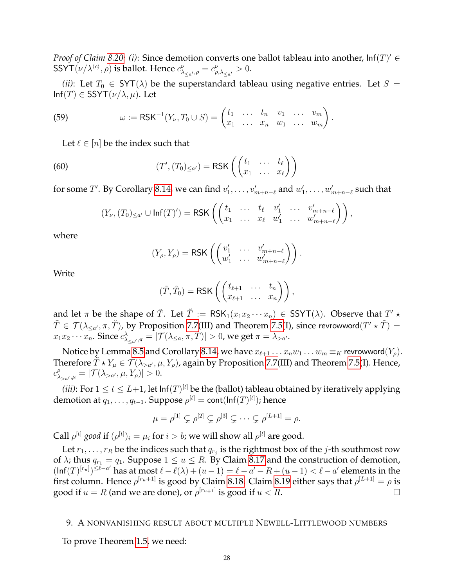*Proof of Claim [8.20:](#page-26-3) (i):* Since demotion converts one ballot tableau into another,  $\text{Inf}(T)' \in$ SSYT $(\nu/\lambda^{\langle c\rangle},\rho)$  is ballot. Hence  $c_{\lambda_{\leq a'},\rho}^{\nu}=c_{\rho,\lambda_{\leq a'}}^{\nu}>0.$ 

*(ii)*: Let  $T_0 \in SYT(\lambda)$  be the superstandard tableau using negative entries. Let  $S =$  $Inf(T) \in \text{SSYT}(\nu/\lambda, \mu)$ . Let

(59) 
$$
\omega := \text{RSK}^{-1}(Y_{\nu}, T_0 \cup S) = \begin{pmatrix} t_1 & \dots & t_n & v_1 & \dots & v_m \\ x_1 & \dots & x_n & w_1 & \dots & w_m \end{pmatrix}.
$$

Let  $\ell \in [n]$  be the index such that

(60) 
$$
(T', (T_0)_{\leq a'}) = \text{RSK}\left(\begin{pmatrix} t_1 & \dots & t_\ell \\ x_1 & \dots & x_\ell \end{pmatrix}\right)
$$

for some  $T'$ . By Corollary [8.14,](#page-25-1) we can find  $v'_1,\ldots,v'_{m+n-\ell}$  and  $w'_1,\ldots,w'_{m+n-\ell}$  such that

$$
(Y_{\nu}, (T_0)_{\leq a'} \cup \text{Inf}(T)') = \text{RSK}\left(\begin{pmatrix} t_1 & \dots & t_{\ell} & v'_1 & \dots & v'_{m+n-\ell} \\ x_1 & \dots & x_{\ell} & w'_1 & \dots & w'_{m+n-\ell} \end{pmatrix}\right),
$$

where

$$
(Y_{\rho}, Y_{\rho}) = \text{RSK}\left(\begin{pmatrix} v'_1 & \dots & v'_{m+n-\ell} \\ w'_1 & \dots & w'_{m+n-\ell} \end{pmatrix}\right).
$$

Write

$$
(\tilde{T}, \tilde{T}_0) = \text{RSK}\left(\begin{pmatrix} t_{\ell+1} & \dots & t_n \\ x_{\ell+1} & \dots & x_n \end{pmatrix}\right),
$$

and let  $\pi$  be the shape of  $\tilde{T}$ . Let  $\breve{T} := \, \mathsf{RSK}_1(x_1 x_2 \cdots x_n) \, \in \, \mathsf{SSYT}(\lambda)$ . Observe that  $T' \star$  $\tilde{T}\in \mathcal{T}(\lambda_{\leq a'},\pi,\breve{T})$ , by Proposition [7.7\(](#page-16-5)III) and Theorem [7.5\(](#page-16-1)I), since revrowword $(T'\star \tilde{T})=$  $x_1x_2\cdots x_n$ . Since  $c^\lambda_{\lambda_{\leq a'},\pi}=|\mathcal{T}(\lambda_{\leq a},\pi,T)|>0$ , we get  $\pi=\lambda_{>a'}$ .

Notice by Lemma [8.5](#page-19-5) and Corollary [8.14,](#page-25-1) we have  $x_{\ell+1} \ldots x_n w_1 \ldots w_m \equiv_K \text{revrowword}(Y_\rho)$ . Therefore  $\tilde{T} \star Y_\mu \in \mathcal{T}(\lambda_{>a'},\mu,Y_\rho)$ , again by Proposition [7.7\(](#page-16-5)III) and Theorem [7.5\(](#page-16-1)I). Hence,  $c^{\rho}_{\lambda_{>a'},\mu} = |{\cal T}(\lambda_{>a'},\mu,Y_{\rho})| > 0.$ 

*(iii)*: For  $1 \le t \le L+1$ , let  $\text{Inf}(T)^{[t]}$  be the (ballot) tableau obtained by iteratively applying demotion at  $q_1,\ldots,q_{t-1}.$  Suppose  $\rho^{[t]}=$  cont(lnf $(T)^{[t]})$ ; hence

$$
\mu = \rho^{[1]} \subsetneq \rho^{[2]} \subsetneq \rho^{[3]} \subsetneq \cdots \subsetneq \rho^{[L+1]} = \rho.
$$

Call  $\rho^{[t]}$  *good* if  $(\rho^{[t]})_i = \mu_i$  for  $i > b$ ; we will show all  $\rho^{[t]}$  are good.

Let  $r_1,\ldots,r_R$  be the indices such that  $q_{r_j}$  is the rightmost box of the  $j$ -th southmost row of  $\lambda$ ; thus  $q_{r_1} = q_1$ . Suppose  $1 \le u \le R$ . By Claim [8.17](#page-25-5) and the construction of demotion,  $(\text{Inf}(T)^{[r_u]})^{\leq \ell-a'}$  has at most  $\ell - \ell(\lambda) + (u-1) = \ell - a' - R + (u-1) < \ell - a'$  elements in the first column. Hence  $\rho^{[r_u+1]}$  is good by Claim [8.18.](#page-26-2) Claim [8.19](#page-26-4) either says that  $\rho^{[L+1]}=\rho$  is good if  $u = R$  (and we are done), or  $\rho^{[r_{u+1}]}$  is good if  $u < R$ .

#### <span id="page-27-0"></span>9. A NONVANISHING RESULT ABOUT MULTIPLE NEWELL-LITTLEWOOD NUMBERS

To prove Theorem [1.5,](#page-3-0) we need: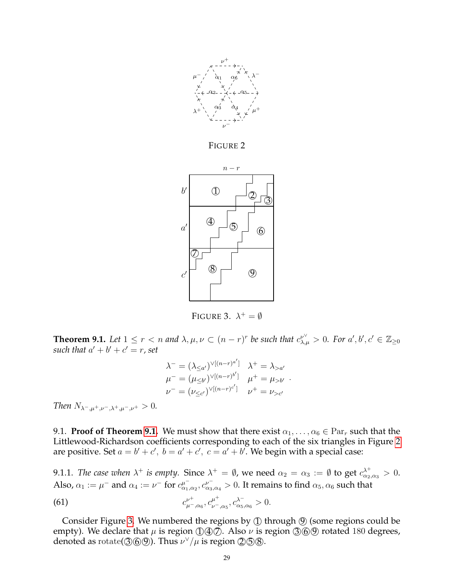<span id="page-28-1"></span>

FIGURE 2

<span id="page-28-2"></span>

FIGURE 3.  $\lambda^+ = \emptyset$ 

<span id="page-28-0"></span>**Theorem 9.1.** Let  $1 \leq r < n$  and  $\lambda, \mu, \nu \subset (n-r)^r$  be such that  $c^{\nu^{\vee}}_{\lambda,\mu} > 0$ . For  $a', b', c' \in \mathbb{Z}_{\geq 0}$ such that  $a' + b' + c' = r$ , set

$$
\lambda^{-} = (\lambda_{\leq a'})^{\vee[(n-r)^{a'}]} \quad \lambda^{+} = \lambda_{>a'}
$$
  
\n
$$
\mu^{-} = (\mu_{\leq b'})^{\vee[(n-r)^{b'}]} \quad \mu^{+} = \mu_{>b'}
$$
  
\n
$$
\nu^{-} = (\nu_{\leq c'})^{\vee[(n-r)^{c'}]} \quad \nu^{+} = \nu_{>c'}
$$

*Then*  $N_{\lambda-\mu^+,\nu^-\lambda^+,\mu^-\nu^+} > 0$ .

9.1. **Proof of Theorem [9.1.](#page-28-0)** We must show that there exist  $\alpha_1, \ldots, \alpha_6 \in \text{Par}_r$  such that the Littlewood-Richardson coefficients corresponding to each of the six triangles in Figure [2](#page-28-1) are positive. Set  $a = b' + c'$ ,  $b = a' + c'$ ,  $c = a' + b'$ . We begin with a special case:

<span id="page-28-4"></span>9.1.1. *The case when*  $\lambda^+$  *is empty.* Since  $\lambda^+ = \emptyset$ , we need  $\alpha_2 = \alpha_3 := \emptyset$  to get  $c_{\alpha_2,\alpha_3}^{\lambda^+} > 0$ . Also,  $\alpha_1 := \mu^-$  and  $\alpha_4 := \nu^-$  for  $c_{\alpha_1,\alpha_2}^{\mu^-}, c_{\alpha_3,\alpha_4}^{\nu^-} > 0$ . It remains to find  $\alpha_5,\alpha_6$  such that

<span id="page-28-3"></span>(61) 
$$
c_{\mu^-,\alpha_6}^{\nu^+}, c_{\nu^-,\alpha_5}^{\mu^+}, c_{\alpha_5,\alpha_6}^{\lambda^-} > 0.
$$

Consider Figure [3.](#page-28-2) We numbered the regions by  $\textcircled{1}$  through  $\textcircled{9}$  (some regions could be empty). We declare that  $\mu$  is region  $\mathcal{D} \oplus \mathcal{D}$ . Also  $\nu$  is region  $\mathcal{D} \oplus \mathcal{D}$  rotated 180 degrees, denoted as  $rotate(③⑤⑤)$ . Thus  $\nu^{\vee}/\mu$  is region  $\mathcal{2}⑤\mathcal{3}$ .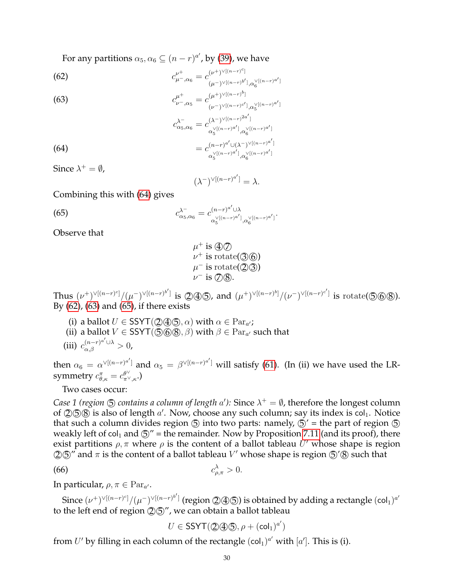For any partitions  $\alpha_5, \alpha_6 \subseteq (n-r)^{a'}$ , by [\(39\)](#page-15-0), we have

<span id="page-29-1"></span>(62) 
$$
c_{\mu^-,\alpha_6}^{\nu^+} = c_{(\mu^-)^{\vee[(n-r)^c]}}^{(\nu^+)^{\vee[(n-r)^c]}} a_{\alpha}^{\vee[(n-r)^{a'}]}
$$

<span id="page-29-2"></span>(63)  

$$
c_{\nu^{-},\alpha_{5}}^{\mu^{+}} = c_{(\nu^{-})^{\vee[(n-r)^{d}]}}^{(\mu^{+})^{\vee[(n-r)^{d}]}} a_{5}^{\vee[(n-r)^{a}]}
$$

$$
c_{\alpha_{5},\alpha_{6}}^{\lambda^{-}} = c_{\alpha_{5}^{\vee[(n-r)^{a}]}_{\alpha_{5}}^{\vee[(n-r)^{a}]}_{\alpha_{6}}^{\vee[(n-r)^{a}]} a_{6}^{\vee[(n-r)^{a}]}}
$$

<span id="page-29-0"></span>(64) 
$$
=c_{\alpha_5^{\vee[(n-r)a']},\alpha_6^{\vee[(n-r)a']}}^{(n-r)a' \cup (\lambda^-)^{\vee[(n-r)a']}}.
$$

Since  $\lambda^+ = \emptyset$ ,

<span id="page-29-3"></span>
$$
(\lambda^-)^{\vee[(n-r)^{a'}]} = \lambda.
$$

Combining this with [\(64\)](#page-29-0) gives

(65) 
$$
c_{\alpha_5,\alpha_6}^{\lambda^-} = c_{\alpha_5^{(n-r)^{a'}!},\alpha_6^{\vee[(n-r)^{a'}]},\alpha_6^{\vee[(n-r)^{a'}]}}^{(n-r)^{a'}\cup\lambda}.
$$

Observe that

$$
\mu^+ \text{ is } \textcircled{4}\mathcal{D}
$$
\n
$$
\nu^+ \text{ is rotate}(\textcircled{3}\textcircled{6})
$$
\n
$$
\mu^- \text{ is rotate}(\textcircled{2}\textcircled{3})
$$
\n
$$
\nu^- \text{ is } \textcircled{7}\textcircled{8}.
$$

Thus  $(\nu^{+})^{\vee[(n-r)^{c}]} / (\mu^{-})^{\vee[(n-r)^{b}']}$  is  $\mathcal{Q}(\mathfrak{D})$ , and  $(\mu^{+})^{\vee[(n-r)^{b}]} / (\nu^{-})^{\vee[(n-r)^{c}']}$  is  $\mathrm{rotate}(\mathfrak{D}(\mathfrak{D}))$ . By [\(62\)](#page-29-1), [\(63\)](#page-29-2) and [\(65\)](#page-29-3), if there exists

- (i) a ballot  $U \in \mathsf{SSYT}(\mathcal{Q} \mathcal{Q} \mathcal{G}, \alpha)$  with  $\alpha \in \operatorname{Par}_{a'};$
- (ii) a ballot  $V \in \mathsf{SSYT}(\textcircled{568}, \beta)$  with  $\beta \in \operatorname{Par}_{a'}$  such that
- (iii)  $c_{\alpha,\beta}^{(n-r)^{a'}\cup\lambda} > 0$ ,

then  $\alpha_6 = \alpha^{\vee[(n-r)^{a'}}]$  and  $\alpha_5 = \beta^{\vee[(n-r)^{a'}}]$  will satisfy [\(61\)](#page-28-3). (In (ii) we have used the LRsymmetry  $c^{\pi}_{\theta,\kappa}=c^{\theta^{\vee}}_{\pi^{\vee},\kappa}.$ 

Two cases occur:

*Case 1 (region*  $\circledS$  *contains a column of length a')*: Since  $\lambda^+ = \emptyset$ , therefore the longest column of  $(2)$   $(5)$  is also of length  $a'$ . Now, choose any such column; say its index is col<sub>1</sub>. Notice that such a column divides region  $\circled{5}$  into two parts: namely,  $\circled{5}'$  = the part of region  $\circled{5}$ weakly left of  $col_1$  and  $\circled{S}$ " = the remainder. Now by Proposition [7.11](#page-17-4) (and its proof), there exist partitions  $\rho$ ,  $\pi$  where  $\rho$  is the content of a ballot tableau U' whose shape is region  $\mathcal{Q}(\mathcal{D})''$  and  $\pi$  is the content of a ballot tableau  $V'$  whose shape is region  $\mathcal{D}'\mathcal{B}$  such that

$$
c_{\rho,\pi}^{\lambda} > 0.
$$

In particular,  $\rho, \pi \in \operatorname{Par}_{a'}$ .

Since  $(\nu^+)^{\vee[(n-r)^c]}/(\mu^-)^{\vee[(n-r)^{b']}}$  (region ②④⑤) is obtained by adding a rectangle  $(\mathsf{col}_1)^{a'}$ to the left end of region  $(2)$  (5)", we can obtain a ballot tableau

<span id="page-29-4"></span>
$$
U\in \mathsf{SSYT}(\mathbb{Q}(\mathbb{Q}\mathbb{G}),\rho+(\mathsf{col}_1)^{a'})
$$

from U' by filling in each column of the rectangle  $(\text{col}_1)^{a'}$  with  $[a']$ . This is (i).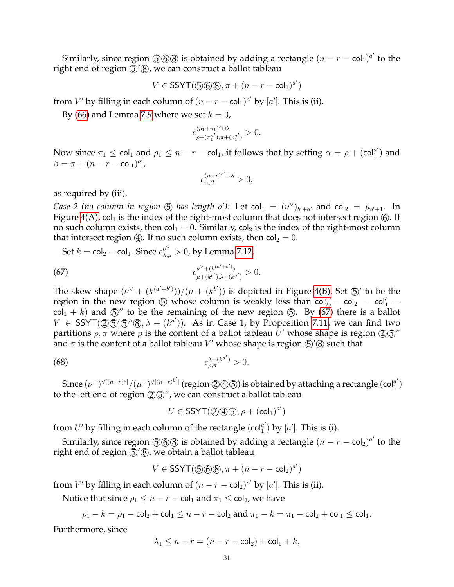Similarly, since region  $\circledS\circledS$  is obtained by adding a rectangle  $(n - r - \mathsf{col}_1)^{a'}$  to the right end of region  $\mathcal{D}'(\mathcal{B})$ , we can construct a ballot tableau

$$
V\in \mathsf{SSYT}(\textcircled{\textcircled{\raisebox{-0.6ex}{\scriptsize 0}}} \textcircled{\textcircled{\raisebox{-0.5ex}{\scriptsize 0}}}, \pi+(n-r-\mathsf{col}_1)^{a'})
$$

from  $V'$  by filling in each column of  $(n - r - \text{col}_1)^{a'}$  by  $[a']$ . This is (ii).

By [\(66\)](#page-29-4) and Lemma [7.9](#page-17-5) where we set  $k = 0$ ,

$$
c_{\rho+(\pi_1^{a'}),\pi+(\rho_1^{a'})}^{(\rho_1+\pi_1)^c\cup\lambda} > 0.
$$

Now since  $\pi_1 \leq$  col<sub>1</sub> and  $\rho_1 \leq n-r-\text{col}_1$ , it follows that by setting  $\alpha = \rho + (\text{col}_1^{a'})$  $_1^{a'}$ ) and  $\beta = \pi + (n - r - \mathsf{col}_1)^{a'}$ ,

<span id="page-30-0"></span>
$$
c_{\alpha,\beta}^{(n-r)^{a'}\cup\lambda}>0,
$$

as required by (iii).

*Case 2 (no column in region*  $\circled{5}$  *has length a'*): Let col<sub>1</sub> =  $(\nu^{\vee})_{b'+a'}$  and col<sub>2</sub> =  $\mu_{b'+1}$ . In Figure  $4(A)$ , col<sub>1</sub> is the index of the right-most column that does not intersect region  $(6)$ . If no such column exists, then  $col_1 = 0$ . Similarly,  $col_2$  is the index of the right-most column that intersect region (4). If no such column exists, then  $col_2 = 0$ .

Set 
$$
k = \text{col}_2 - \text{col}_1
$$
. Since  $c_{\lambda,\mu}^{\nu^{\vee}} > 0$ , by Lemma 7.12,

(67) 
$$
c_{\mu+(k^{b'}),\lambda+(k^{a'}+b')}^{\nu^{\vee}+(k^{(a'+b')})} > 0.
$$

The skew shape  $(\nu^{\vee} + (k^{(a'+b')}))/(\mu + (k^{b'}))$  is depicted in Figure [4\(B\).](#page-31-0) Set  $\mathfrak{S}'$  to be the region in the new region  $\circled{5}$  whose column is weakly less than  $col_2' (= col_2 = col_1' = col_2'$  $col<sub>1</sub> + k$ ) and  $\circled{5}$ " to be the remaining of the new region  $\circled{5}$ . By [\(67\)](#page-30-0) there is a ballot  $V \in \text{SSYT}(\text{200}'\text{50}'\text{8}, \lambda + (k^{a'}))$ . As in Case 1, by Proposition [7.11,](#page-17-4) we can find two partitions  $\rho,\pi$  where  $\rho$  is the content of a ballot tableau  $\bar{U}'$  whose shape is region  $\mathcal{Q}(\mathbb{S})''$ and  $\pi$  is the content of a ballot tableau  $V'$  whose shape is region  $\mathfrak{S}'\circledS$  such that

(68) 
$$
c_{\rho,\pi}^{\lambda+(k^{a'})} > 0.
$$

Since  $(\nu^+)^{\vee[(n-r)^c]}/(\mu^-)^{\vee[(n-r)^{b']}}$  (region ②④⑤) is obtained by attaching a rectangle  $(\mathsf{col}_1^{a'}$  $\begin{pmatrix} a' \\ 1 \end{pmatrix}$ to the left end of region  $\mathcal{Q}(\mathcal{D})''$ , we can construct a ballot tableau

<span id="page-30-1"></span>
$$
U\in \mathsf{SSYT}(\mathbb{Q}(\mathbb{Q}\mathbb{G}),\rho+(\mathsf{col}_1)^{a'})
$$

from U' by filling in each column of the rectangle  $(\text{col}_1^{a'})$  $\binom{a'}{1}$  by  $[a']$ . This is (i).

Similarly, since region  $\circledS\circledS$  is obtained by adding a rectangle  $(n - r - \mathsf{col}_2)^{a'}$  to the right end of region  $\mathcal{F}/\mathcal{B}$ , we obtain a ballot tableau

$$
V\in \mathsf{SSYT}(\textcircled{\textsf{S}}\textcircled{\textsf{R}},\pi+(n-r-\mathsf{col}_2)^{a'})
$$

from V' by filling in each column of  $(n - r - \text{col}_2)^{a'}$  by  $[a']$ . This is (ii).

Notice that since  $\rho_1 \leq n-r - \text{col}_1$  and  $\pi_1 \leq \text{col}_2$ , we have

$$
\rho_1 - k = \rho_1 - \text{col}_2 + \text{col}_1 \le n - r - \text{col}_2
$$
 and  $\pi_1 - k = \pi_1 - \text{col}_2 + \text{col}_1 \le \text{col}_1$ .

Furthermore, since

$$
\lambda_1 \le n - r = (n - r - \mathsf{col}_2) + \mathsf{col}_1 + k,
$$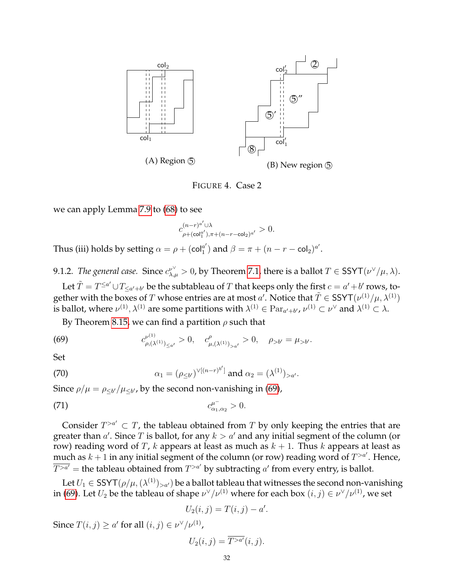<span id="page-31-0"></span>

FIGURE 4. Case 2

we can apply Lemma [7.9](#page-17-5) to [\(68\)](#page-30-1) to see

$$
c_{\rho+(\operatorname{col}_1^{a'}),\pi+(n-r-\operatorname{col}_2)^{a'}}^{(n-r)^{a'}\cup \lambda}>0.
$$

Thus (iii) holds by setting  $\alpha = \rho + (col_1^{a'})$  $\binom{a'}{1}$  and  $\beta = \pi + (n - r - \text{col}_2)^{a'}$ .

9.1.2. *The general case.* Since  $c^{\nu^{\vee}}_{\lambda,\mu} > 0$ , by Theorem [7.1,](#page-15-1) there is a ballot  $T \in \text{SSYT}(\nu^{\vee}/\mu, \lambda)$ .

Let  $\tilde{T} = T^{\le a'} \cup T_{\le a'+b'}$  be the subtableau of  $T$  that keeps only the first  $c = a' + b'$  rows, together with the boxes of  $T$  whose entries are at most  $a'$ . Notice that  $\tilde{T} \in \text{SSYT}(\nu^{(1)}/\mu, \lambda^{(1)})$ is ballot, where  $\nu^{(1)}, \lambda^{(1)}$  are some partitions with  $\lambda^{(1)} \in \operatorname{Par}_{a'+b'}$ ,  $\nu^{(1)} \subset \nu^\vee$  and  $\lambda^{(1)} \subset \lambda$ .

<span id="page-31-1"></span>By Theorem [8.15,](#page-25-0) we can find a partition  $\rho$  such that

(69) 
$$
c_{\rho,(\lambda^{(1)})_{\leq a'}}^{\nu^{(1)}} > 0, \quad c_{\mu,(\lambda^{(1)})_{>a'}}^{\rho} > 0, \quad \rho_{>b'} = \mu_{>b'}.
$$

Set

(70) 
$$
\alpha_1 = (\rho_{\leq b'})^{\vee[(n-r)^{b'}]} \text{ and } \alpha_2 = (\lambda^{(1)})_{>a'}.
$$

Since  $\rho/\mu = \rho_{\leq b'}/\mu_{\leq b'}$ , by the second non-vanishing in [\(69\)](#page-31-1),

(71) 
$$
c_{\alpha_1,\alpha_2}^{\mu^-} > 0.
$$

Consider  $T^{>a'} \subset T$ , the tableau obtained from T by only keeping the entries that are greater than  $a'$ . Since T is ballot, for any  $k > a'$  and any initial segment of the column (or row) reading word of T, k appears at least as much as  $k + 1$ . Thus k appears at least as much as  $k + 1$  in any initial segment of the column (or row) reading word of  $T^{>a'}$ . Hence,  $\overline{T^{>a'}}$  = the tableau obtained from  $T^{>a'}$  by subtracting  $a'$  from every entry, is ballot.

Let  $U_1 \in \mathsf{SSYT}(\rho/\mu, (\lambda^{(1)})_{>a'})$  be a ballot tableau that witnesses the second non-vanishing in [\(69\)](#page-31-1). Let  $U_2$  be the tableau of shape  $\nu^\vee/\nu^{(1)}$  where for each box  $(i,j)\in \nu^\vee/\nu^{(1)}$ , we set

<span id="page-31-2"></span>
$$
U_2(i,j) = T(i,j) - a'.
$$

Since  $T(i, j) \ge a'$  for all  $(i, j) \in \nu^{\vee}/\nu^{(1)}$ ,

$$
U_2(i,j) = \overline{T^{\geq a'}}(i,j).
$$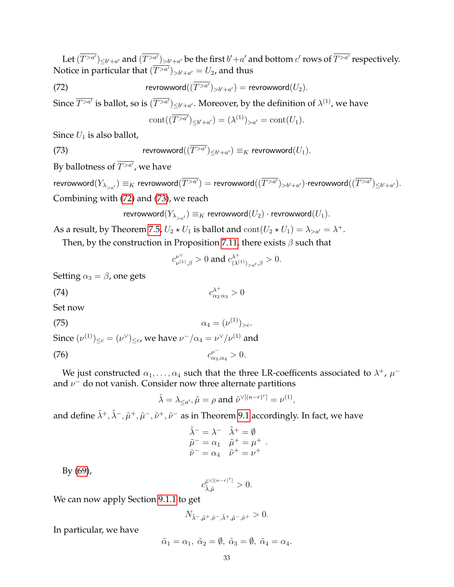Let  $(\overline{T^{>a'}})_{\leq b'+a'}$  and  $(\overline{T^{>a'}})_{>b'+a'}$  be the first  $b'+a'$  and bottom  $c'$  rows of  $\overline{T^{>a'}}$  respectively. Notice in particular that  $(\overline{T^{>a'}})_{>b'+a'}=U_2$ , and thus

(72) 
$$
\text{revrowword}((\overline{T^{>a'}})_{>b'+a'}) = \text{revrowword}(U_2).
$$

Since  $\overline{T^{>a'}}$  is ballot, so is  $(\overline{T^{>a'}})_{\leq b'+a'}$ . Moreover, by the definition of  $\lambda^{(1)}$ , we have

<span id="page-32-1"></span><span id="page-32-0"></span>
$$
cont(\overline{T^{>a'}})_{\leq b'+a'} = (\lambda^{(1)})_{>a'} = cont(U_1).
$$

Since  $U_1$  is also ballot,

(73) 
$$
\text{revrowword}((\overline{T^{>a'}})_{\leq b'+a'}) \equiv_K \text{revrowword}(U_1).
$$

By ballotness of  $T^{>a'}$ , we have

revrowword $(Y_{\lambda_{>a'}}) \equiv_K$  revrowword $(\overline{T^{>a'}}) =$  revrowword $((\overline{T^{>a'}})_{>b'+a'})$ ·revrowword $((\overline{T^{>a'}})_{\leq b'+a'}).$ Combining with [\(72\)](#page-32-0) and [\(73\)](#page-32-1), we reach

$$
\mathsf{revrowword}(Y_{\lambda_{>a'}}) \equiv_K \mathsf{revrowword}(U_2) \cdot \mathsf{revrowword}(U_1).
$$

As a result, by Theorem [7.5,](#page-16-1)  $U_2 * U_1$  is ballot and  $\text{cont}(U_2 * U_1) = \lambda_{\geq a'} = \lambda^+$ .

Then, by the construction in Proposition [7.11,](#page-17-4) there exists  $\beta$  such that

<span id="page-32-2"></span>
$$
c_{\nu^{(1)},\beta}^{\nu^{\vee}}>0
$$
 and  $c_{(\lambda^{(1)})_{>a'},\beta}^{\lambda^{+}}>0$ .

Setting  $\alpha_3 = \beta$ , one gets

$$
c_{\alpha_2 \alpha_3}^{\lambda^+} > 0
$$

Set now

(75) 
$$
\alpha_4 = (\nu^{(1)})_{>c}.
$$

Since  $(\nu^{(1)})_{\leq c} = (\nu^{\vee})_{\leq c}$ , we have  $\nu^-/\alpha_4 = \nu^{\vee}/\nu^{(1)}$  and

(76) 
$$
c_{\alpha_3,\alpha_4}^{\nu^-} > 0.
$$

We just constructed  $\alpha_1, \ldots, \alpha_4$  such that the three LR-coefficents associated to  $\lambda^+$ ,  $\mu^$ and  $\nu^-$  do not vanish. Consider now three alternate partitions

<span id="page-32-3"></span>
$$
\tilde{\lambda} = \lambda_{\leq a'}, \tilde{\mu} = \rho \text{ and } \tilde{\nu}^{\vee[(n-r)^r]} = \nu^{(1)},
$$

and define  $\tilde\lambda^+, \tilde\lambda^-, \tilde\mu^+, \tilde\mu^-, \tilde\nu^+, \tilde\nu^-$  as in Theorem [9.1](#page-28-0) accordingly. In fact, we have

$$
\begin{aligned}\n\tilde{\lambda}^- &= \lambda^- & \tilde{\lambda}^+ &= \emptyset \\
\tilde{\mu}^- &= \alpha_1 & \tilde{\mu}^+ &= \mu^+ \\
\tilde{\nu}^- &= \alpha_4 & \tilde{\nu}^+ &= \nu^+\n\end{aligned}
$$

.

By [\(69\)](#page-31-1),

$$
c_{\tilde{\lambda},\tilde{\mu}}^{\tilde{\nu}^{\vee[(n-r)^{r}]}}>0.
$$

We can now apply Section [9.1.1](#page-28-4) to get

$$
N_{\tilde{\lambda}^-, \tilde{\mu}^+, \tilde{\nu}^-, \tilde{\lambda}^+, \tilde{\mu}^-, \tilde{\nu}^+} > 0.
$$

In particular, we have

$$
\tilde{\alpha}_1 = \alpha_1, \ \tilde{\alpha}_2 = \emptyset, \ \tilde{\alpha}_3 = \emptyset, \ \tilde{\alpha}_4 = \alpha_4.
$$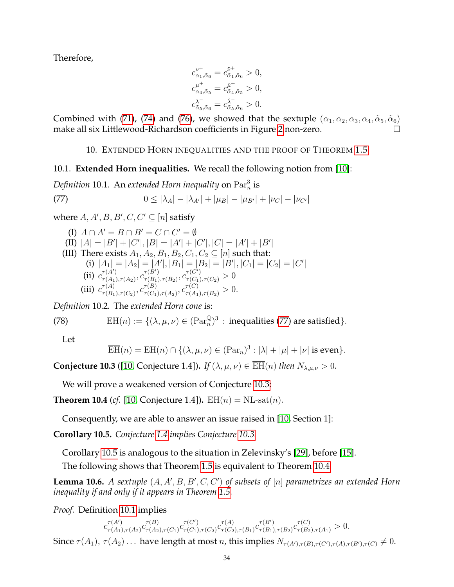Therefore,

$$
\begin{split} c^{\nu^+}_{\alpha_1,\tilde{\alpha}_6}&=c^{\tilde{\nu}^+}_{\tilde{\alpha}_1,\tilde{\alpha}_6}>0,\\ c^{\mu^+}_{\alpha_4,\tilde{\alpha}_5}&=c^{\tilde{\mu}^+}_{\tilde{\alpha}_4,\tilde{\alpha}_5}>0,\\ c^{\lambda^-}_{\tilde{\alpha}_5,\tilde{\alpha}_6}&=c^{\tilde{\lambda}^-}_{\tilde{\alpha}_5,\tilde{\alpha}_6}>0. \end{split}
$$

Combined with [\(71\)](#page-31-2), [\(74\)](#page-32-2) and [\(76\)](#page-32-3), we showed that the sextuple  $(\alpha_1, \alpha_2, \alpha_3, \alpha_4, \tilde{\alpha}_5, \tilde{\alpha}_6)$ make all six Littlewood-Richardson coefficients in Figure [2](#page-28-1) non-zero.

# <span id="page-33-2"></span>10. EXTENDED HORN INEQUALITIES AND THE PROOF OF THEOREM [1.5](#page-3-0)

# <span id="page-33-1"></span><span id="page-33-0"></span>10.1. **Extended Horn inequalities.** We recall the following notion from [\[10\]](#page-34-1):

<span id="page-33-6"></span>Definition 10.1. An extended Horn inequality on  $\mathrm{Par}^3_n$  is

(77) 
$$
0 \le |\lambda_A| - |\lambda_{A'}| + |\mu_B| - |\mu_{B'}| + |\nu_C| - |\nu_{C'}|
$$

where  $A, A', B, B', C, C' \subseteq [n]$  satisfy

(I) 
$$
A \cap A' = B \cap B' = C \cap C' = \emptyset
$$
  
\n(II)  $|A| = |B'| + |C'|, |B| = |A'| + |C'|, |C| = |A'| + |B'|$   
\n(III) There exists  $A_1, A_2, B_1, B_2, C_1, C_2 \subseteq [n]$  such that:  
\n(i)  $|A_1| = |A_2| = |A'|, |B_1| = |B_2| = |B'|, |C_1| = |C_2| = |C'|$   
\n(ii)  $c_{\tau(A_1), \tau(A_2)}^{\tau(A')}$ ,  $c_{\tau(B_1), \tau(B_2)}^{\tau(B')}}, c_{\tau(C_1), \tau(C_2)}^{\tau(C')} > 0$   
\n(iii)  $c_{\tau(B_1), \tau(C_2)}^{\tau(A)}, c_{\tau(C_1), \tau(A_2)}^{\tau(B)}, c_{\tau(A_1), \tau(B_2)}^{\tau(C)} > 0$ .

*Definition* 10.2*.* The *extended Horn cone* is:

(78) 
$$
EH(n) := \{ (\lambda, \mu, \nu) \in (\text{Par}_n^{\mathbb{Q}})^3 : \text{ inequalities (77) are satisfied} \}.
$$

Let

$$
\overline{\mathrm{EH}}(n) = \mathrm{EH}(n) \cap \{(\lambda, \mu, \nu) \in (\mathrm{Par}_n)^3 : |\lambda| + |\mu| + |\nu| \text{ is even}\}.
$$

<span id="page-33-3"></span>**Conjecture 10.3** ([\[10,](#page-34-1) Conjecture 1.4]). *If*  $(\lambda, \mu, \nu) \in \overline{\text{EH}}(n)$  *then*  $N_{\lambda,\mu,\nu} > 0$ *.* 

We will prove a weakened version of Conjecture [10.3:](#page-33-3)

<span id="page-33-5"></span>**Theorem 10.4** (*cf.* [\[10,](#page-34-1) Conjecture 1.4]).  $EH(n) = NL-sat(n)$ .

Consequently, we are able to answer an issue raised in [\[10,](#page-34-1) Section 1]:

<span id="page-33-4"></span>**Corollary 10.5.** *Conjecture [1.4](#page-2-1) implies Conjecture [10.3.](#page-33-3)*

Corollary [10.5](#page-33-4) is analogous to the situation in Zelevinsky's [\[29\]](#page-35-18), before [\[15\]](#page-35-8).

The following shows that Theorem [1.5](#page-3-0) is equivalent to Theorem [10.4.](#page-33-5)

<span id="page-33-7"></span>**Lemma 10.6.** A sextuple  $(A, A', B, B', C, C')$  of subsets of  $[n]$  parametrizes an extended Horn *inequality if and only if it appears in Theorem [1.5.](#page-3-0)*

*Proof.* Definition [10.1](#page-33-6) implies

 $c^{\tau(A')}_{\tau(A_1)}$  $\frac{\tau(A')}{\tau(A_1),\tau(A_2)} c_{\tau(A_2)}^{\tau(B)}$  $\frac{\tau(B)}{\tau(A_2), \tau(C_1)} C^{\tau(C')}_{\tau(C_1)}$  $\frac{\tau(C')}{\tau(C_1),\tau(C_2)}c^{\tau(A)}_{\tau(C_2)}$  $\tau(A) \ \tau(C_2), \tau(B_1) C \tau(B_1)$  $\tau^{(B')}_{\tau(B_1),\tau(B_2)} c^{\tau(C)}_{\tau(B_2),\tau(A_1)} > 0.$ Since  $\tau(A_1)$ ,  $\tau(A_2)$ ... have length at most *n*, this implies  $N_{\tau(A'),\tau(B),\tau(C'),\tau(A),\tau(B'),\tau(C)} \neq 0$ .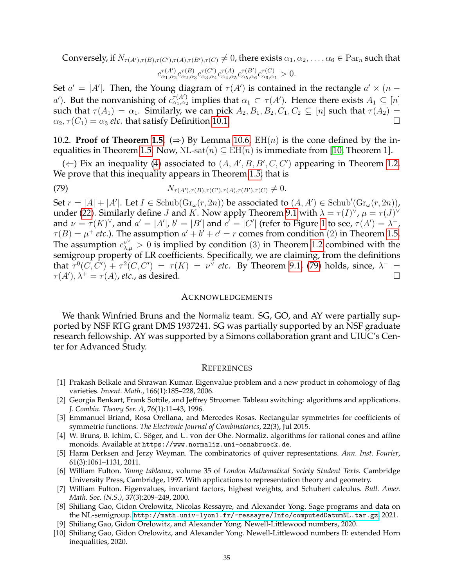Conversely, if  $N_{\tau(A'),\tau(B),\tau(C'),\tau(A),\tau(B'),\tau(C)} \neq 0$ , there exists  $\alpha_1, \alpha_2, \ldots, \alpha_6 \in \text{Par}_n$  such that  $c_{\alpha_1,\alpha_2}^{\tau(A')}c_{\alpha_2,\alpha_3}^{\tau(B)}c_{\alpha_3,\alpha_4}^{\tau(C')}c_{\alpha_4,\alpha_5}^{\tau(A)}c_{\alpha_5,\alpha_6}^{\tau(B')}c_{\alpha_6,\alpha_1}^{\tau(C)}>0.$ 

Set  $a' = |A'|$ . Then, the Young diagram of  $\tau(A')$  is contained in the rectangle  $a' \times (n$ a'). But the nonvanishing of  $\sigma_{\alpha_1,\alpha_2}^{\tau(A')}$  implies that  $\alpha_1 \subset \tau(A')$ . Hence there exists  $A_1 \subseteq [n]$ such that  $\tau(A_1) = \alpha_1$ . Similarly, we can pick  $A_2, B_1, B_2, C_1, C_2 \subseteq [n]$  such that  $\tau(A_2) =$  $\alpha_2, \tau(C_1) = \alpha_3$  *etc.* that satisfy Definition [10.1.](#page-33-6)

10.2. **Proof of Theorem [1.5.](#page-3-0)** ( $\Rightarrow$ ) By Lemma [10.6,](#page-33-7) EH(n) is the cone defined by the in-equalities in Theorem [1.5.](#page-3-0) Now, NL-sat $(n) \subseteq EH(n)$  is immediate from [\[10,](#page-34-1) Theorem 1].

(  $\Leftarrow$ ) Fix an inequality [\(4\)](#page-1-5) associated to (A, A', B, B', C, C') appearing in Theorem [1.2.](#page-1-4) We prove that this inequality appears in Theorem [1.5;](#page-3-0) that is

<span id="page-34-10"></span>(79) 
$$
N_{\tau(A'),\tau(B),\tau(C'),\tau(A),\tau(B'),\tau(C)} \neq 0.
$$

Set  $r = |A| + |A'|$ . Let  $I \in Schub(Gr_{\omega}(r, 2n))$  be associated to  $(A, A') \in Schub'(Gr_{\omega}(r, 2n))$ , under [\(22\)](#page-8-1). Similarly define *J* and *K*. Now apply Theorem [9.1](#page-28-0) with  $\lambda = \tau(I)^{\vee}$ ,  $\mu = \tau(J)^{\vee}$ and  $\nu = \tau(K)^{\vee}$ , and  $a' = |A'|$ ,  $b' = |B'|$  and  $c' = |C'|$  (refer to Figure [1](#page-8-0) to see,  $\tau(A') = \lambda^{-}$ ,  $\tau(B) = \mu^+$  *etc.*). The assumption  $a' + b' + c' = r$  comes from condition (2) in Theorem [1.5.](#page-3-0) The assumption  $c^{\nu^{\vee}}_{\lambda,\mu} > 0$  is implied by condition (3) in Theorem [1.2](#page-1-4) combined with the semigroup property of LR coefficients. Specifically, we are claiming, from the definitions that  $\tau^0(C,\overline{C'}) + \tau^2(C,C') = \tau(K) = \nu^{\overline{\vee}}$  etc. By Theorem [9.1,](#page-28-0) [\(79\)](#page-34-10) holds, since,  $\lambda^-$  =  $\tau(A'), \lambda^+ = \tau(A)$ , *etc.*, as desired.

#### ACKNOWLEDGEMENTS

We thank Winfried Bruns and the Normaliz team. SG, GO, and AY were partially supported by NSF RTG grant DMS 1937241. SG was partially supported by an NSF graduate research fellowship. AY was supported by a Simons collaboration grant and UIUC's Center for Advanced Study.

#### **REFERENCES**

- <span id="page-34-2"></span>[1] Prakash Belkale and Shrawan Kumar. Eigenvalue problem and a new product in cohomology of flag varieties. *Invent. Math.*, 166(1):185–228, 2006.
- <span id="page-34-9"></span>[2] Georgia Benkart, Frank Sottile, and Jeffrey Stroomer. Tableau switching: algorithms and applications. *J. Combin. Theory Ser. A*, 76(1):11–43, 1996.
- <span id="page-34-8"></span>[3] Emmanuel Briand, Rosa Orellana, and Mercedes Rosas. Rectangular symmetries for coefficients of symmetric functions. *The Electronic Journal of Combinatorics*, 22(3), Jul 2015.
- <span id="page-34-5"></span>[4] W. Bruns, B. Ichim, C. Söger, and U. von der Ohe. Normaliz. algorithms for rational cones and affine monoids. Available at https://www.normaliz.uni-osnabrueck.de.
- <span id="page-34-3"></span>[5] Harm Derksen and Jerzy Weyman. The combinatorics of quiver representations. *Ann. Inst. Fourier*, 61(3):1061–1131, 2011.
- <span id="page-34-7"></span>[6] William Fulton. *Young tableaux*, volume 35 of *London Mathematical Society Student Texts*. Cambridge University Press, Cambridge, 1997. With applications to representation theory and geometry.
- <span id="page-34-4"></span>[7] William Fulton. Eigenvalues, invariant factors, highest weights, and Schubert calculus. *Bull. Amer. Math. Soc. (N.S.)*, 37(3):209–249, 2000.
- <span id="page-34-6"></span>[8] Shiliang Gao, Gidon Orelowitz, Nicolas Ressayre, and Alexander Yong. Sage programs and data on the NL-semigroup. <http://math.univ-lyon1.fr/~ressayre/Info/computedDatumNL.tar.gz>, 2021.
- <span id="page-34-0"></span>[9] Shiliang Gao, Gidon Orelowitz, and Alexander Yong. Newell-Littlewood numbers, 2020.
- <span id="page-34-1"></span>[10] Shiliang Gao, Gidon Orelowitz, and Alexander Yong. Newell-Littlewood numbers II: extended Horn inequalities, 2020.